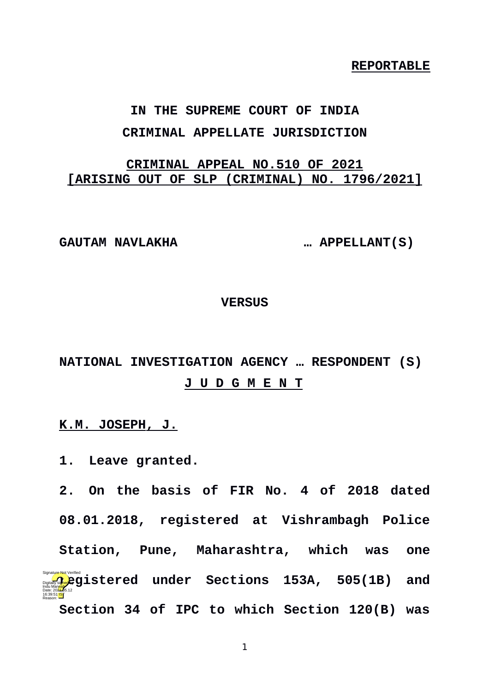**REPORTABLE**

# **IN THE SUPREME COURT OF INDIA CRIMINAL APPELLATE JURISDICTION**

# **CRIMINAL APPEAL NO.510 OF 2021 [ARISING OUT OF SLP (CRIMINAL) NO. 1796/2021]**

**GAUTAM NAVLAKHA … APPELLANT(S)**

#### **VERSUS**

# **NATIONAL INVESTIGATION AGENCY … RESPONDENT (S) J U D G M E N T**

#### **K.M. JOSEPH, J.**

**1. Leave granted.** 

**2. On the basis of FIR No. 4 of 2018 dated 08.01.2018, registered at Vishrambagh Police Station, Pune, Maharashtra, which was one registered under Sections 153A, 505(1B) and**<br>Pate: 2021<br>Catalog by Date: 2021 **Section 34 of IPC to which Section 120(B) was** Reason: Signature Not Verified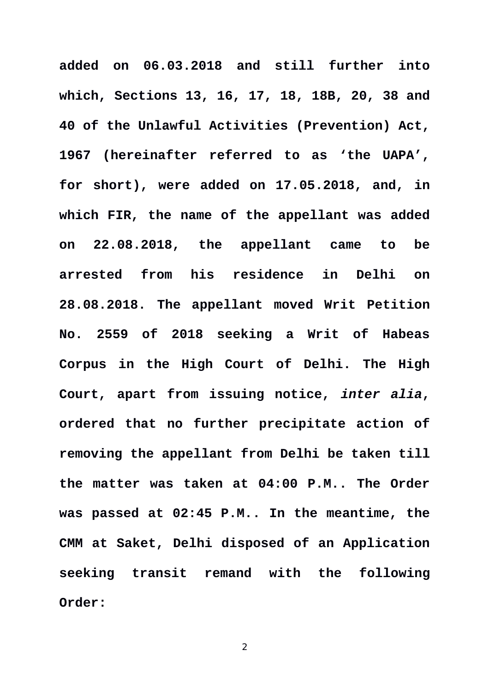**added on 06.03.2018 and still further into which, Sections 13, 16, 17, 18, 18B, 20, 38 and 40 of the Unlawful Activities (Prevention) Act, 1967 (hereinafter referred to as 'the UAPA', for short), were added on 17.05.2018, and, in which FIR, the name of the appellant was added on 22.08.2018, the appellant came to be arrested from his residence in Delhi on 28.08.2018. The appellant moved Writ Petition No. 2559 of 2018 seeking a Writ of Habeas Corpus in the High Court of Delhi. The High Court, apart from issuing notice,** *inter alia***, ordered that no further precipitate action of removing the appellant from Delhi be taken till the matter was taken at 04:00 P.M.. The Order was passed at 02:45 P.M.. In the meantime, the CMM at Saket, Delhi disposed of an Application seeking transit remand with the following Order:**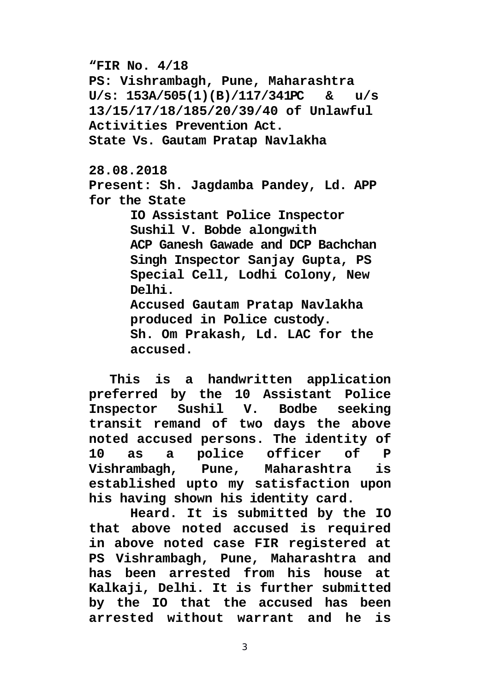**"FIR No. 4/18**

**PS: Vishrambagh, Pune, Maharashtra U/s: 153A/505(1)(B)/117/341PC & u/s 13/15/17/18/185/20/39/40 of Unlawful Activities Prevention Act.**

**State Vs. Gautam Pratap Navlakha**

**28.08.2018**

**Present: Sh. Jagdamba Pandey, Ld. APP for the State**

> **IO Assistant Police Inspector Sushil V. Bobde alongwith ACP Ganesh Gawade and DCP Bachchan Singh Inspector Sanjay Gupta, PS Special Cell, Lodhi Colony, New Delhi. Accused Gautam Pratap Navlakha**

**produced in Police custody.**

**Sh. Om Prakash, Ld. LAC for the accused.**

**This is a handwritten application preferred by the 10 Assistant Police Inspector Sushil V. Bodbe seeking transit remand of two days the above noted accused persons. The identity of 10 as a police officer of P Vishrambagh, Pune, Maharashtra is established upto my satisfaction upon his having shown his identity card.**

**Heard. It is submitted by the IO that above noted accused is required in above noted case FIR registered at PS Vishrambagh, Pune, Maharashtra and has been arrested from his house at Kalkaji, Delhi. It is further submitted by the IO that the accused has been arrested without warrant and he is**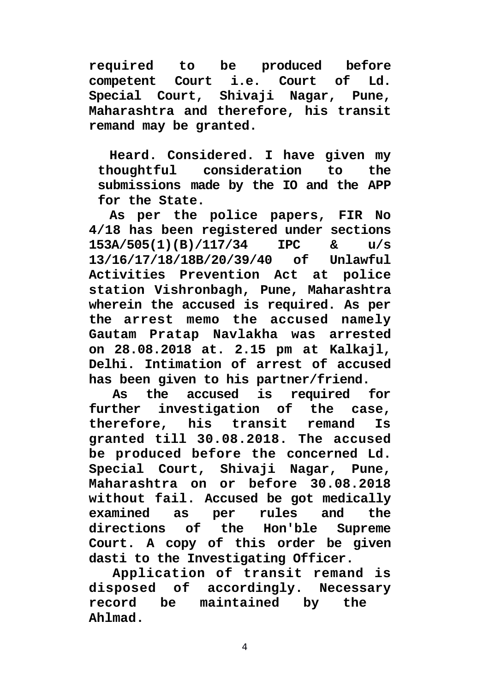**required to be produced before** Court i.e. Court of Ld. **Special Court, Shivaji Nagar, Pune, Maharashtra and therefore, his transit remand may be granted.**

**Heard. Considered. I have given my thoughtful consideration to the submissions made by the IO and the APP for the State.**

**As per the police papers, FIR No 4/18 has been registered under sections 153A/505(1)(B)/117/34 IPC & u/s 13/16/17/18/18B/20/39/40 of Unlawful Activities Prevention Act at police station Vishronbagh, Pune, Maharashtra wherein the accused is required. As per the arrest memo the accused namely Gautam Pratap Navlakha was arrested on 28.08.2018 at. 2.15 pm at Kalkajl, Delhi. Intimation of arrest of accused has been given to his partner/friend.**

**As the accused is required for further investigation of the case, therefore, his transit remand Is granted till 30.08.2018. The accused be produced before the concerned Ld. Special Court, Shivaji Nagar, Pune, Maharashtra on or before 30.08.2018 without fail. Accused be got medically examined as per rules and the directions of the Hon'ble Supreme Court. A copy of this order be given dasti to the Investigating Officer.**

**Application of transit remand is disposed of accordingly. Necessary record be maintained by the Ahlmad.**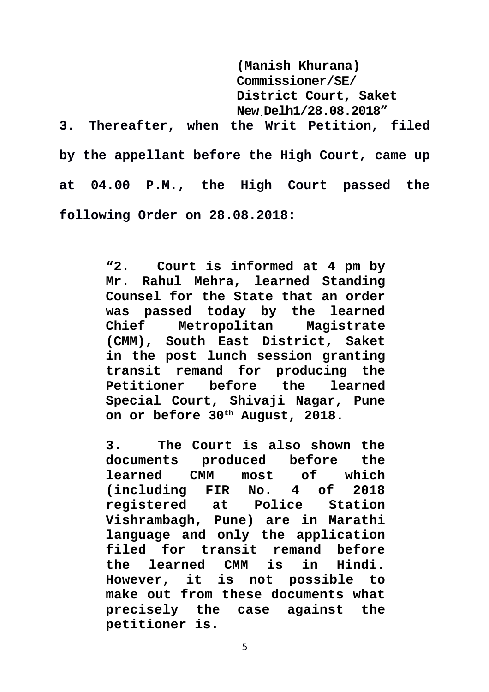**(Manish Khurana) Commissioner/SE/ District Court, Saket New.Delh1/28.08.2018" 3. Thereafter, when the Writ Petition, filed by the appellant before the High Court, came up at 04.00 P.M., the High Court passed the following Order on 28.08.2018:**

> **"2. Court is informed at 4 pm by Mr. Rahul Mehra, learned Standing Counsel for the State that an order was passed today by the learned Metropolitan Magistrate (CMM), South East District, Saket in the post lunch session granting transit remand for producing the Petitioner before the learned Special Court, Shivaji Nagar, Pune on or before 30th August, 2018.**

> **3. The Court is also shown the documents produced before the learned CMM most of which (including FIR No. 4 of 2018 registered at Police Station Vishrambagh, Pune) are in Marathi language and only the application filed for transit remand before the learned CMM is in Hindi. However, it is not possible to make out from these documents what precisely the case against the petitioner is.**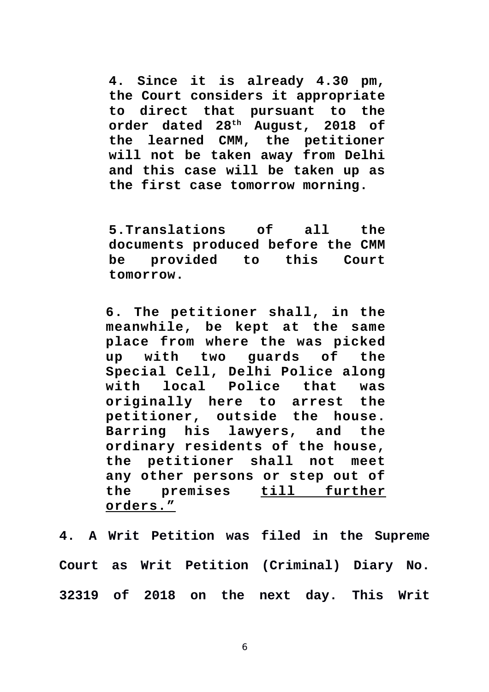**4. Since it is already 4.30 pm, the Court considers it appropriate to direct that pursuant to the order dated 28th August, 2018 of the learned CMM, the petitioner will not be taken away from Delhi and this case will be taken up as the first case tomorrow morning.**

**5.Translations of all the documents produced before the CMM be provided to this Court tomorrow.**

**6. The petitioner shall, in the meanwhile, be kept at the same place from where the was picked up with two guards of the Special Cell, Delhi Police along with local Police that was originally here to arrest the petitioner, outside the house. Barring his lawyers, and the ordinary residents of the house, the petitioner shall not meet any other persons or step out of the premises till further orders."**

**4. A Writ Petition was filed in the Supreme Court as Writ Petition (Criminal) Diary No. 32319 of 2018 on the next day. This Writ**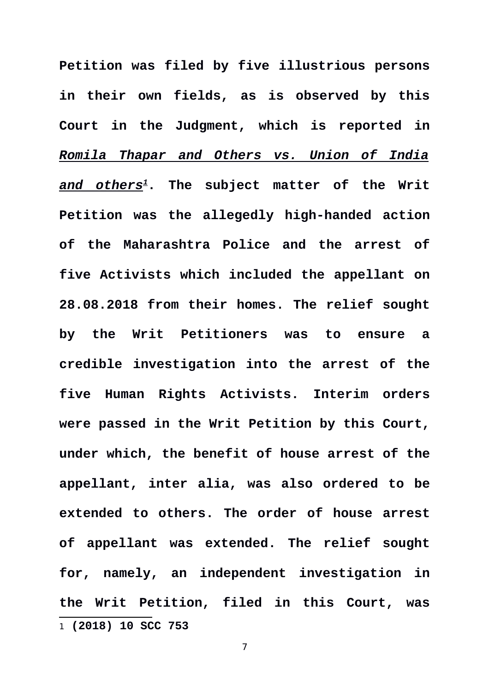<span id="page-6-0"></span>**Petition was filed by five illustrious persons in their own fields, as is observed by this Court in the Judgment, which is reported in** *Romila Thapar and Others vs. Union of India and others[1](#page-6-0)***. The subject matter of the Writ Petition was the allegedly high-handed action of the Maharashtra Police and the arrest of five Activists which included the appellant on 28.08.2018 from their homes. The relief sought by the Writ Petitioners was to ensure a credible investigation into the arrest of the five Human Rights Activists. Interim orders were passed in the Writ Petition by this Court, under which, the benefit of house arrest of the appellant, inter alia, was also ordered to be extended to others. The order of house arrest of appellant was extended. The relief sought for, namely, an independent investigation in the Writ Petition, filed in this Court, was** 1 **(2018) 10 SCC 753**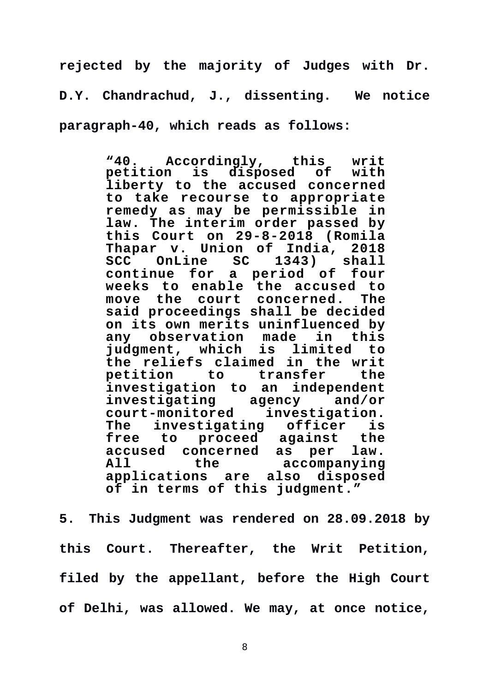**rejected by the majority of Judges with Dr. D.Y. Chandrachud, J., dissenting. We notice paragraph-40, which reads as follows:**

> **"40. Accordingly, this writ** petition is disposed of **liberty to the accused concerned to take recourse to appropriate remedy as may be permissible in law. The interim order passed by this Court on 29-8-2018 (Romila Thapar v. Union of India, 2018** SCC OnLine SC **continue for a period of four weeks to enable the accused to move the court concerned. The said proceedings shall be decided on its own merits uninfluenced by any observation made judgment, which is limited to the reliefs claimed in the writ petition to transfer investigation to an independent investigating agency and/or court-monitored investigation. The investigating officer is** proceed against the<br>**incerned as per law. accused concerned as per law. All the accompanying applications are also disposed of in terms of this judgment."**

**5. This Judgment was rendered on 28.09.2018 by this Court. Thereafter, the Writ Petition, filed by the appellant, before the High Court of Delhi, was allowed. We may, at once notice,**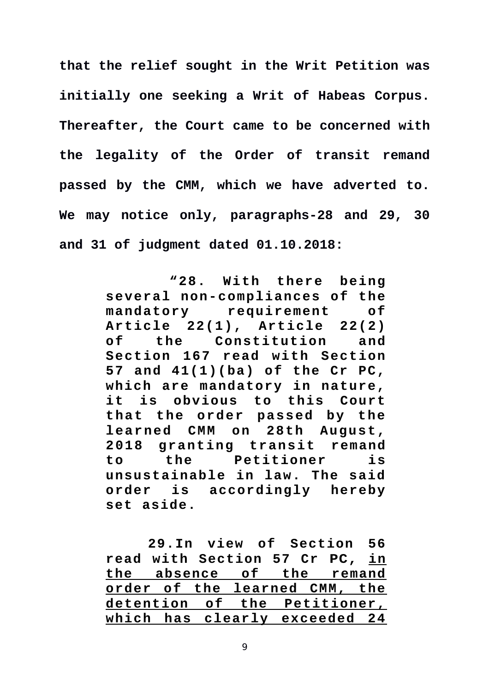**that the relief sought in the Writ Petition was initially one seeking a Writ of Habeas Corpus. Thereafter, the Court came to be concerned with the legality of the Order of transit remand passed by the CMM, which we have adverted to. We may notice only, paragraphs-28 and 29, 30 and 31 of judgment dated 01.10.2018:**

> **"28. With there being several non-compliances of the mandatory requirement of Article 22(1), Article 22(2) of the Constitution and Section 167 read with Section 57 and 41(1)(ba) of the Cr PC, which are mandatory in nature, it is obvious to this Court** that the order passed by the **learned CMM on 28th August, 2 0 1 8 g r a n t i n g t r a n s i t remand to the Petitioner is unsustainable in law. The said order is accordingly hereby set aside.**

> **29.In view of Section 56 read with Section 57 Cr PC, in the absence of the remand order of the learned CMM, the detention of the Petitioner, which has clearly exceeded 24**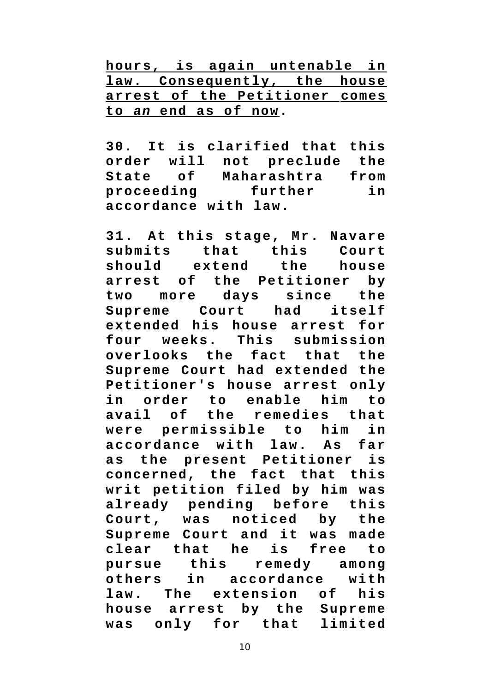**hours, is again untenable in law. Consequently, the house arrest of the Petitioner comes to** *an***end as of now.**

**30. It is clarified that this order will not preclude the State of Maharashtra from proceeding further in accordance with law.**

**31. At this stage, Mr. Navare submits that this Court should extend the house arrest of the Petitioner by two more days since the Supreme Court had itself extended his house arrest for four weeks. This submission overlooks the fact that the Supreme Court had extended the Petitioner's house arrest only in order to enable him to** avail of the remedies that were permissible to him in **a c c o r d a n c e w i t h l a w . A s f a r** as the present Petitioner is **concerned, the fact that this writ petition filed by him was already pending before this Court, was noticed by the Supreme Court and it was made** clear that he is free to pursue this remedy among<br>others in accordance with in accordance with **law.** The extension of his **house arrest by the Supreme** was only for that limited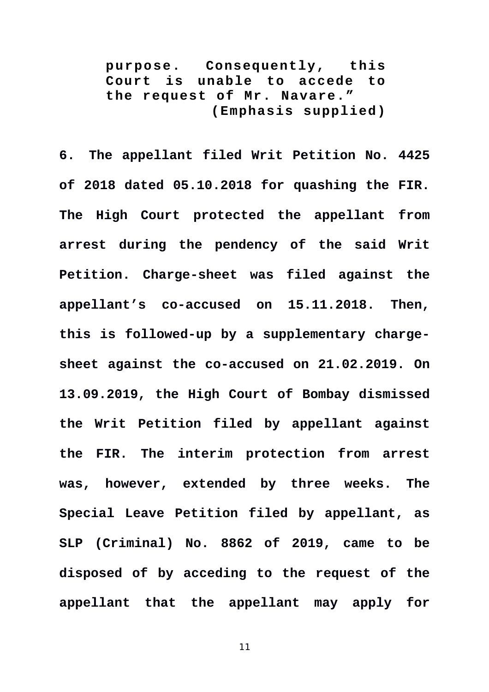**p ur po se . Consequently, this Court is unable to accede to the request of Mr. Navare." (Emphasis supplied)**

**6. The appellant filed Writ Petition No. 4425 of 2018 dated 05.10.2018 for quashing the FIR. The High Court protected the appellant from arrest during the pendency of the said Writ Petition. Charge-sheet was filed against the appellant's co-accused on 15.11.2018. Then, this is followed-up by a supplementary chargesheet against the co-accused on 21.02.2019. On 13.09.2019, the High Court of Bombay dismissed the Writ Petition filed by appellant against the FIR. The interim protection from arrest was, however, extended by three weeks. The Special Leave Petition filed by appellant, as SLP (Criminal) No. 8862 of 2019, came to be disposed of by acceding to the request of the appellant that the appellant may apply for**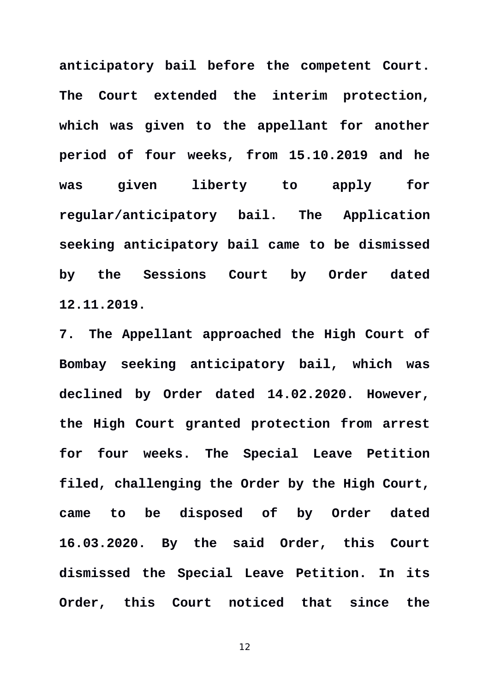**anticipatory bail before the competent Court. The Court extended the interim protection, which was given to the appellant for another period of four weeks, from 15.10.2019 and he was given liberty to apply for regular/anticipatory bail. The Application seeking anticipatory bail came to be dismissed by the Sessions Court by Order dated 12.11.2019.** 

**7. The Appellant approached the High Court of Bombay seeking anticipatory bail, which was declined by Order dated 14.02.2020. However, the High Court granted protection from arrest for four weeks. The Special Leave Petition filed, challenging the Order by the High Court, came to be disposed of by Order dated 16.03.2020. By the said Order, this Court dismissed the Special Leave Petition. In its Order, this Court noticed that since the**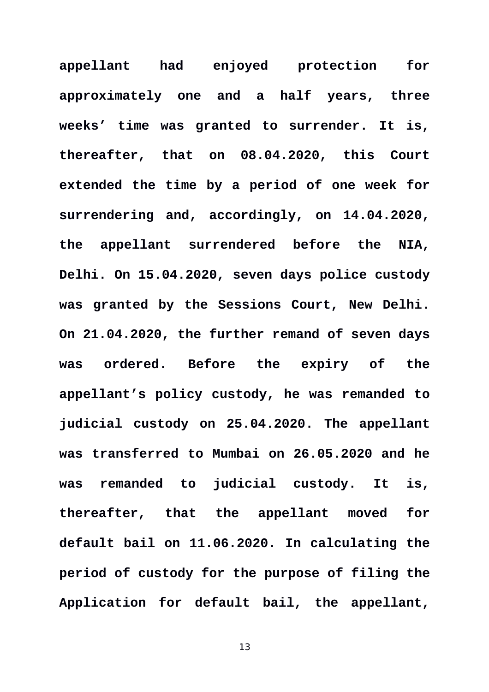**appellant had enjoyed protection for approximately one and a half years, three weeks' time was granted to surrender. It is, thereafter, that on 08.04.2020, this Court extended the time by a period of one week for surrendering and, accordingly, on 14.04.2020, the appellant surrendered before the NIA, Delhi. On 15.04.2020, seven days police custody was granted by the Sessions Court, New Delhi. On 21.04.2020, the further remand of seven days was ordered. Before the expiry of the appellant's policy custody, he was remanded to judicial custody on 25.04.2020. The appellant was transferred to Mumbai on 26.05.2020 and he was remanded to judicial custody. It is, thereafter, that the appellant moved for default bail on 11.06.2020. In calculating the period of custody for the purpose of filing the Application for default bail, the appellant,**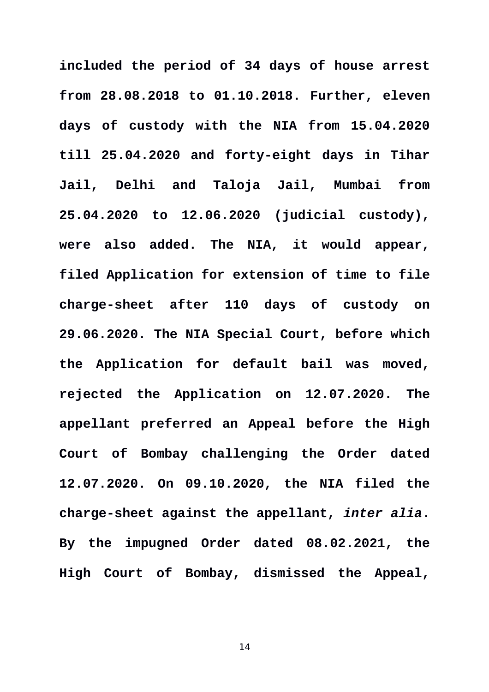**included the period of 34 days of house arrest from 28.08.2018 to 01.10.2018. Further, eleven days of custody with the NIA from 15.04.2020 till 25.04.2020 and forty-eight days in Tihar Jail, Delhi and Taloja Jail, Mumbai from 25.04.2020 to 12.06.2020 (judicial custody), were also added. The NIA, it would appear, filed Application for extension of time to file charge-sheet after 110 days of custody on 29.06.2020. The NIA Special Court, before which the Application for default bail was moved, rejected the Application on 12.07.2020. The appellant preferred an Appeal before the High Court of Bombay challenging the Order dated 12.07.2020. On 09.10.2020, the NIA filed the charge-sheet against the appellant,** *inter alia***. By the impugned Order dated 08.02.2021, the High Court of Bombay, dismissed the Appeal,**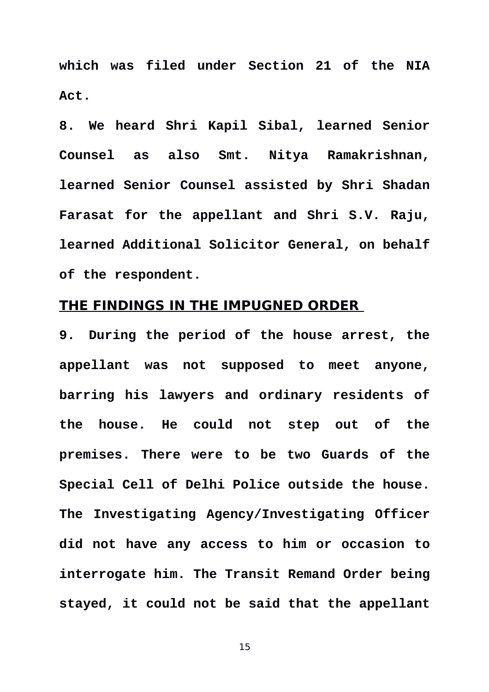**which was filed under Section 21 of the NIA Act.**

**8. We heard Shri Kapil Sibal, learned Senior Counsel as also Smt. Nitya Ramakrishnan, learned Senior Counsel assisted by Shri Shadan Farasat for the appellant and Shri S.V. Raju, learned Additional Solicitor General, on behalf of the respondent.** 

### **THE FINDINGS IN THE IMPUGNED ORDER**

**9. During the period of the house arrest, the appellant was not supposed to meet anyone, barring his lawyers and ordinary residents of the house. He could not step out of the premises. There were to be two Guards of the Special Cell of Delhi Police outside the house. The Investigating Agency/Investigating Officer did not have any access to him or occasion to interrogate him. The Transit Remand Order being stayed, it could not be said that the appellant**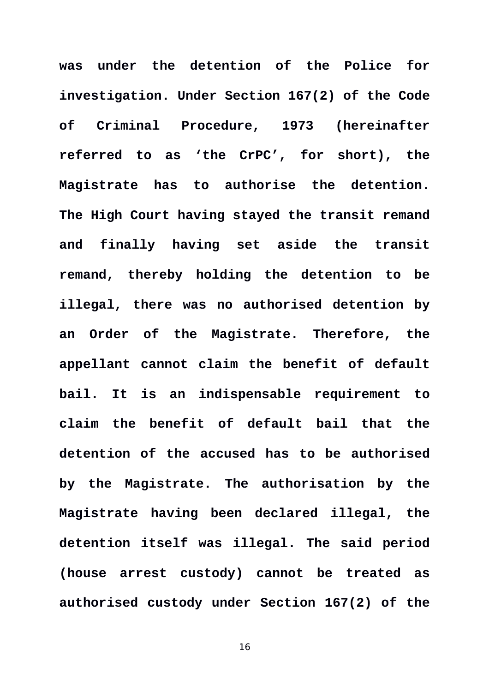**was under the detention of the Police for investigation. Under Section 167(2) of the Code of Criminal Procedure, 1973 (hereinafter referred to as 'the CrPC', for short), the Magistrate has to authorise the detention. The High Court having stayed the transit remand and finally having set aside the transit remand, thereby holding the detention to be illegal, there was no authorised detention by an Order of the Magistrate. Therefore, the appellant cannot claim the benefit of default bail. It is an indispensable requirement to claim the benefit of default bail that the detention of the accused has to be authorised by the Magistrate. The authorisation by the Magistrate having been declared illegal, the detention itself was illegal. The said period (house arrest custody) cannot be treated as authorised custody under Section 167(2) of the**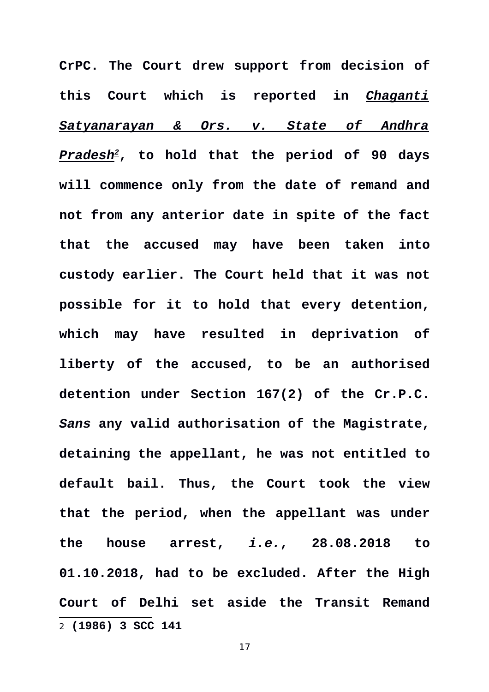<span id="page-16-0"></span>**CrPC. The Court drew support from decision of this Court which is reported in** *Chaganti Satyanarayan & Ors. v. State of Andhra Pradesh[2](#page-16-0)***, to hold that the period of 90 days will commence only from the date of remand and not from any anterior date in spite of the fact that the accused may have been taken into custody earlier. The Court held that it was not possible for it to hold that every detention, which may have resulted in deprivation of liberty of the accused, to be an authorised detention under Section 167(2) of the Cr.P.C.** *Sans* **any valid authorisation of the Magistrate, detaining the appellant, he was not entitled to default bail. Thus, the Court took the view that the period, when the appellant was under the house arrest,** *i.e.***, 28.08.2018 to 01.10.2018, had to be excluded. After the High Court of Delhi set aside the Transit Remand** 2 **(1986) 3 SCC 141**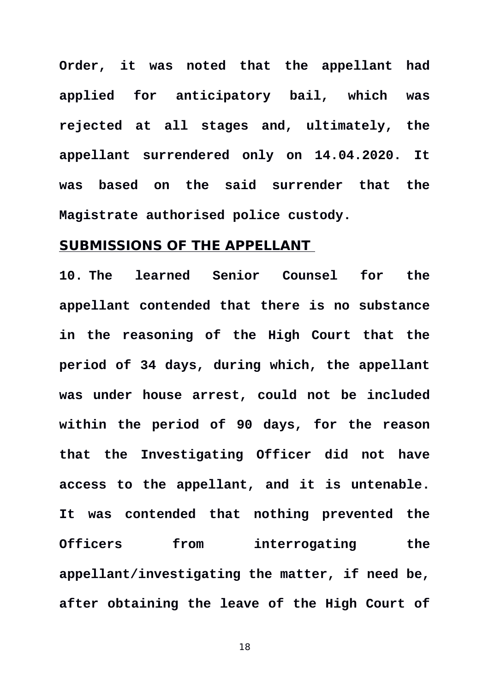**Order, it was noted that the appellant had applied for anticipatory bail, which was rejected at all stages and, ultimately, the appellant surrendered only on 14.04.2020. It was based on the said surrender that the Magistrate authorised police custody.**

# **SUBMISSIONS OF THE APPELLANT**

**10. The learned Senior Counsel for the appellant contended that there is no substance in the reasoning of the High Court that the period of 34 days, during which, the appellant was under house arrest, could not be included within the period of 90 days, for the reason that the Investigating Officer did not have access to the appellant, and it is untenable. It was contended that nothing prevented the Officers from interrogating the appellant/investigating the matter, if need be, after obtaining the leave of the High Court of**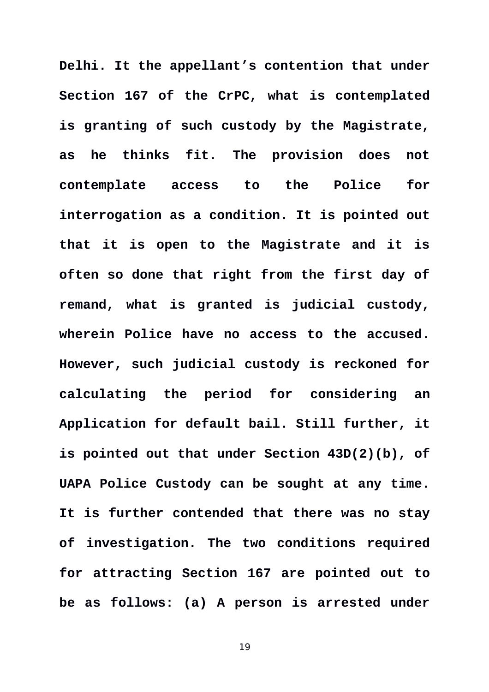**Delhi. It the appellant's contention that under Section 167 of the CrPC, what is contemplated is granting of such custody by the Magistrate, as he thinks fit. The provision does not contemplate access to the Police for interrogation as a condition. It is pointed out that it is open to the Magistrate and it is often so done that right from the first day of remand, what is granted is judicial custody, wherein Police have no access to the accused. However, such judicial custody is reckoned for calculating the period for considering an Application for default bail. Still further, it is pointed out that under Section 43D(2)(b), of UAPA Police Custody can be sought at any time. It is further contended that there was no stay of investigation. The two conditions required for attracting Section 167 are pointed out to be as follows: (a) A person is arrested under**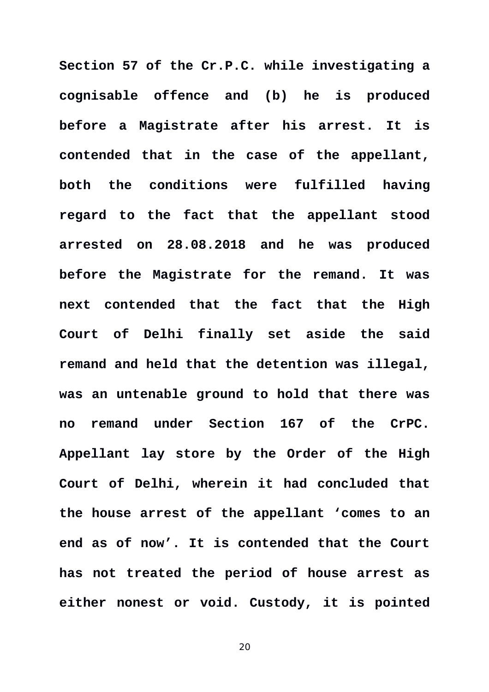**Section 57 of the Cr.P.C. while investigating a cognisable offence and (b) he is produced before a Magistrate after his arrest. It is contended that in the case of the appellant, both the conditions were fulfilled having regard to the fact that the appellant stood arrested on 28.08.2018 and he was produced before the Magistrate for the remand. It was next contended that the fact that the High Court of Delhi finally set aside the said remand and held that the detention was illegal, was an untenable ground to hold that there was no remand under Section 167 of the CrPC. Appellant lay store by the Order of the High Court of Delhi, wherein it had concluded that the house arrest of the appellant 'comes to an end as of now'. It is contended that the Court has not treated the period of house arrest as either nonest or void. Custody, it is pointed**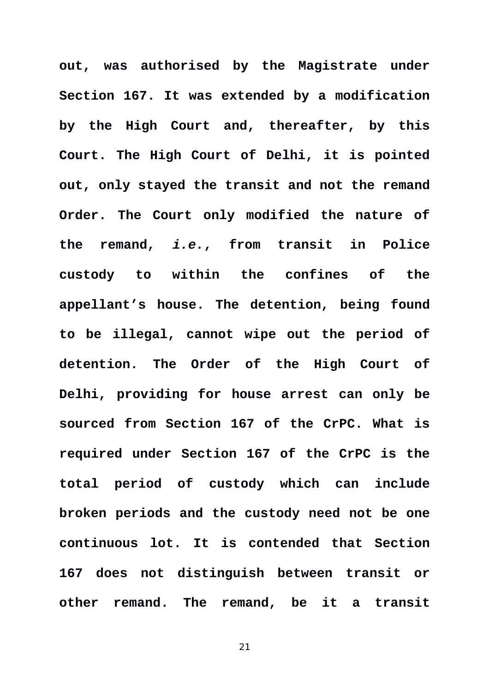**out, was authorised by the Magistrate under Section 167. It was extended by a modification by the High Court and, thereafter, by this Court. The High Court of Delhi, it is pointed out, only stayed the transit and not the remand Order. The Court only modified the nature of the remand,** *i.e.***, from transit in Police custody to within the confines of the appellant's house. The detention, being found to be illegal, cannot wipe out the period of detention. The Order of the High Court of Delhi, providing for house arrest can only be sourced from Section 167 of the CrPC. What is required under Section 167 of the CrPC is the total period of custody which can include broken periods and the custody need not be one continuous lot. It is contended that Section 167 does not distinguish between transit or other remand. The remand, be it a transit**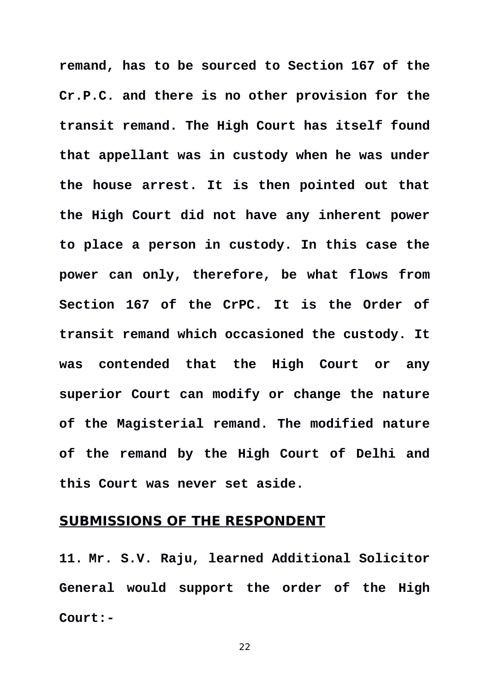**remand, has to be sourced to Section 167 of the Cr.P.C. and there is no other provision for the transit remand. The High Court has itself found that appellant was in custody when he was under the house arrest. It is then pointed out that the High Court did not have any inherent power to place a person in custody. In this case the power can only, therefore, be what flows from Section 167 of the CrPC. It is the Order of transit remand which occasioned the custody. It was contended that the High Court or any superior Court can modify or change the nature of the Magisterial remand. The modified nature of the remand by the High Court of Delhi and this Court was never set aside.** 

# **SUBMISSIONS OF THE RESPONDENT**

**11. Mr. S.V. Raju, learned Additional Solicitor General would support the order of the High Court:-**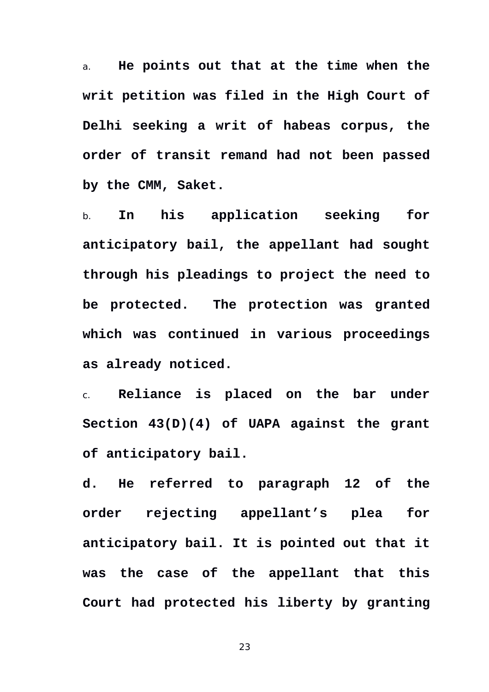a. **He points out that at the time when the writ petition was filed in the High Court of Delhi seeking a writ of habeas corpus, the order of transit remand had not been passed by the CMM, Saket.** 

b. **In his application seeking for anticipatory bail, the appellant had sought through his pleadings to project the need to be protected. The protection was granted which was continued in various proceedings as already noticed.** 

c. **Reliance is placed on the bar under Section 43(D)(4) of UAPA against the grant of anticipatory bail.**

**d. He referred to paragraph 12 of the order rejecting appellant's plea for anticipatory bail. It is pointed out that it was the case of the appellant that this Court had protected his liberty by granting**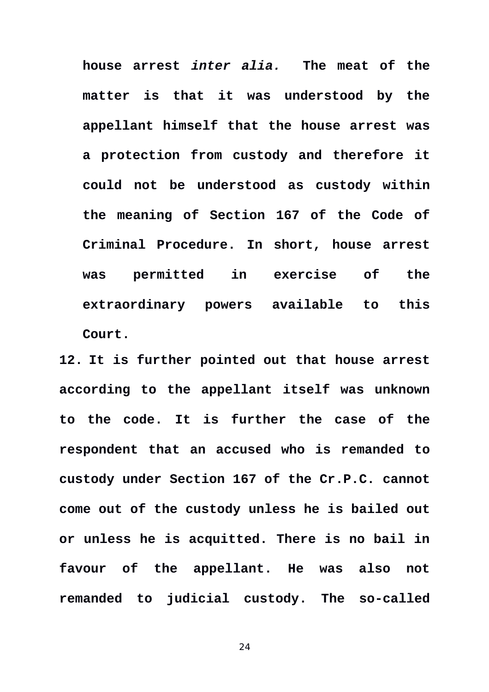**house arrest** *inter alia.* **The meat of the matter is that it was understood by the appellant himself that the house arrest was a protection from custody and therefore it could not be understood as custody within the meaning of Section 167 of the Code of Criminal Procedure. In short, house arrest was permitted in exercise of the extraordinary powers available to this Court.**

**12. It is further pointed out that house arrest according to the appellant itself was unknown to the code. It is further the case of the respondent that an accused who is remanded to custody under Section 167 of the Cr.P.C. cannot come out of the custody unless he is bailed out or unless he is acquitted. There is no bail in favour of the appellant. He was also not remanded to judicial custody. The so-called**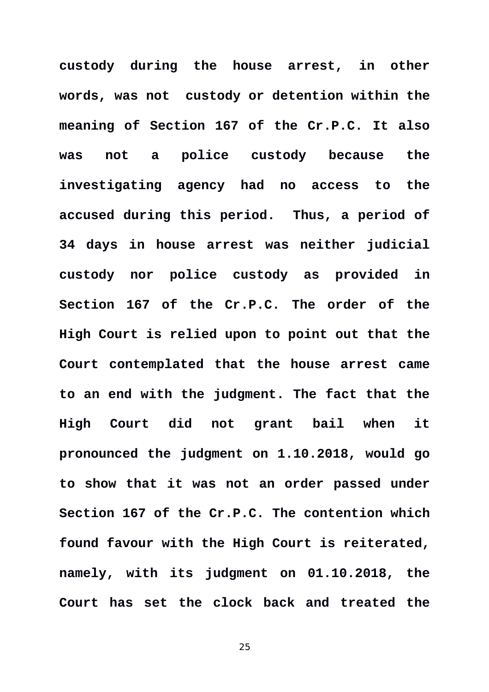**custody during the house arrest, in other words, was not custody or detention within the meaning of Section 167 of the Cr.P.C. It also was not a police custody because the investigating agency had no access to the accused during this period. Thus, a period of 34 days in house arrest was neither judicial custody nor police custody as provided in Section 167 of the Cr.P.C. The order of the High Court is relied upon to point out that the Court contemplated that the house arrest came to an end with the judgment. The fact that the High Court did not grant bail when it pronounced the judgment on 1.10.2018, would go to show that it was not an order passed under Section 167 of the Cr.P.C. The contention which found favour with the High Court is reiterated, namely, with its judgment on 01.10.2018, the Court has set the clock back and treated the**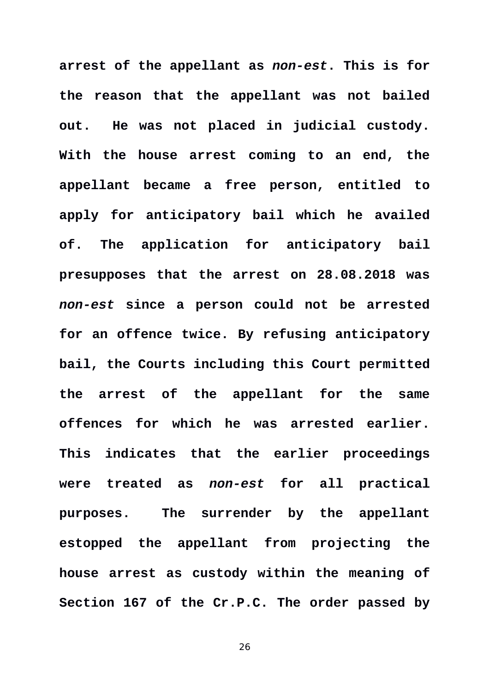**arrest of the appellant as** *non-est***. This is for the reason that the appellant was not bailed out. He was not placed in judicial custody. With the house arrest coming to an end, the appellant became a free person, entitled to apply for anticipatory bail which he availed of. The application for anticipatory bail presupposes that the arrest on 28.08.2018 was** *non-est* **since a person could not be arrested for an offence twice. By refusing anticipatory bail, the Courts including this Court permitted the arrest of the appellant for the same offences for which he was arrested earlier. This indicates that the earlier proceedings were treated as** *non-est* **for all practical purposes. The surrender by the appellant estopped the appellant from projecting the house arrest as custody within the meaning of Section 167 of the Cr.P.C. The order passed by**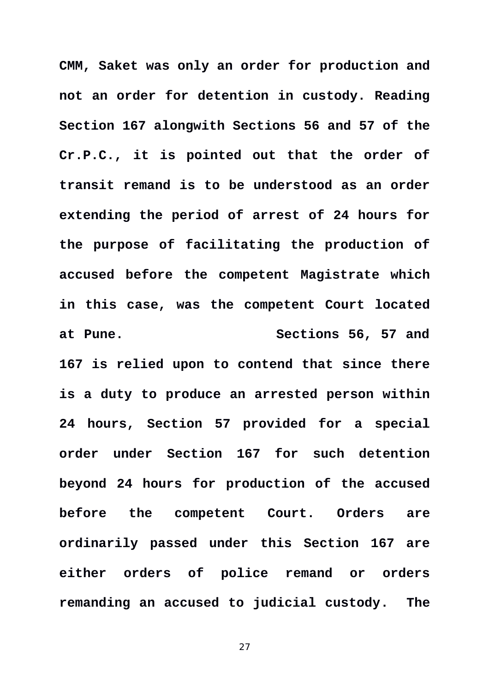**CMM, Saket was only an order for production and not an order for detention in custody. Reading Section 167 alongwith Sections 56 and 57 of the Cr.P.C., it is pointed out that the order of transit remand is to be understood as an order extending the period of arrest of 24 hours for the purpose of facilitating the production of accused before the competent Magistrate which in this case, was the competent Court located at Pune. Sections 56, 57 and 167 is relied upon to contend that since there is a duty to produce an arrested person within 24 hours, Section 57 provided for a special order under Section 167 for such detention beyond 24 hours for production of the accused before the competent Court. Orders are ordinarily passed under this Section 167 are either orders of police remand or orders remanding an accused to judicial custody. The**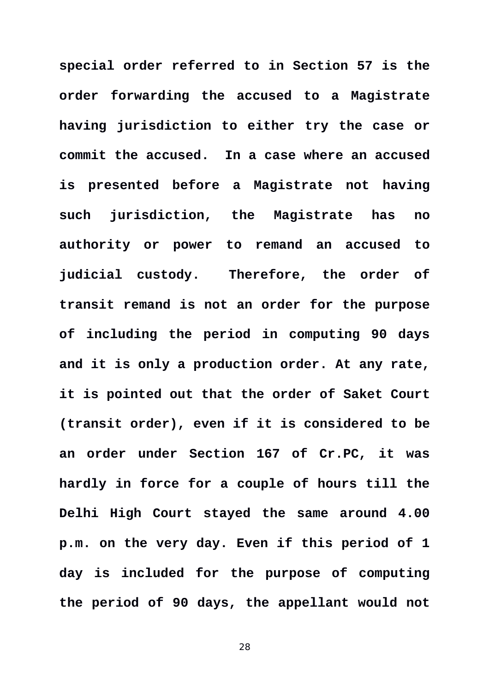**special order referred to in Section 57 is the order forwarding the accused to a Magistrate having jurisdiction to either try the case or commit the accused. In a case where an accused is presented before a Magistrate not having such jurisdiction, the Magistrate has no authority or power to remand an accused to judicial custody. Therefore, the order of transit remand is not an order for the purpose of including the period in computing 90 days and it is only a production order. At any rate, it is pointed out that the order of Saket Court (transit order), even if it is considered to be an order under Section 167 of Cr.PC, it was hardly in force for a couple of hours till the Delhi High Court stayed the same around 4.00 p.m. on the very day. Even if this period of 1 day is included for the purpose of computing the period of 90 days, the appellant would not**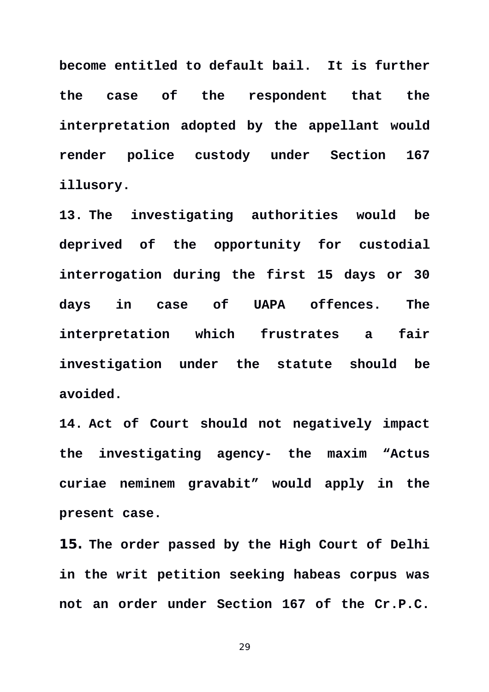**become entitled to default bail. It is further the case of the respondent that the interpretation adopted by the appellant would render police custody under Section 167 illusory.** 

**13. The investigating authorities would be deprived of the opportunity for custodial interrogation during the first 15 days or 30 days in case of UAPA offences. The interpretation which frustrates a fair investigation under the statute should be avoided.** 

**14. Act of Court should not negatively impact the investigating agency- the maxim "Actus curiae neminem gravabit" would apply in the present case.** 

**15. The order passed by the High Court of Delhi in the writ petition seeking habeas corpus was not an order under Section 167 of the Cr.P.C.**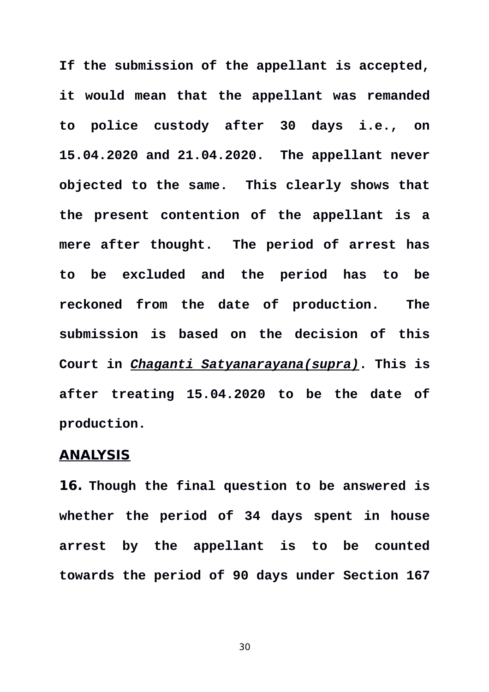**If the submission of the appellant is accepted, it would mean that the appellant was remanded to police custody after 30 days i.e., on 15.04.2020 and 21.04.2020. The appellant never objected to the same. This clearly shows that the present contention of the appellant is a mere after thought. The period of arrest has to be excluded and the period has to be reckoned from the date of production. The submission is based on the decision of this Court in** *Chaganti Satyanarayana(supra)***. This is after treating 15.04.2020 to be the date of production.**

### **ANALYSIS**

**16. Though the final question to be answered is whether the period of 34 days spent in house arrest by the appellant is to be counted towards the period of 90 days under Section 167**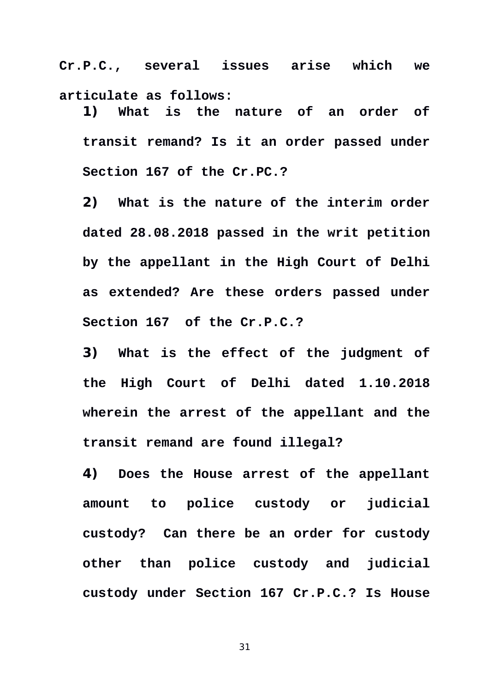**Cr.P.C., several issues arise which we articulate as follows:** 

**1) What is the nature of an order of transit remand? Is it an order passed under Section 167 of the Cr.PC.?**

**2) What is the nature of the interim order dated 28.08.2018 passed in the writ petition by the appellant in the High Court of Delhi as extended? Are these orders passed under Section 167 of the Cr.P.C.?**

**3) What is the effect of the judgment of the High Court of Delhi dated 1.10.2018 wherein the arrest of the appellant and the transit remand are found illegal?**

**4) Does the House arrest of the appellant amount to police custody or judicial custody? Can there be an order for custody other than police custody and judicial custody under Section 167 Cr.P.C.? Is House**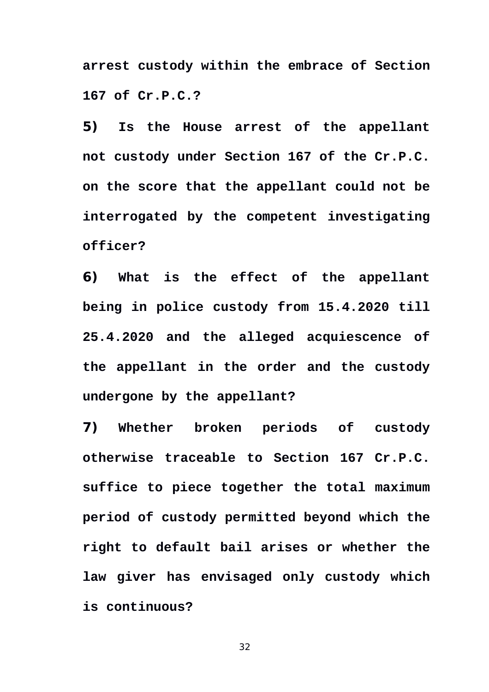**arrest custody within the embrace of Section 167 of Cr.P.C.?**

**5) Is the House arrest of the appellant not custody under Section 167 of the Cr.P.C. on the score that the appellant could not be interrogated by the competent investigating officer?**

**6) What is the effect of the appellant being in police custody from 15.4.2020 till 25.4.2020 and the alleged acquiescence of the appellant in the order and the custody undergone by the appellant?**

**7) Whether broken periods of custody otherwise traceable to Section 167 Cr.P.C. suffice to piece together the total maximum period of custody permitted beyond which the right to default bail arises or whether the law giver has envisaged only custody which is continuous?**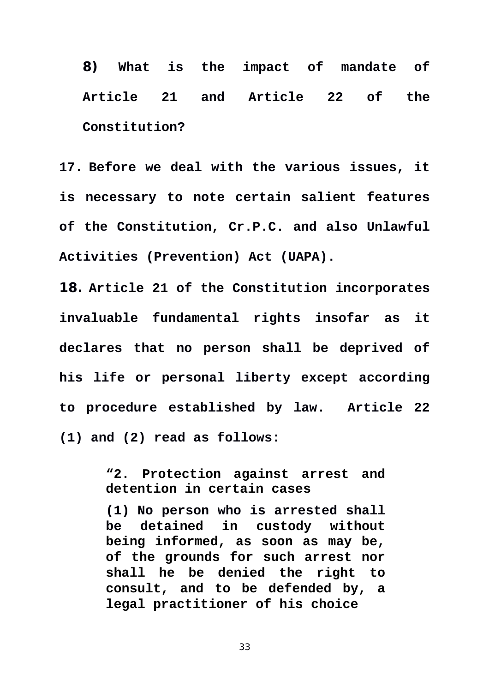**8) What is the impact of mandate of Article 21 and Article 22 of the Constitution?**

**17. Before we deal with the various issues, it is necessary to note certain salient features of the Constitution, Cr.P.C. and also Unlawful Activities (Prevention) Act (UAPA).** 

**18. Article 21 of the Constitution incorporates invaluable fundamental rights insofar as it declares that no person shall be deprived of his life or personal liberty except according to procedure established by law. Article 22 (1) and (2) read as follows:** 

> **"2. Protection against arrest and detention in certain cases**

> **[\(1\)](https://indiankanoon.org/doc/1293832/) No person who is arrested shall be detained in custody without being informed, as soon as may be, of the grounds for such arrest nor shall he be denied the right to consult, and to be defended by, a legal practitioner of his choice**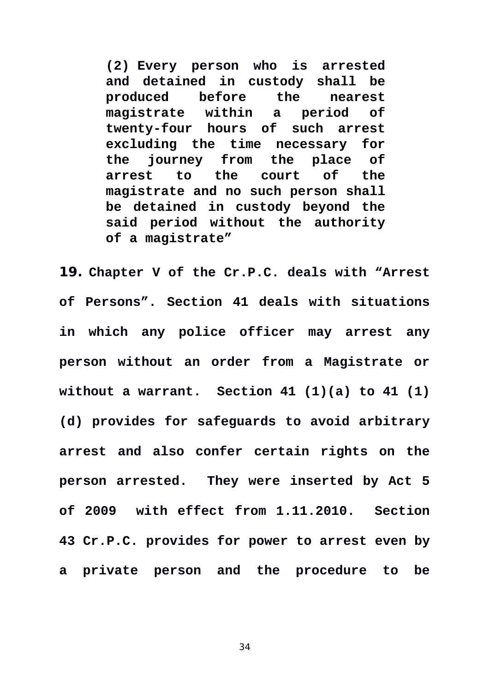**[\(2\)](https://indiankanoon.org/doc/1371971/) Every person who is arrested and detained in custody shall be produced before the nearest magistrate within a period of twenty-four hours of such arrest excluding the time necessary for the journey from the place of arrest to the court of the magistrate and no such person shall be detained in custody beyond the said period without the authority of a magistrate"**

**19. Chapter V of the Cr.P.C. deals with "Arrest of Persons". Section 41 deals with situations in which any police officer may arrest any person without an order from a Magistrate or without a warrant. Section 41 (1)(a) to 41 (1) (d) provides for safeguards to avoid arbitrary arrest and also confer certain rights on the person arrested. They were inserted by Act 5 of 2009 with effect from 1.11.2010. Section 43 Cr.P.C. provides for power to arrest even by a private person and the procedure to be**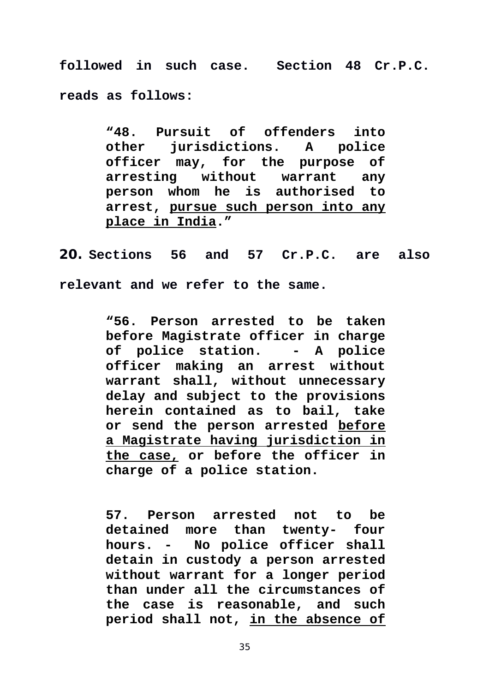**followed in such case. Section 48 Cr.P.C. reads as follows:** 

> **"48. Pursuit of offenders into other jurisdictions. A police officer may, for the purpose of arresting without warrant any person whom he is authorised to arrest, pursue such person into any place in India."**

**20. Sections 56 and 57 Cr.P.C. are also relevant and we refer to the same.** 

> **"56. Person arrested to be taken before Magistrate officer in charge of police station. - A police officer making an arrest without warrant shall, without unnecessary delay and subject to the provisions herein contained as to bail, take or send the person arrested before a Magistrate having jurisdiction in the case, or before the officer in charge of a police station.**

> **57. Person arrested not to be detained more than twenty- four hours. - No police officer shall detain in custody a person arrested without warrant for a longer period than under all the circumstances of the case is reasonable, and such period shall not, in the absence of**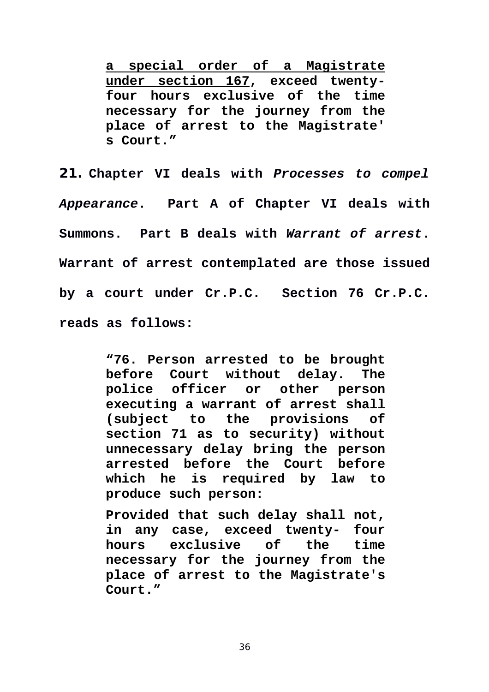**a special order of a Magistrate under section 167, exceed twentyfour hours exclusive of the time necessary for the journey from the place of arrest to the Magistrate' s Court."**

**21. Chapter VI deals with** *Processes to compel Appearance***. Part A of Chapter VI deals with Summons. Part B deals with** *Warrant of arrest***. Warrant of arrest contemplated are those issued by a court under Cr.P.C. Section 76 Cr.P.C. reads as follows:** 

> **"76. Person arrested to be brought before Court without delay. The police officer or other person executing a warrant of arrest shall (subject to the provisions of section 71 as to security) without unnecessary delay bring the person arrested before the Court before which he is required by law to produce such person:**

> **Provided that such delay shall not, in any case, exceed twenty- four hours exclusive of the time necessary for the journey from the place of arrest to the Magistrate's Court."**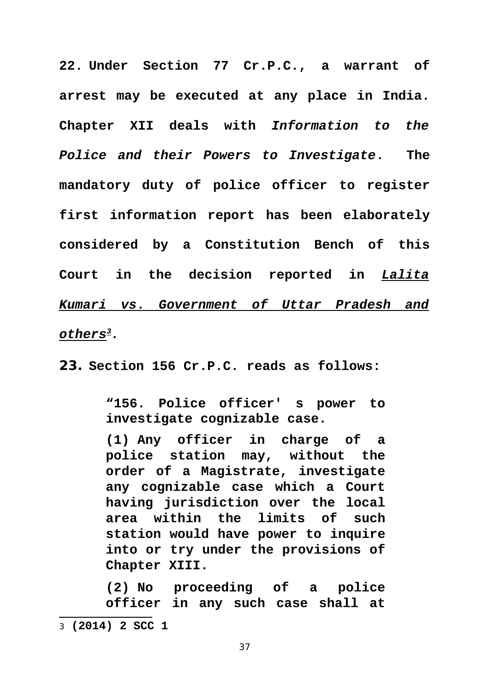**22. Under Section 77 Cr.P.C., a warrant of arrest may be executed at any place in India. Chapter XII deals with** *Information to the Police and their Powers to Investigate***. The mandatory duty of police officer to register first information report has been elaborately considered by a Constitution Bench of this Court in the decision reported in** *Lalita Kumari vs* **.** *Government of Uttar Pradesh and others[3](#page-36-0).* 

**23. Section 156 Cr.P.C. reads as follows:** 

**"156. Police officer' s power to investigate cognizable case.**

**[\(1\)](https://indiankanoon.org/doc/51689/) Any officer in charge of a police station may, without the order of a Magistrate, investigate any cognizable case which a Court having jurisdiction over the local area within the limits of such station would have power to inquire into or try under the provisions of Chapter XIII.**

<span id="page-36-0"></span>**[\(2\)](https://indiankanoon.org/doc/1252798/) No proceeding of a police officer in any such case shall at** 3 **(2014) 2 SCC 1**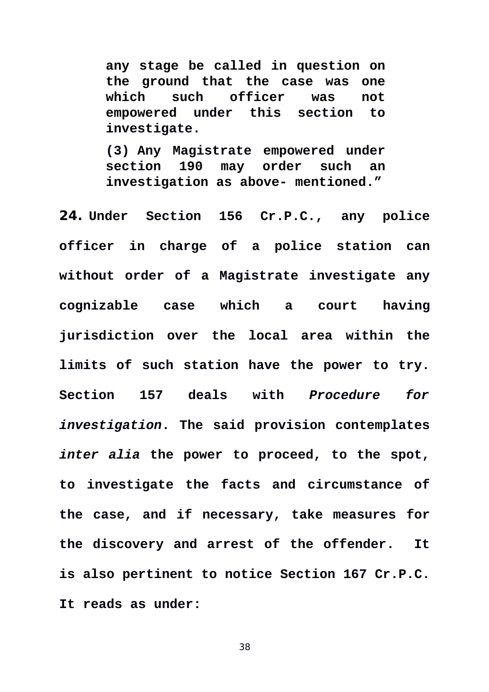**any stage be called in question on the ground that the case was one which such officer was not empowered under this section to investigate.**

**[\(3\)](https://indiankanoon.org/doc/99487/) Any Magistrate empowered under section 190 may order such an investigation as above- mentioned."**

**24. Under Section 156 Cr.P.C., any police officer in charge of a police station can without order of a Magistrate investigate any cognizable case which a court having jurisdiction over the local area within the limits of such station have the power to try. Section 157 deals with** *Procedure for investigation***. The said provision contemplates** *inter alia* **the power to proceed, to the spot, to investigate the facts and circumstance of the case, and if necessary, take measures for the discovery and arrest of the offender. It is also pertinent to notice Section 167 Cr.P.C. It reads as under:**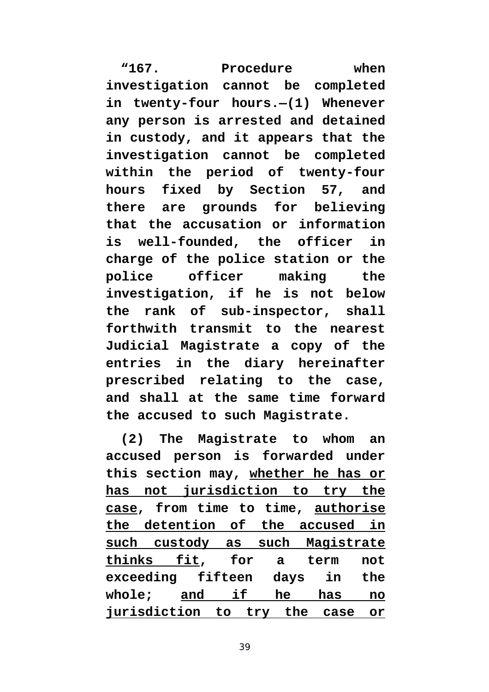**"167. Procedure when investigation cannot be completed in twenty-four hours.—(1) Whenever any person is arrested and detained in custody, and it appears that the investigation cannot be completed within the period of twenty-four hours fixed by Section 57, and there are grounds for believing that the accusation or information is well-founded, the officer in charge of the police station or the police officer making the investigation, if he is not below the rank of sub-inspector, shall forthwith transmit to the nearest Judicial Magistrate a copy of the entries in the diary hereinafter prescribed relating to the case, and shall at the same time forward the accused to such Magistrate.**

**(2) The Magistrate to whom an accused person is forwarded under this section may, whether he has or has not jurisdiction to try the case, from time to time, authorise the detention of the accused in such custody as such Magistrate thinks fit, for a term not exceeding fifteen days in the whole; and if he has no jurisdiction to try the case or**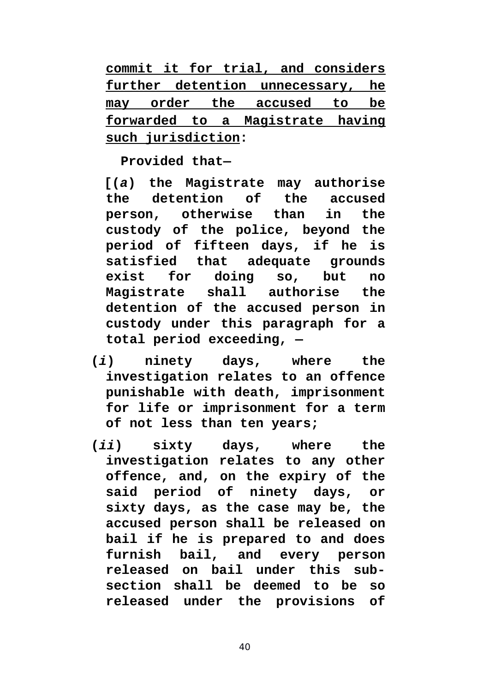**commit it for trial, and considers further detention unnecessary, he may order the accused to be forwarded to a Magistrate having such jurisdiction:**

**Provided that—**

 **[(***a***) the Magistrate may authorise the detention of the accused person, otherwise than in the custody of the police, beyond the period of fifteen days, if he is satisfied that adequate grounds exist for doing so, but no Magistrate shall authorise the detention of the accused person in custody under this paragraph for a total period exceeding, —**

- **(***i***) ninety days, where the investigation relates to an offence punishable with death, imprisonment for life or imprisonment for a term of not less than ten years;**
- **(***ii***) sixty days, where the investigation relates to any other offence, and, on the expiry of the said period of ninety days, or sixty days, as the case may be, the accused person shall be released on bail if he is prepared to and does furnish bail, and every person released on bail under this subsection shall be deemed to be so released under the provisions of**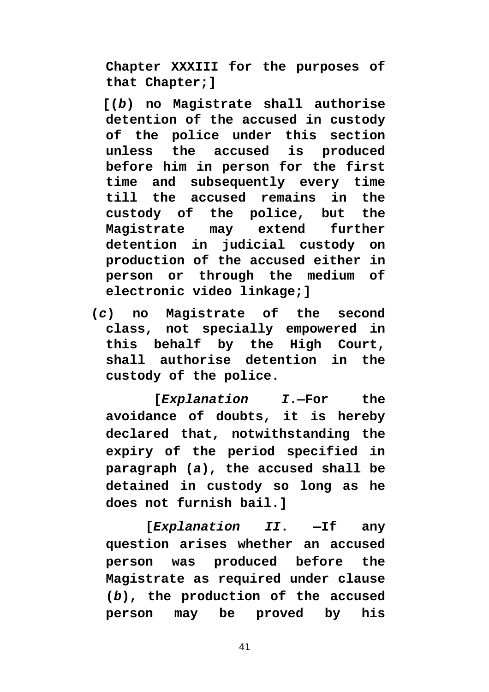**Chapter XXXIII for the purposes of that Chapter;]**

 **[(***b***) no Magistrate shall authorise detention of the accused in custody of the police under this section unless the accused is produced before him in person for the first time and subsequently every time till the accused remains in the custody of the police, but the Magistrate may extend further detention in judicial custody on production of the accused either in person or through the medium of electronic video linkage;]**

**(***c***) no Magistrate of the second class, not specially empowered in this behalf by the High Court, shall authorise detention in the custody of the police.**

 **[***Explanation I***.—For the avoidance of doubts, it is hereby declared that, notwithstanding the expiry of the period specified in paragraph (***a***), the accused shall be detained in custody so long as he does not furnish bail.]**

 **[***Explanation II***. —If any question arises whether an accused person was produced before the Magistrate as required under clause (***b***), the production of the accused person may be proved by his**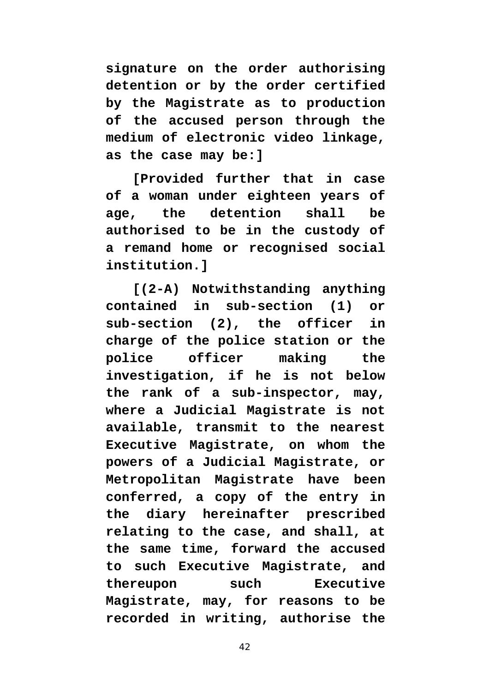**signature on the order authorising detention or by the order certified by the Magistrate as to production of the accused person through the medium of electronic video linkage, as the case may be:]**

 **[Provided further that in case of a woman under eighteen years of age, the detention shall be authorised to be in the custody of a remand home or recognised social institution.]**

 **[(2-A) Notwithstanding anything contained in sub-section (1) or sub-section (2), the officer in charge of the police station or the police officer making the investigation, if he is not below the rank of a sub-inspector, may, where a Judicial Magistrate is not available, transmit to the nearest Executive Magistrate, on whom the powers of a Judicial Magistrate, or Metropolitan Magistrate have been conferred, a copy of the entry in the diary hereinafter prescribed relating to the case, and shall, at the same time, forward the accused to such Executive Magistrate, and thereupon such Executive Magistrate, may, for reasons to be recorded in writing, authorise the**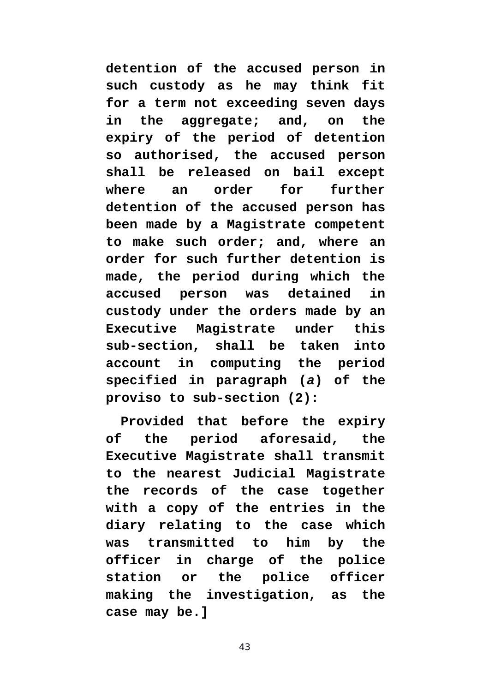**detention of the accused person in such custody as he may think fit for a term not exceeding seven days in the aggregate; and, on the expiry of the period of detention so authorised, the accused person shall be released on bail except where an order for further detention of the accused person has been made by a Magistrate competent to make such order; and, where an order for such further detention is made, the period during which the accused person was detained in custody under the orders made by an Executive Magistrate under this sub-section, shall be taken into account in computing the period specified in paragraph (***a***) of the proviso to sub-section (2):**

**Provided that before the expiry of the period aforesaid, the Executive Magistrate shall transmit to the nearest Judicial Magistrate the records of the case together with a copy of the entries in the diary relating to the case which was transmitted to him by the officer in charge of the police station or the police officer making the investigation, as the case may be.]**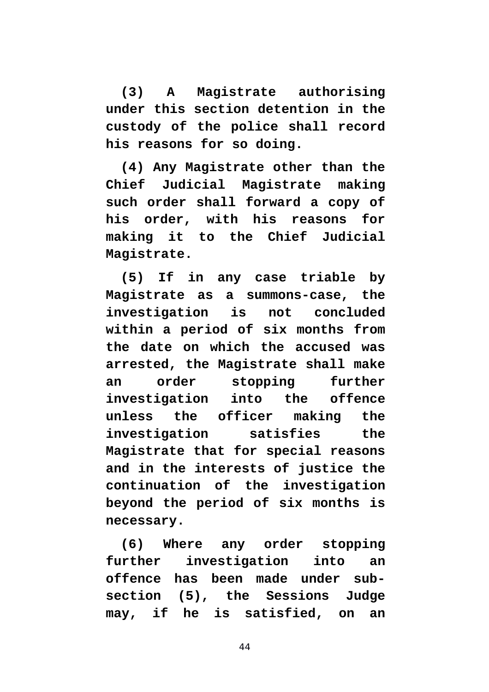**(3) A Magistrate authorising under this section detention in the custody of the police shall record his reasons for so doing.**

**(4) Any Magistrate other than the Chief Judicial Magistrate making such order shall forward a copy of his order, with his reasons for making it to the Chief Judicial Magistrate.**

**(5) If in any case triable by Magistrate as a summons-case, the investigation is not concluded within a period of six months from the date on which the accused was arrested, the Magistrate shall make an order stopping further investigation into the offence unless the officer making the investigation satisfies the Magistrate that for special reasons and in the interests of justice the continuation of the investigation beyond the period of six months is necessary.**

**(6) Where any order stopping further investigation into an offence has been made under subsection (5), the Sessions Judge may, if he is satisfied, on an**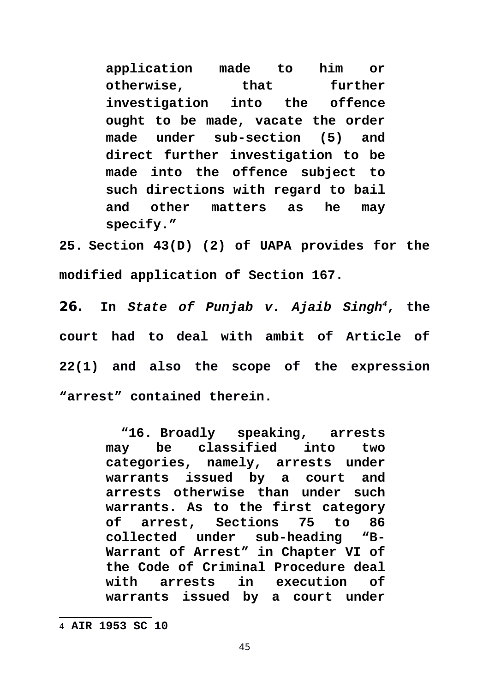**application made to him or otherwise, that further investigation into the offence ought to be made, vacate the order made under sub-section (5) and direct further investigation to be made into the offence subject to such directions with regard to bail and other matters as he may specify."**

**25. Section 43(D) (2) of UAPA provides for the modified application of Section 167.** 

**26. In** *State of Punjab v. Ajaib Singh[4](#page-44-0)***, the court had to deal with ambit of Article of 22(1) and also the scope of the expression "arrest" contained therein.** 

> **"16. Broadly speaking, arrests may be classified into two categories, namely, arrests under warrants issued by a court and arrests otherwise than under such warrants. As to the first category of arrest, Sections 75 to 86 collected under sub-heading "B-Warrant of Arrest" in Chapter VI of the Code of Criminal Procedure deal with arrests in execution of warrants issued by a court under**

<span id="page-44-0"></span><sup>4</sup> **AIR 1953 SC 10**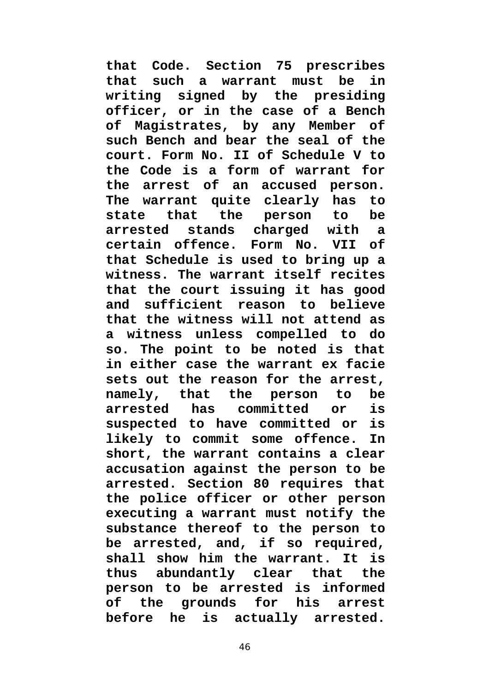**that Code. Section 75 prescribes that such a warrant must be in writing signed by the presiding officer, or in the case of a Bench of Magistrates, by any Member of such Bench and bear the seal of the court. Form No. II of Schedule V to the Code is a form of warrant for the arrest of an accused person. The warrant quite clearly has to state that the person to be arrested stands charged with a certain offence. Form No. VII of that Schedule is used to bring up a witness. The warrant itself recites that the court issuing it has good and sufficient reason to believe that the witness will not attend as a witness unless compelled to do so. The point to be noted is that in either case the warrant ex facie sets out the reason for the arrest, namely, that the person to be arrested has committed or is suspected to have committed or is likely to commit some offence. In short, the warrant contains a clear accusation against the person to be arrested. Section 80 requires that the police officer or other person executing a warrant must notify the substance thereof to the person to be arrested, and, if so required, shall show him the warrant. It is thus abundantly clear that the person to be arrested is informed of the grounds for his arrest before he is actually arrested.**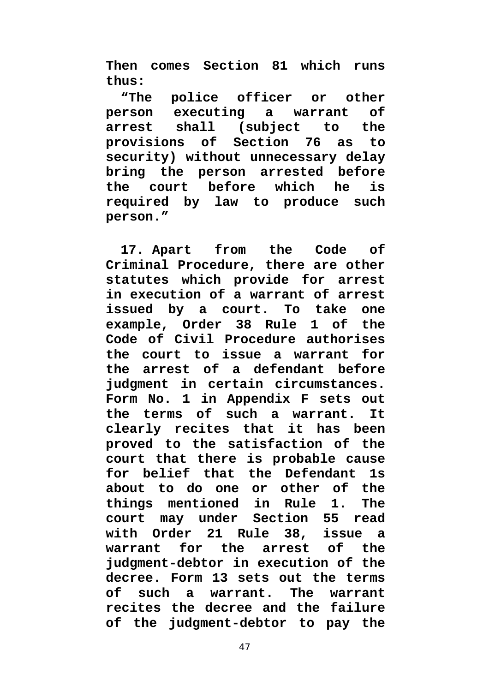**Then comes Section 81 which runs thus:**

**"The police officer or other person executing a warrant of arrest shall (subject to the provisions of Section 76 as to security) without unnecessary delay bring the person arrested before the court before which he is required by law to produce such person."**

**17. Apart from the Code of Criminal Procedure, there are other statutes which provide for arrest in execution of a warrant of arrest issued by a court. To take one example, Order 38 Rule 1 of the Code of Civil Procedure authorises the court to issue a warrant for the arrest of a defendant before judgment in certain circumstances. Form No. 1 in Appendix F sets out the terms of such a warrant. It clearly recites that it has been proved to the satisfaction of the court that there is probable cause for belief that the Defendant 1s about to do one or other of the things mentioned in Rule 1. The court may under Section 55 read with Order 21 Rule 38, issue a warrant for the arrest of the judgment-debtor in execution of the decree. Form 13 sets out the terms of such a warrant. The warrant recites the decree and the failure of the judgment-debtor to pay the**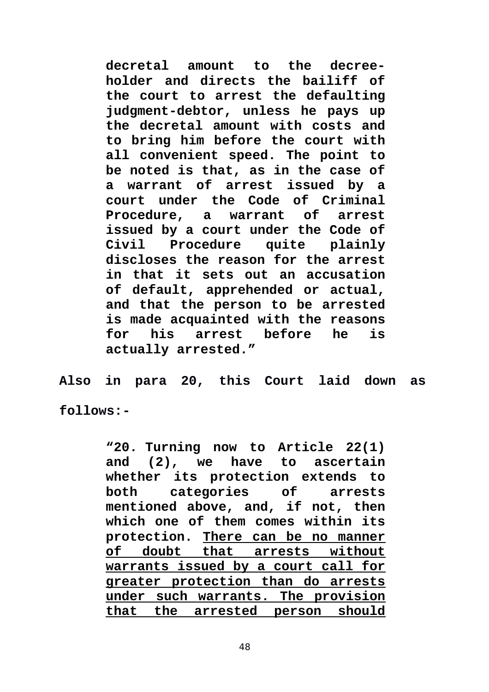**decretal amount to the decreeholder and directs the bailiff of the court to arrest the defaulting judgment-debtor, unless he pays up the decretal amount with costs and to bring him before the court with all convenient speed. The point to be noted is that, as in the case of a warrant of arrest issued by a court under the Code of Criminal Procedure, a warrant of arrest issued by a court under the Code of Civil Procedure quite plainly discloses the reason for the arrest in that it sets out an accusation of default, apprehended or actual, and that the person to be arrested is made acquainted with the reasons for his arrest before he is actually arrested."**

**Also in para 20, this Court laid down as**

**follows:-**

**"20. Turning now to Article 22(1) and (2), we have to ascertain whether its protection extends to both categories of arrests mentioned above, and, if not, then which one of them comes within its protection. There can be no manner of doubt that arrests without warrants issued by a court call for greater protection than do arrests under such warrants. The provision that the arrested person should**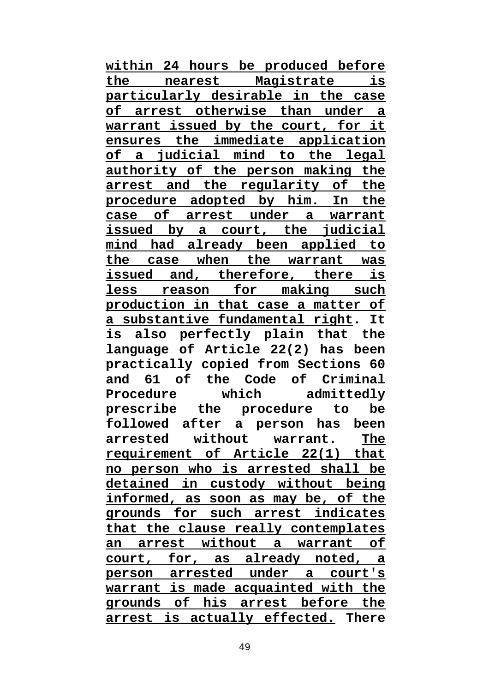**within 24 hours be produced before the nearest Magistrate is particularly desirable in the case of arrest otherwise than under a warrant issued by the court, for it ensures the immediate application of a judicial mind to the legal authority of the person making the arrest and the regularity of the procedure adopted by him. In the case of arrest under a warrant issued by a court, the judicial mind had already been applied to the case when the warrant was issued and, therefore, there is less reason for making such production in that case a matter of a substantive fundamental right. It is also perfectly plain that the language of Article 22(2) has been practically copied from Sections 60 and 61 of the Code of Criminal Procedure which admittedly prescribe the procedure to be followed after a person has been arrested without warrant. The requirement of Article 22(1) that no person who is arrested shall be detained in custody without being informed, as soon as may be, of the grounds for such arrest indicates that the clause really contemplates an arrest without a warrant of court, for, as already noted, a person arrested under a court's warrant is made acquainted with the grounds of his arrest before the arrest is actually effected. There**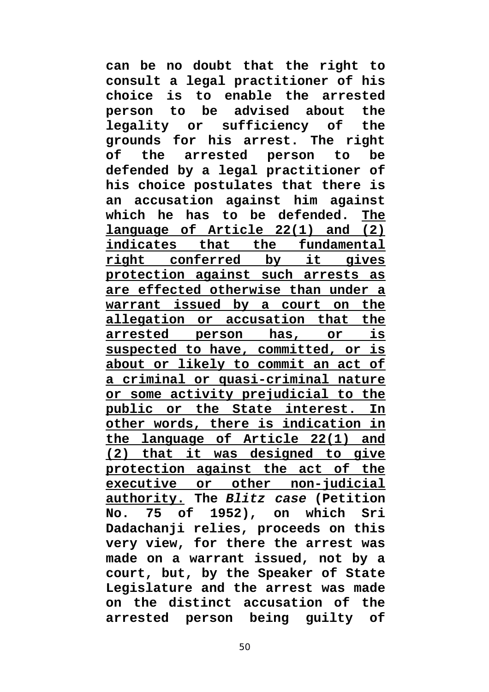**can be no doubt that the right to consult a legal practitioner of his choice is to enable the arrested person to be advised about the legality or sufficiency of the grounds for his arrest. The right of the arrested person to be defended by a legal practitioner of his choice postulates that there is an accusation against him against which he has to be defended. The language of Article 22(1) and (2) indicates that the fundamental right conferred by it gives protection against such arrests as are effected otherwise than under a warrant issued by a court on the allegation or accusation that the arrested person has, or is suspected to have, committed, or is about or likely to commit an act of a criminal or quasi-criminal nature or some activity prejudicial to the public or the State interest. In other words, there is indication in the language of Article 22(1) and (2) that it was designed to give protection against the act of the executive or other non-judicial authority. The** *Blitz case* **(Petition No. 75 of 1952), on which Sri Dadachanji relies, proceeds on this very view, for there the arrest was made on a warrant issued, not by a court, but, by the Speaker of State Legislature and the arrest was made on the distinct accusation of the arrested person being guilty of**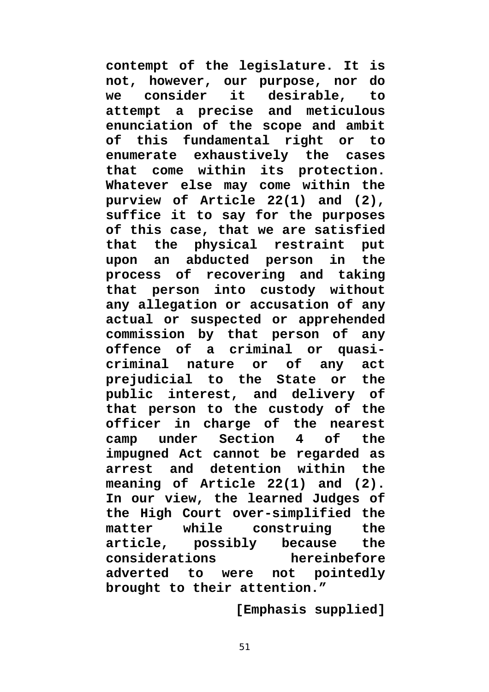**contempt of the legislature. It is not, however, our purpose, nor do we consider it desirable, to attempt a precise and meticulous enunciation of the scope and ambit of this fundamental right or to enumerate exhaustively the cases that come within its protection. Whatever else may come within the purview of Article 22(1) and (2), suffice it to say for the purposes of this case, that we are satisfied that the physical restraint put upon an abducted person in the process of recovering and taking that person into custody without any allegation or accusation of any actual or suspected or apprehended commission by that person of any offence of a criminal or quasicriminal nature or of any act prejudicial to the State or the public interest, and delivery of that person to the custody of the officer in charge of the nearest camp under Section 4 of the impugned Act cannot be regarded as arrest and detention within the meaning of Article 22(1) and (2). In our view, the learned Judges of the High Court over-simplified the matter while construing the article, possibly because the considerations hereinbefore adverted to were not pointedly brought to their attention."**

**[Emphasis supplied]**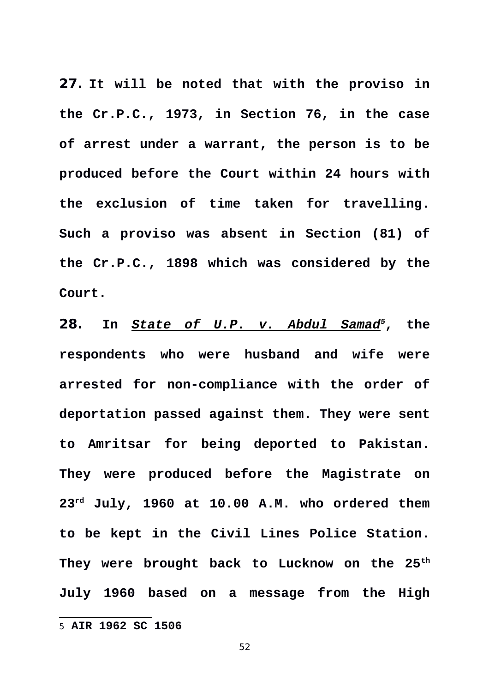**27. It will be noted that with the proviso in the Cr.P.C., 1973, in Section 76, in the case of arrest under a warrant, the person is to be produced before the Court within 24 hours with the exclusion of time taken for travelling. Such a proviso was absent in Section (81) of the Cr.P.C., 1898 which was considered by the Court.** 

**28. In** *State of U.P. v. Abdul Samad[5](#page-51-0)***, the respondents who were husband and wife were arrested for non-compliance with the order of deportation passed against them. They were sent to Amritsar for being deported to Pakistan. They were produced before the Magistrate on 23rd July, 1960 at 10.00 A.M. who ordered them to be kept in the Civil Lines Police Station. They were brought back to Lucknow on the 25th July 1960 based on a message from the High**

<span id="page-51-0"></span><sup>5</sup> **AIR 1962 SC 1506**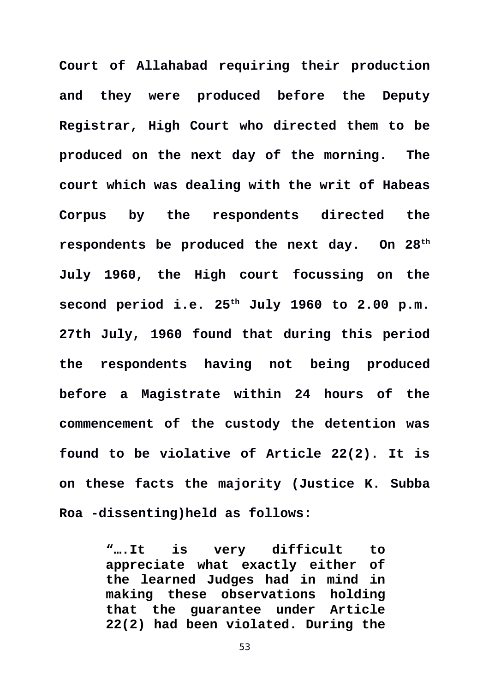**Court of Allahabad requiring their production and they were produced before the Deputy Registrar, High Court who directed them to be produced on the next day of the morning. The court which was dealing with the writ of Habeas Corpus by the respondents directed the respondents be produced the next day. On 28th July 1960, the High court focussing on the second period i.e. 25th July 1960 to 2.00 p.m. 27th July, 1960 found that during this period the respondents having not being produced before a Magistrate within 24 hours of the commencement of the custody the detention was found to be violative of Article 22(2). It is on these facts the majority (Justice K. Subba Roa -dissenting)held as follows:** 

> **"….It is very difficult to appreciate what exactly either of the learned Judges had in mind in making these observations holding that the guarantee under Article 22(2) had been violated. During the**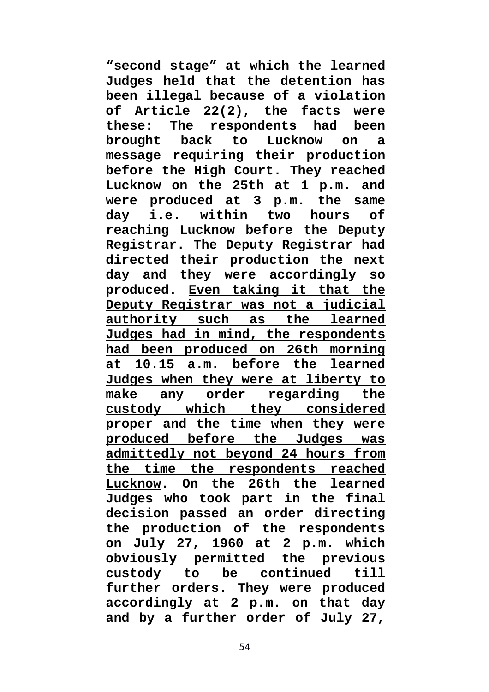**"second stage" at which the learned Judges held that the detention has been illegal because of a violation of Article 22(2), the facts were these: The respondents had been brought back to Lucknow on a message requiring their production before the High Court. They reached Lucknow on the 25th at 1 p.m. and were produced at 3 p.m. the same day i.e. within two hours of reaching Lucknow before the Deputy Registrar. The Deputy Registrar had directed their production the next day and they were accordingly so produced. Even taking it that the Deputy Registrar was not a judicial authority such as the learned Judges had in mind, the respondents had been produced on 26th morning at 10.15 a.m. before the learned Judges when they were at liberty to make any order regarding the custody which they considered proper and the time when they were produced before the Judges was admittedly not beyond 24 hours from the time the respondents reached Lucknow. On the 26th the learned Judges who took part in the final decision passed an order directing the production of the respondents on July 27, 1960 at 2 p.m. which obviously permitted the previous custody to be continued till further orders. They were produced accordingly at 2 p.m. on that day and by a further order of July 27,**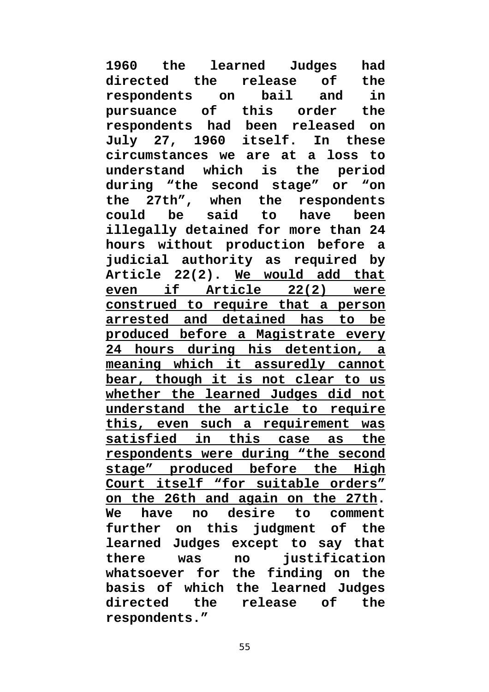**1960 the learned Judges had directed the release of the respondents on bail and in pursuance of this order the respondents had been released on July 27, 1960 itself. In these circumstances we are at a loss to understand which is the period during "the second stage" or "on the 27th", when the respondents could be said to have been illegally detained for more than 24 hours without production before a judicial authority as required by Article 22(2). We would add that even if Article 22(2) were construed to require that a person arrested and detained has to be produced before a Magistrate every 24 hours during his detention, a meaning which it assuredly cannot bear, though it is not clear to us whether the learned Judges did not understand the article to require this, even such a requirement was satisfied in this case as the respondents were during "the second stage" produced before the High Court itself "for suitable orders" on the 26th and again on the 27th. We have no desire to comment further on this judgment of the learned Judges except to say that there was no justification whatsoever for the finding on the basis of which the learned Judges directed the release of the respondents."**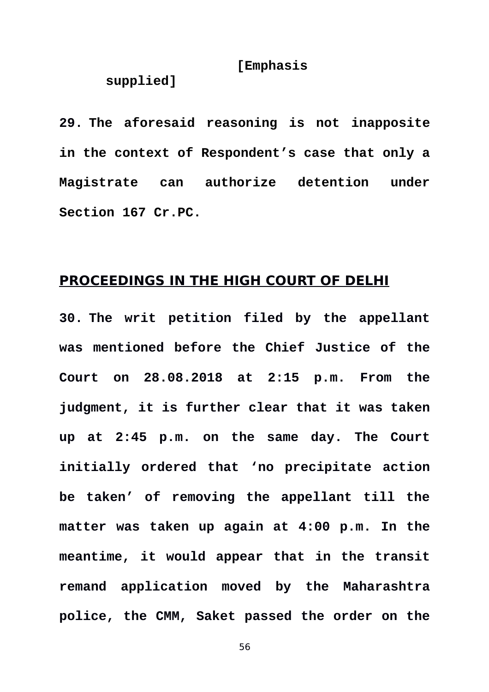## **[Emphasis**

## **supplied]**

**29. The aforesaid reasoning is not inapposite in the context of Respondent's case that only a Magistrate can authorize detention under Section 167 Cr.PC.** 

## **PROCEEDINGS IN THE HIGH COURT OF DELHI**

**30. The writ petition filed by the appellant was mentioned before the Chief Justice of the Court on 28.08.2018 at 2:15 p.m. From the judgment, it is further clear that it was taken up at 2:45 p.m. on the same day. The Court initially ordered that 'no precipitate action be taken' of removing the appellant till the matter was taken up again at 4:00 p.m. In the meantime, it would appear that in the transit remand application moved by the Maharashtra police, the CMM, Saket passed the order on the**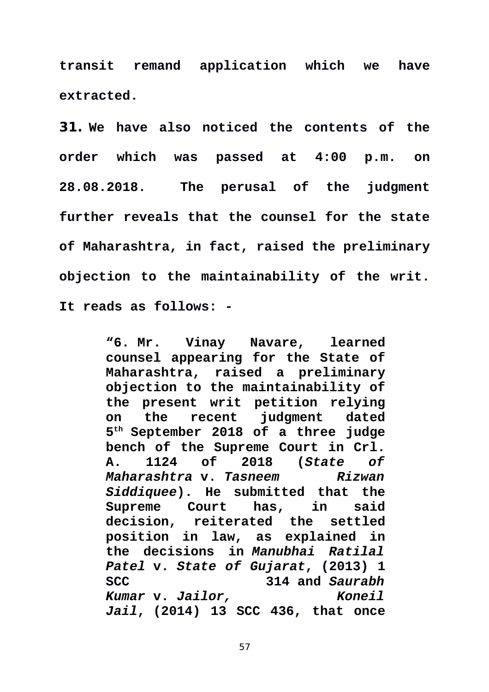**transit remand application which we have extracted.** 

**31. We have also noticed the contents of the order which was passed at 4:00 p.m. on 28.08.2018. The perusal of the judgment further reveals that the counsel for the state of Maharashtra, in fact, raised the preliminary objection to the maintainability of the writ. It reads as follows: -** 

> **"6. Mr. Vinay Navare, learned counsel appearing for the State of Maharashtra, raised a preliminary objection to the maintainability of the present writ petition relying on the recent judgment dated 5 th September 2018 of a three judge bench of the Supreme Court in Crl. A. 1124 of 2018 (***State of Maharashtra* **v.** *Tasneem Rizwan Siddiquee***). He submitted that the Supreme Court has, in said decision, reiterated the settled position in law, as explained in the decisions in** *Manubhai Ratilal Patel* **v.** *State of Gujarat***, (2013) 1 SCC 314 and** *Saurabh Kumar* **v.** *Jailor, Koneil Jail***, (2014) 13 SCC 436, that once**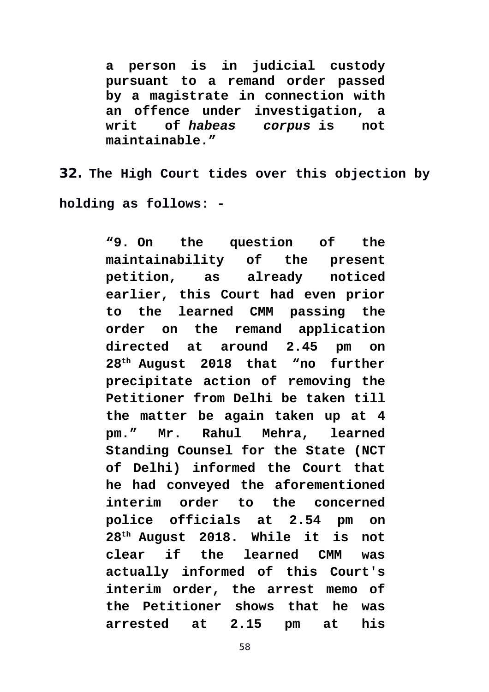**a person is in judicial custody pursuant to a remand order passed by a magistrate in connection with an offence under investigation, a writ of** *habeas corpus* **is not maintainable."**

**32. The High Court tides over this objection by holding as follows: -** 

> **"9. On the question of the maintainability of the present petition, as already noticed earlier, this Court had even prior to the learned CMM passing the order on the remand application directed at around 2.45 pm on 28th August 2018 that "no further precipitate action of removing the Petitioner from Delhi be taken till the matter be again taken up at 4 pm." Mr. Rahul Mehra, learned Standing Counsel for the State (NCT of Delhi) informed the Court that he had conveyed the aforementioned interim order to the concerned police officials at 2.54 pm on 28th August 2018. While it is not clear if the learned CMM was actually informed of this Court's interim order, the arrest memo of the Petitioner shows that he was arrested at 2.15 pm at his**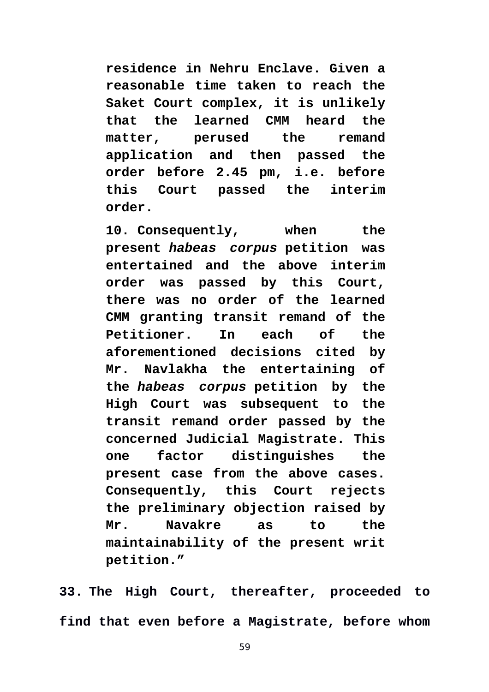**residence in Nehru Enclave. Given a reasonable time taken to reach the Saket Court complex, it is unlikely that the learned CMM heard the matter, perused the remand application and then passed the order before 2.45 pm, i.e. before this Court passed the interim order.**

**10. Consequently, when the present** *habeas corpus* **petition was entertained and the above interim order was passed by this Court, there was no order of the learned CMM granting transit remand of the Petitioner. In each of the aforementioned decisions cited by Mr. Navlakha the entertaining of the** *habeas corpus* **petition by the High Court was subsequent to the transit remand order passed by the concerned Judicial Magistrate. This one factor distinguishes the present case from the above cases. Consequently, this Court rejects the preliminary objection raised by Mr. Navakre as to the maintainability of the present writ petition."**

**33. The High Court, thereafter, proceeded to find that even before a Magistrate, before whom**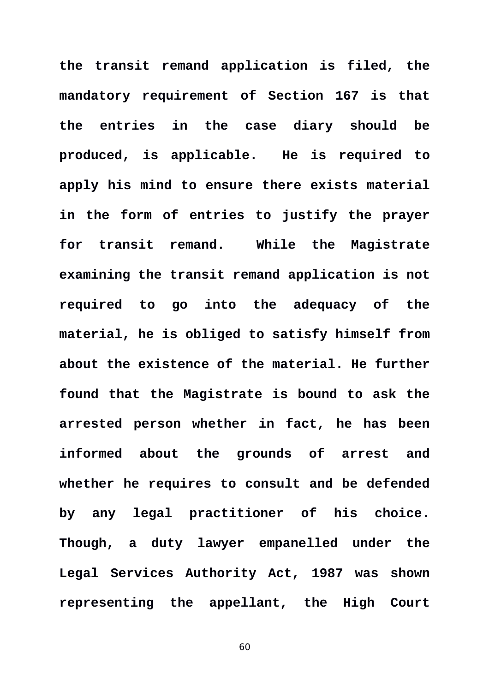**the transit remand application is filed, the mandatory requirement of Section 167 is that the entries in the case diary should be produced, is applicable. He is required to apply his mind to ensure there exists material in the form of entries to justify the prayer for transit remand. While the Magistrate examining the transit remand application is not required to go into the adequacy of the material, he is obliged to satisfy himself from about the existence of the material. He further found that the Magistrate is bound to ask the arrested person whether in fact, he has been informed about the grounds of arrest and whether he requires to consult and be defended by any legal practitioner of his choice. Though, a duty lawyer empanelled under the Legal Services Authority Act, 1987 was shown representing the appellant, the High Court**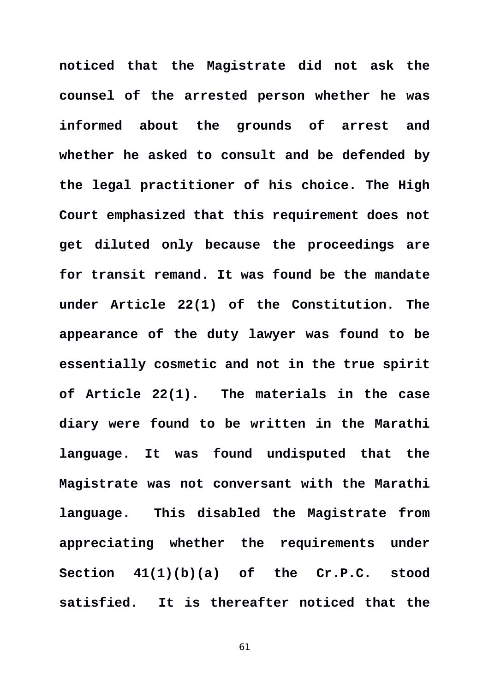**noticed that the Magistrate did not ask the counsel of the arrested person whether he was informed about the grounds of arrest and whether he asked to consult and be defended by the legal practitioner of his choice. The High Court emphasized that this requirement does not get diluted only because the proceedings are for transit remand. It was found be the mandate under Article 22(1) of the Constitution. The appearance of the duty lawyer was found to be essentially cosmetic and not in the true spirit of Article 22(1).****The materials in the case diary were found to be written in the Marathi language. It was found undisputed that the Magistrate was not conversant with the Marathi language. This disabled the Magistrate from appreciating whether the requirements under Section 41(1)(b)(a) of the Cr.P.C. stood satisfied. It is thereafter noticed that the**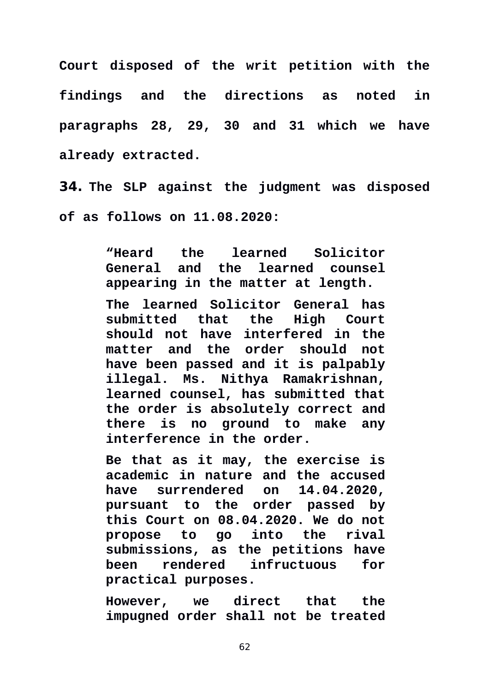**Court disposed of the writ petition with the findings and the directions as noted in paragraphs 28, 29, 30 and 31 which we have already extracted.** 

**34. The SLP against the judgment was disposed of as follows on 11.08.2020:** 

> **"Heard the learned Solicitor General and the learned counsel appearing in the matter at length.**

> **The learned Solicitor General has submitted that the High Court should not have interfered in the matter and the order should not have been passed and it is palpably illegal. Ms. Nithya Ramakrishnan, learned counsel, has submitted that the order is absolutely correct and there is no ground to make any interference in the order.**

> **Be that as it may, the exercise is academic in nature and the accused have surrendered on 14.04.2020, pursuant to the order passed by this Court on 08.04.2020. We do not propose to go into the rival submissions, as the petitions have been rendered infructuous for practical purposes.**

> **However, we direct that the impugned order shall not be treated**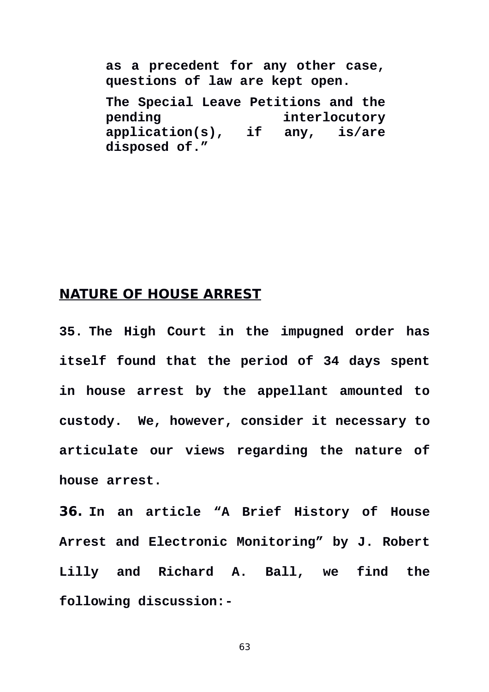**as a precedent for any other case, questions of law are kept open.** 

**The Special Leave Petitions and the pending interlocutory application(s), if any, is/are disposed of."**

## **NATURE OF HOUSE ARREST**

**35. The High Court in the impugned order has itself found that the period of 34 days spent in house arrest by the appellant amounted to custody. We, however, consider it necessary to articulate our views regarding the nature of house arrest.** 

**36. In an article "A Brief History of House Arrest and Electronic Monitoring" by J. Robert Lilly and Richard A. Ball, we find the following discussion:-**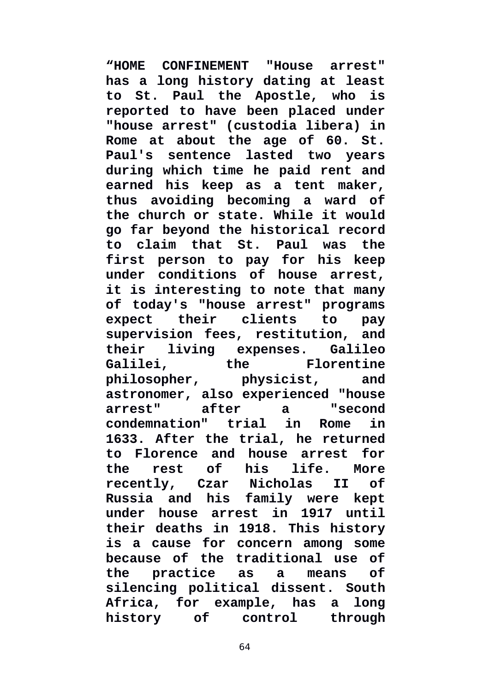**"HOME CONFINEMENT "House arrest" has a long history dating at least to St. Paul the Apostle, who is reported to have been placed under "house arrest" (custodia libera) in Rome at about the age of 60. St. Paul's sentence lasted two years during which time he paid rent and earned his keep as a tent maker, thus avoiding becoming a ward of the church or state. While it would go far beyond the historical record to claim that St. Paul was the first person to pay for his keep under conditions of house arrest, it is interesting to note that many of today's "house arrest" programs expect their clients to pay supervision fees, restitution, and their living expenses. Galileo Galilei, the Florentine philosopher, physicist, and astronomer, also experienced "house arrest" after a "second condemnation" trial in Rome in 1633. After the trial, he returned to Florence and house arrest for the rest of his life. More recently, Czar Nicholas II of Russia and his family were kept under house arrest in 1917 until their deaths in 1918. This history is a cause for concern among some because of the traditional use of the practice as a means of silencing political dissent. South Africa, for example, has a long history of control through**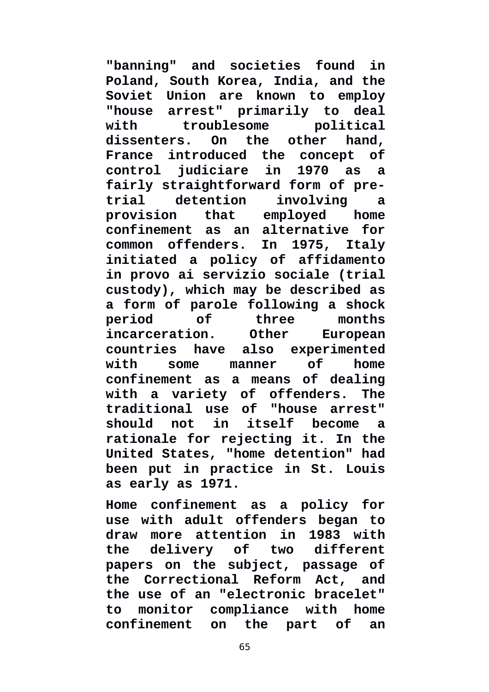**"banning" and societies found in Poland, South Korea, India, and the Soviet Union are known to employ "house arrest" primarily to deal with troublesome political dissenters. On the other hand, France introduced the concept of control judiciare in 1970 as a fairly straightforward form of pretrial detention involving a provision that employed home confinement as an alternative for common offenders. In 1975, Italy initiated a policy of affidamento in provo ai servizio sociale (trial custody), which may be described as a form of parole following a shock period of three months incarceration. Other European countries have also experimented with some manner of home confinement as a means of dealing with a variety of offenders. The traditional use of "house arrest" should not in itself become a rationale for rejecting it. In the United States, "home detention" had been put in practice in St. Louis as early as 1971.**

**Home confinement as a policy for use with adult offenders began to draw more attention in 1983 with the delivery of two different papers on the subject, passage of the Correctional Reform Act, and the use of an "electronic bracelet" to monitor compliance with home confinement on the part of an**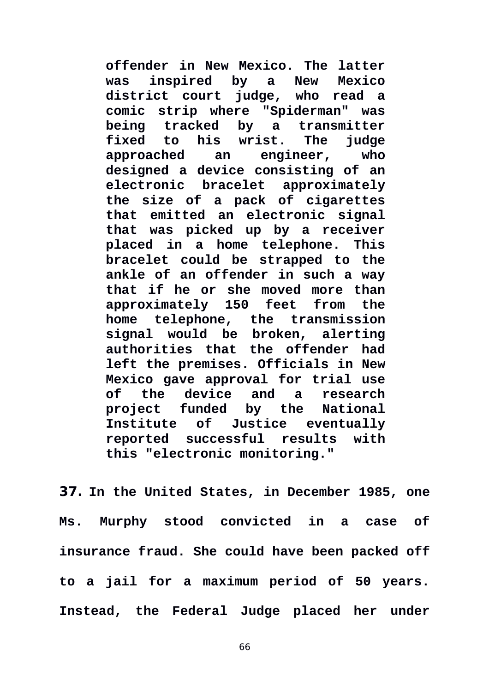**offender in New Mexico. The latter was inspired by a New Mexico district court judge, who read a comic strip where "Spiderman" was being tracked by a transmitter fixed to his wrist. The judge approached an engineer, who designed a device consisting of an electronic bracelet approximately the size of a pack of cigarettes that emitted an electronic signal that was picked up by a receiver placed in a home telephone. This bracelet could be strapped to the ankle of an offender in such a way that if he or she moved more than approximately 150 feet from the home telephone, the transmission signal would be broken, alerting authorities that the offender had left the premises. Officials in New Mexico gave approval for trial use of the device and a research project funded by the National Institute of Justice eventually reported successful results with this "electronic monitoring."** 

**37. In the United States, in December 1985, one Ms. Murphy stood convicted in a case of insurance fraud. She could have been packed off to a jail for a maximum period of 50 years. Instead, the Federal Judge placed her under**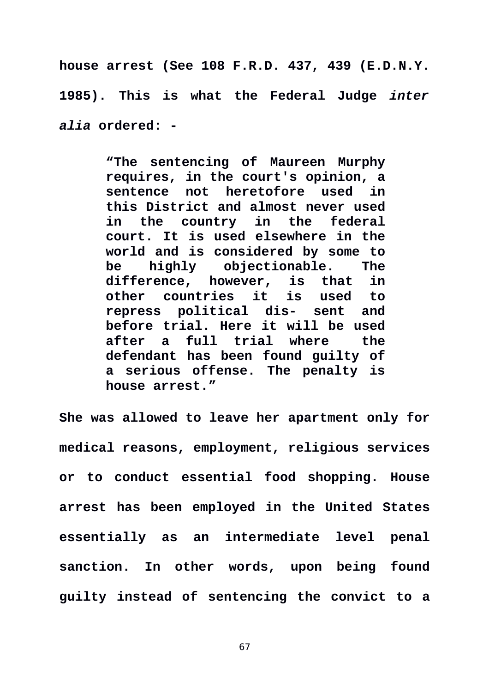**house arrest (See 108 F.R.D. 437, 439 (E.D.N.Y. 1985). This is what the Federal Judge** *inter alia* **ordered: -** 

> **"The sentencing of Maureen Murphy requires, in the court's opinion, a sentence not heretofore used in this District and almost never used in the country in the federal court. It is used elsewhere in the world and is considered by some to be highly objectionable. The difference, however, is that in other countries it is used to repress political dis- sent and before trial. Here it will be used after a full trial where the defendant has been found guilty of a serious offense. The penalty is house arrest."**

**She was allowed to leave her apartment only for medical reasons, employment, religious services or to conduct essential food shopping. House arrest has been employed in the United States essentially as an intermediate level penal sanction. In other words, upon being found guilty instead of sentencing the convict to a**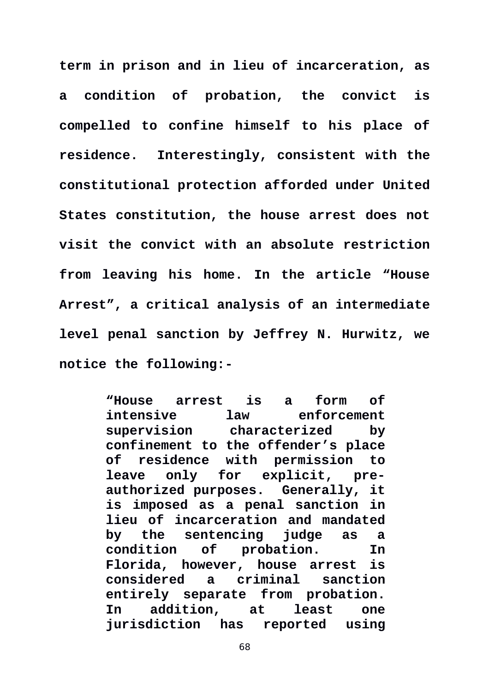**term in prison and in lieu of incarceration, as a condition of probation, the convict is compelled to confine himself to his place of residence. Interestingly, consistent with the constitutional protection afforded under United States constitution, the house arrest does not visit the convict with an absolute restriction from leaving his home. In the article "House Arrest", a critical analysis of an intermediate level penal sanction by Jeffrey N. Hurwitz, we notice the following:-**

> **"House arrest is a form of intensive law enforcement supervision characterized by confinement to the offender's place of residence with permission to leave only for explicit, preauthorized purposes. Generally, it is imposed as a penal sanction in lieu of incarceration and mandated by the sentencing judge as a condition of probation. In Florida, however, house arrest is considered a criminal sanction entirely separate from probation. In addition, at least one jurisdiction has reported using**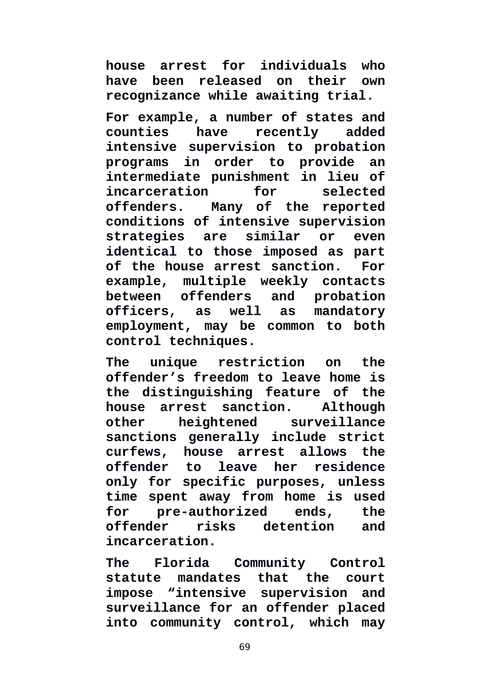**house arrest for individuals who have been released on their own recognizance while awaiting trial.** 

**For example, a number of states and counties have recently added intensive supervision to probation programs in order to provide an intermediate punishment in lieu of incarceration for selected offenders. Many of the reported conditions of intensive supervision strategies are similar or even identical to those imposed as part of the house arrest sanction. For example, multiple weekly contacts between offenders and probation officers, as well as mandatory employment, may be common to both control techniques.**

**The unique restriction on the offender's freedom to leave home is the distinguishing feature of the house arrest sanction. Although other heightened surveillance sanctions generally include strict curfews, house arrest allows the offender to leave her residence only for specific purposes, unless time spent away from home is used for pre-authorized ends, the offender risks detention and incarceration.**

**The Florida Community Control statute mandates that the court impose "intensive supervision and surveillance for an offender placed into community control, which may**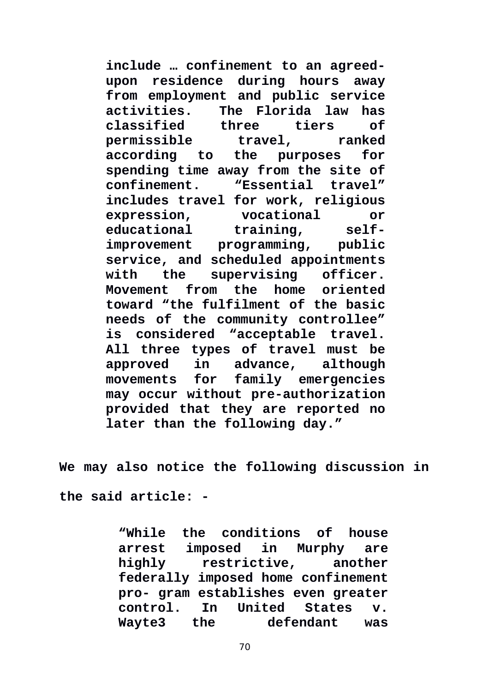**include … confinement to an agreedupon residence during hours away from employment and public service activities. The Florida law has classified three tiers of permissible travel, ranked according to the purposes for spending time away from the site of confinement. "Essential travel" includes travel for work, religious expression, vocational or educational training, selfimprovement programming, public service, and scheduled appointments with the supervising officer. Movement from the home oriented toward "the fulfilment of the basic needs of the community controllee" is considered "acceptable travel. All three types of travel must be approved in advance, although movements for family emergencies may occur without pre-authorization provided that they are reported no later than the following day."**

**We may also notice the following discussion in**

**the said article: -**

**"While the conditions of house arrest imposed in Murphy are highly restrictive, another federally imposed home confinement pro- gram establishes even greater control. In United States v. Wayte3 the defendant was**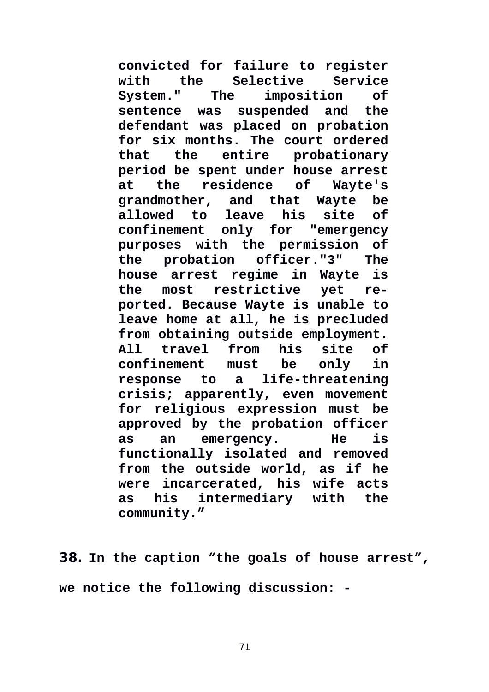**convicted for failure to register with the Selective Service System." The imposition of sentence was suspended and the defendant was placed on probation for six months. The court ordered that the entire probationary period be spent under house arrest at the residence of Wayte's grandmother, and that Wayte be allowed to leave his site of confinement only for "emergency purposes with the permission of the probation officer."3" The house arrest regime in Wayte is the most restrictive yet reported. Because Wayte is unable to leave home at all, he is precluded from obtaining outside employment. All travel from his site of confinement must be only in response to a life-threatening crisis; apparently, even movement for religious expression must be approved by the probation officer as an emergency. He is functionally isolated and removed from the outside world, as if he were incarcerated, his wife acts as his intermediary with the community."** 

**38. In the caption "the goals of house arrest", we notice the following discussion: -**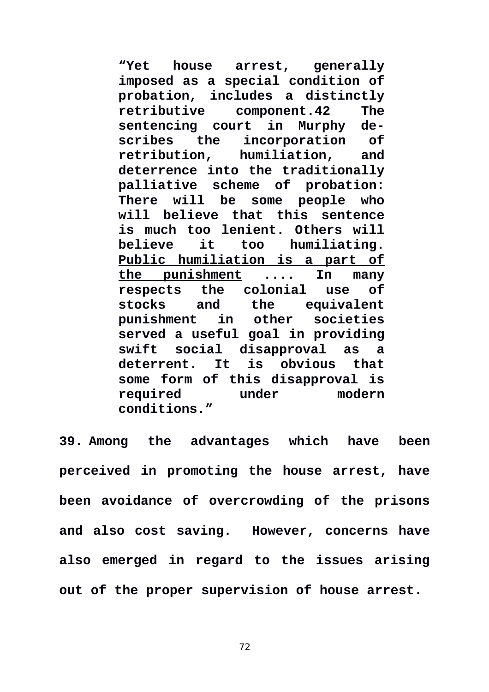**"Yet house arrest, generally imposed as a special condition of probation, includes a distinctly retributive component.42 The sentencing court in Murphy describes the incorporation of retribution, humiliation, and deterrence into the traditionally palliative scheme of probation: There will be some people who will believe that this sentence is much too lenient. Others will believe it too humiliating. Public humiliation is a part of the punishment .... In many respects the colonial use of stocks and the equivalent punishment in other societies served a useful goal in providing swift social disapproval as a deterrent. It is obvious that some form of this disapproval is required under modern conditions."**

**39. Among the advantages which have been perceived in promoting the house arrest, have been avoidance of overcrowding of the prisons and also cost saving. However, concerns have also emerged in regard to the issues arising out of the proper supervision of house arrest.**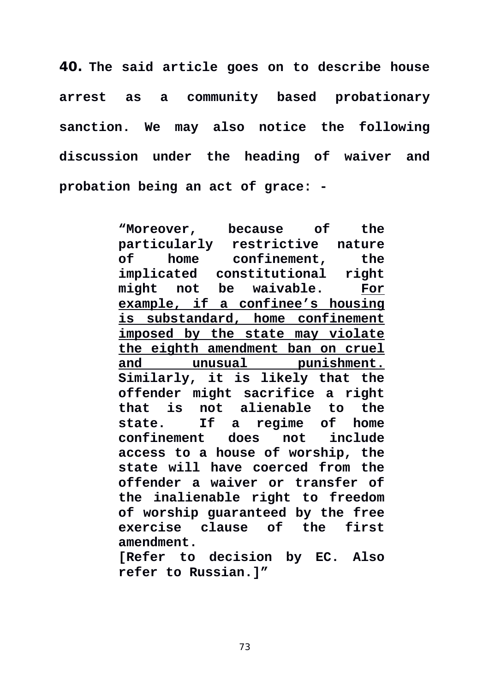**40. The said article goes on to describe house arrest as a community based probationary sanction. We may also notice the following discussion under the heading of waiver and probation being an act of grace: -** 

> **"Moreover, because of the particularly restrictive nature of home confinement, the implicated constitutional right might not be waivable. For example, if a confinee's housing is substandard, home confinement imposed by the state may violate the eighth amendment ban on cruel and unusual punishment. Similarly, it is likely that the offender might sacrifice a right that is not alienable to the state. If a regime of home confinement does not include access to a house of worship, the state will have coerced from the offender a waiver or transfer of the inalienable right to freedom of worship guaranteed by the free exercise clause of the first amendment. [Refer to decision by EC. Also refer to Russian.]"**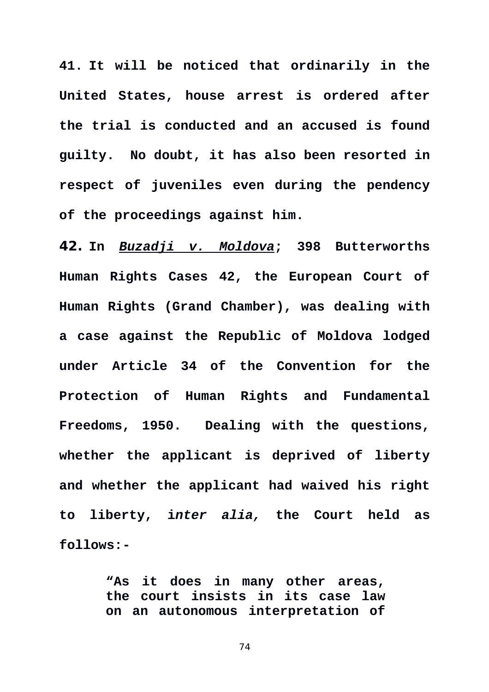**41. It will be noticed that ordinarily in the United States, house arrest is ordered after the trial is conducted and an accused is found guilty. No doubt, it has also been resorted in respect of juveniles even during the pendency of the proceedings against him.** 

**42. In** *Buzadji v. Moldova***; 398 Butterworths Human Rights Cases 42, the European Court of Human Rights (Grand Chamber), was dealing with a case against the Republic of Moldova lodged under Article 34 of the Convention for the Protection of Human Rights and Fundamental Freedoms, 1950. Dealing with the questions, whether the applicant is deprived of liberty and whether the applicant had waived his right to liberty, i***nter alia,* **the Court held as follows:-** 

> **"As it does in many other areas, the court insists in its case law on an autonomous interpretation of**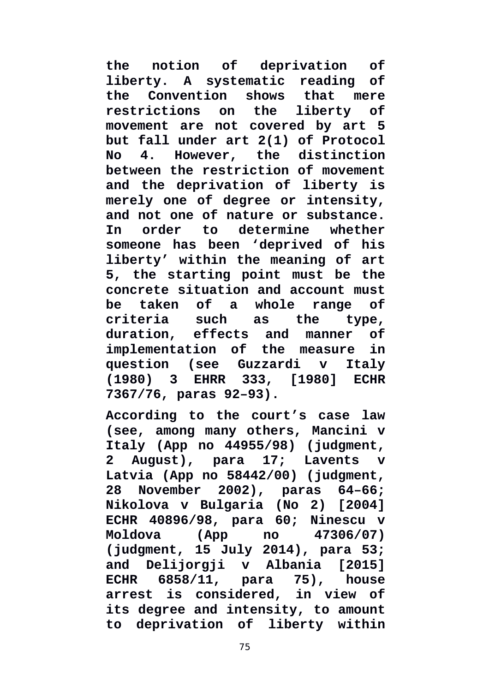**the notion of deprivation of liberty. A systematic reading of the Convention shows that mere restrictions on the liberty of movement are not covered by art 5 but fall under art 2(1) of Protocol No 4. However, the distinction between the restriction of movement and the deprivation of liberty is merely one of degree or intensity, and not one of nature or substance. In order to determine whether someone has been 'deprived of his liberty' within the meaning of art 5, the starting point must be the concrete situation and account must be taken of a whole range of criteria such as the type, duration, effects and manner of implementation of the measure in question (see Guzzardi v Italy (1980) 3 EHRR 333, [1980] ECHR 7367/76, paras 92–93).** 

**According to the court's case law (see, among many others, Mancini v Italy (App no 44955/98) (judgment, 2 August), para 17; Lavents v Latvia (App no 58442/00) (judgment, 28 November 2002), paras 64–66; Nikolova v Bulgaria (No 2) [2004] ECHR 40896/98, para 60; Ninescu v Moldova (App no 47306/07) (judgment, 15 July 2014), para 53; and Delijorgji v Albania [2015] ECHR 6858/11, para 75), house arrest is considered, in view of its degree and intensity, to amount to deprivation of liberty within**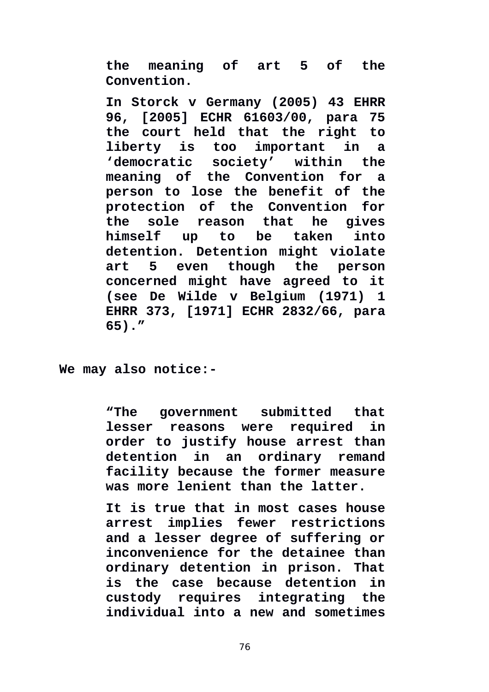**the meaning of art 5 of the Convention.** 

**In Storck v Germany (2005) 43 EHRR 96, [2005] ECHR 61603/00, para 75 the court held that the right to liberty is too important in a 'democratic society' within the meaning of the Convention for a person to lose the benefit of the protection of the Convention for the sole reason that he gives himself up to be taken into detention. Detention might violate art 5 even though the person concerned might have agreed to it (see De Wilde v Belgium (1971) 1 EHRR 373, [1971] ECHR 2832/66, para 65)."**

**We may also notice:-**

**"The government submitted that lesser reasons were required in order to justify house arrest than detention in an ordinary remand facility because the former measure was more lenient than the latter.** 

**It is true that in most cases house arrest implies fewer restrictions and a lesser degree of suffering or inconvenience for the detainee than ordinary detention in prison. That is the case because detention in custody requires integrating the individual into a new and sometimes**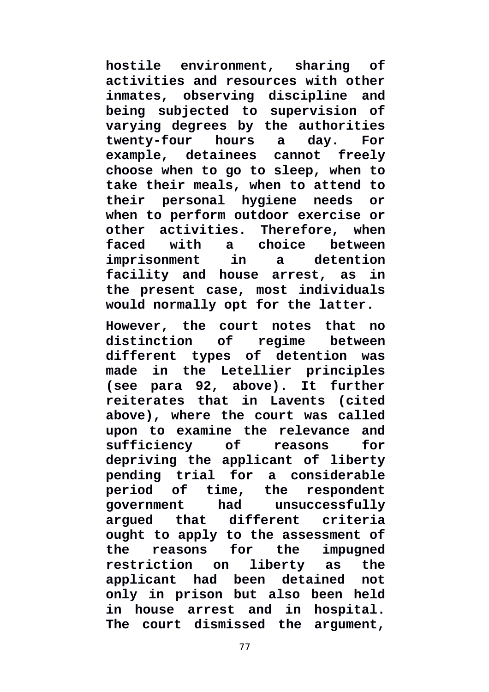**hostile environment, sharing of activities and resources with other inmates, observing discipline and being subjected to supervision of varying degrees by the authorities twenty-four hours a day. For example, detainees cannot freely choose when to go to sleep, when to take their meals, when to attend to their personal hygiene needs or when to perform outdoor exercise or other activities. Therefore, when faced with a choice between imprisonment in a detention facility and house arrest, as in the present case, most individuals would normally opt for the latter.** 

**However, the court notes that no distinction of regime between different types of detention was made in the Letellier principles (see para 92, above). It further reiterates that in Lavents (cited above), where the court was called upon to examine the relevance and sufficiency of reasons for depriving the applicant of liberty pending trial for a considerable period of time, the respondent government had unsuccessfully argued that different criteria ought to apply to the assessment of the reasons for the impugned restriction on liberty as the applicant had been detained not only in prison but also been held in house arrest and in hospital. The court dismissed the argument,**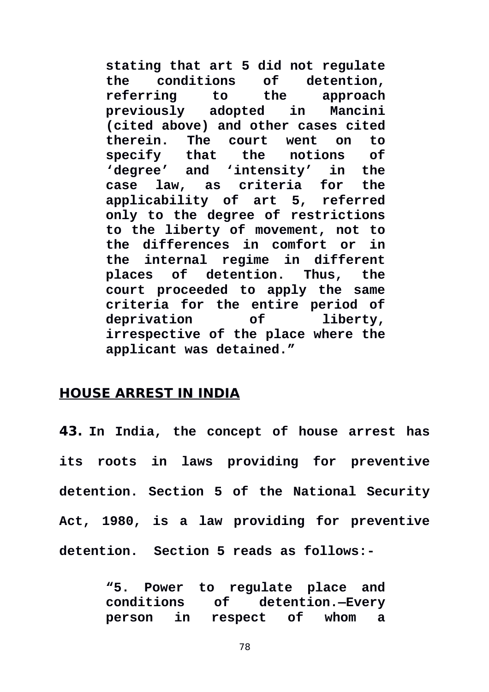**stating that art 5 did not regulate the conditions of detention, referring to the approach previously adopted in Mancini (cited above) and other cases cited therein. The court went on to specify that the notions of 'degree' and 'intensity' in the case law, as criteria for the applicability of art 5, referred only to the degree of restrictions to the liberty of movement, not to the differences in comfort or in the internal regime in different places of detention. Thus, the court proceeded to apply the same criteria for the entire period of deprivation of liberty, irrespective of the place where the applicant was detained."**

### **HOUSE ARREST IN INDIA**

**43. In India, the concept of house arrest has its roots in laws providing for preventive detention. Section 5 of the National Security Act, 1980, is a law providing for preventive detention. Section 5 reads as follows:-** 

> **"5. Power to regulate place and conditions of detention.—Every person in respect of whom a**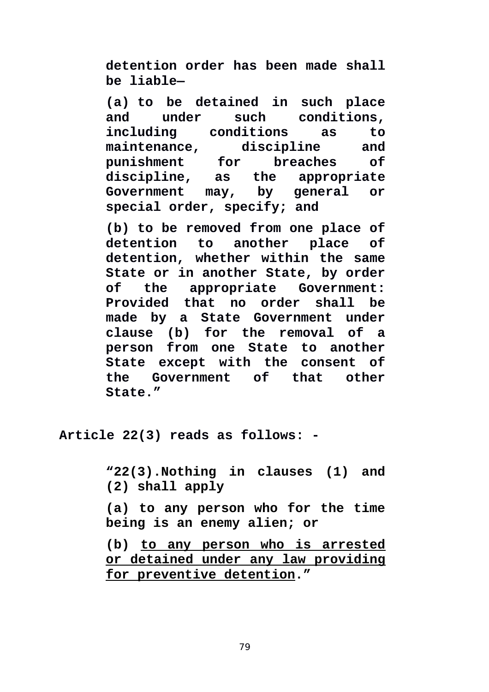**detention order has been made shall be liable—**

**[\(a\)](https://indiankanoon.org/doc/833773/) to be detained in such place and under such conditions, including conditions as to maintenance, discipline and punishment for breaches of discipline, as the appropriate Government may, by general or special order, specify; and**

**[\(b\)](https://indiankanoon.org/doc/1690941/) to be removed from one place of detention to another place of detention, whether within the same State or in another State, by order of the appropriate Government: Provided that no order shall be made by a State Government under clause (b) for the removal of a person from one State to another State except with the consent of the Government of that other State."**

**Article 22(3) reads as follows: -**

**"22(3).Nothing in clauses (1) and (2) shall apply**

**(a) to any person who for the time being is an enemy alien; or**

**(b) to any person who is arrested or detained under any law providing for preventive detention."**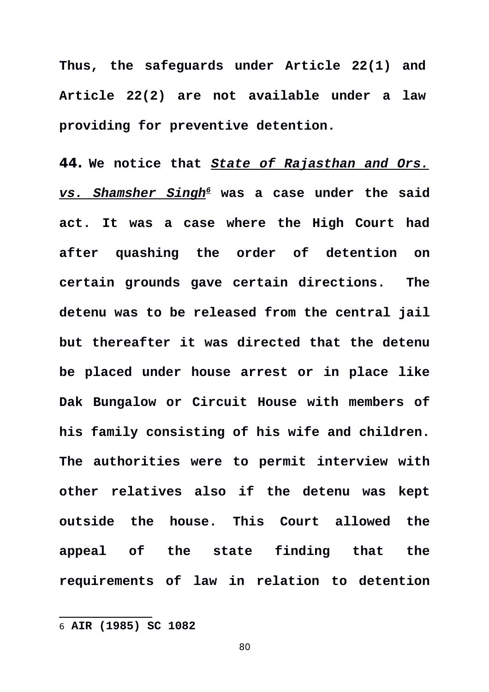**Thus, the safeguards under Article 22(1) and Article 22(2) are not available under a law providing for preventive detention.** 

**44. We notice that** *State of Rajasthan and Ors. vs. Shamsher Singh[6](#page-79-0)* **was a case under the said act. It was a case where the High Court had after quashing the order of detention on certain grounds gave certain directions. The detenu was to be released from the central jail but thereafter it was directed that the detenu be placed under house arrest or in place like Dak Bungalow or Circuit House with members of his family consisting of his wife and children. The authorities were to permit interview with other relatives also if the detenu was kept outside the house. This Court allowed the appeal of the state finding that the requirements of law in relation to detention**

<span id="page-79-0"></span><sup>6</sup> **AIR (1985) SC 1082**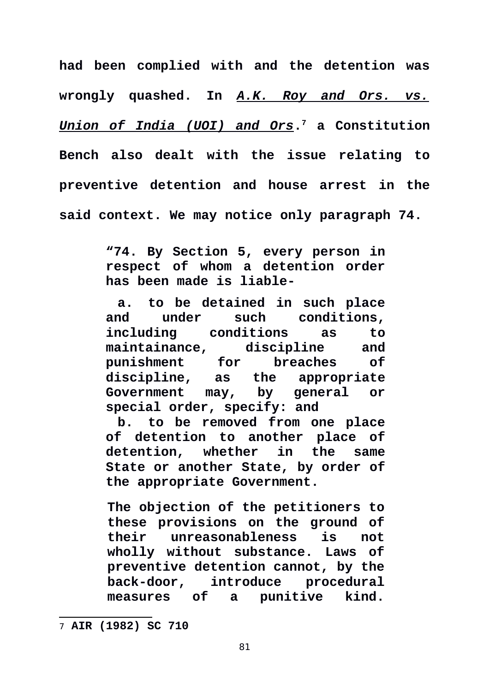**had been complied with and the detention was wrongly quashed. In** *A.K. Roy and Ors. vs. Union of India (UOI) and Ors***. [7](#page-80-0) a Constitution Bench also dealt with the issue relating to preventive detention and house arrest in the said context. We may notice only paragraph 74.** 

> **"74. By Section 5, every person in respect of whom a detention order has been made is liable-**

> **a. to be detained in such place and under such conditions, including conditions as to maintainance, discipline and punishment for breaches of discipline, as the appropriate Government may, by general or special order, specify: and**

> **b. to be removed from one place of detention to another place of detention, whether in the same State or another State, by order of the appropriate Government.**

> **The objection of the petitioners to these provisions on the ground of their unreasonableness is not wholly without substance. Laws of preventive detention cannot, by the back-door, introduce procedural measures of a punitive kind.**

<span id="page-80-0"></span><sup>7</sup> **AIR (1982) SC 710**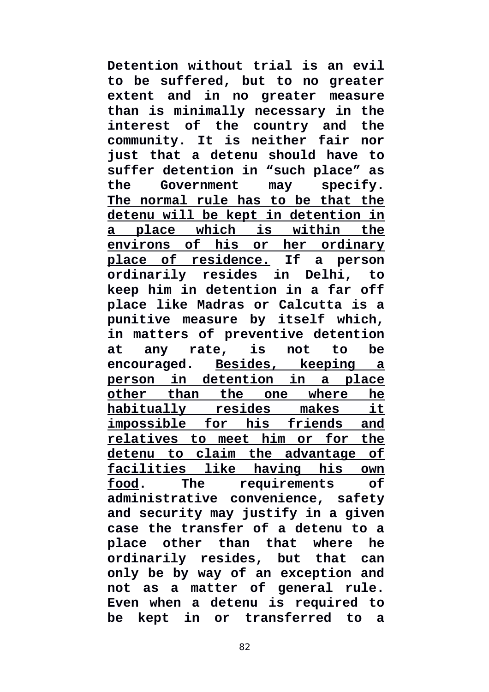**Detention without trial is an evil to be suffered, but to no greater extent and in no greater measure than is minimally necessary in the interest of the country and the community. It is neither fair nor just that a detenu should have to suffer detention in "such place" as the Government may specify. The normal rule has to be that the detenu will be kept in detention in a place which is within the environs of his or her ordinary place of residence. If a person ordinarily resides in Delhi, to keep him in detention in a far off place like Madras or Calcutta is a punitive measure by itself which, in matters of preventive detention at any rate, is not to be encouraged. Besides, keeping a person in detention in a place other than the one where he habitually resides makes it impossible for his friends and relatives to meet him or for the detenu to claim the advantage of facilities like having his own food. The requirements of administrative convenience, safety and security may justify in a given case the transfer of a detenu to a place other than that where he ordinarily resides, but that can only be by way of an exception and not as a matter of general rule. Even when a detenu is required to be kept in or transferred to a**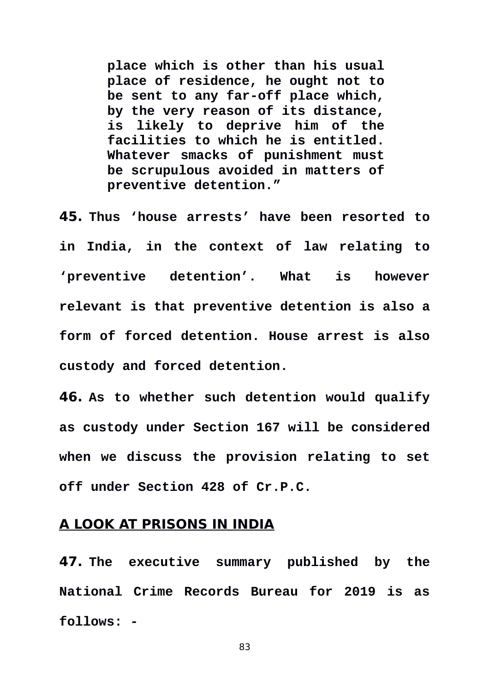**place which is other than his usual place of residence, he ought not to be sent to any far-off place which, by the very reason of its distance, is likely to deprive him of the facilities to which he is entitled. Whatever smacks of punishment must be scrupulous avoided in matters of preventive detention."** 

**45. Thus 'house arrests' have been resorted to in India, in the context of law relating to 'preventive detention'. What is however relevant is that preventive detention is also a form of forced detention. House arrest is also custody and forced detention.** 

**46. As to whether such detention would qualify as custody under Section 167 will be considered when we discuss the provision relating to set off under Section 428 of Cr.P.C.** 

#### **A LOOK AT PRISONS IN INDIA**

**47. The executive summary published by the National Crime Records Bureau for 2019 is as follows: -**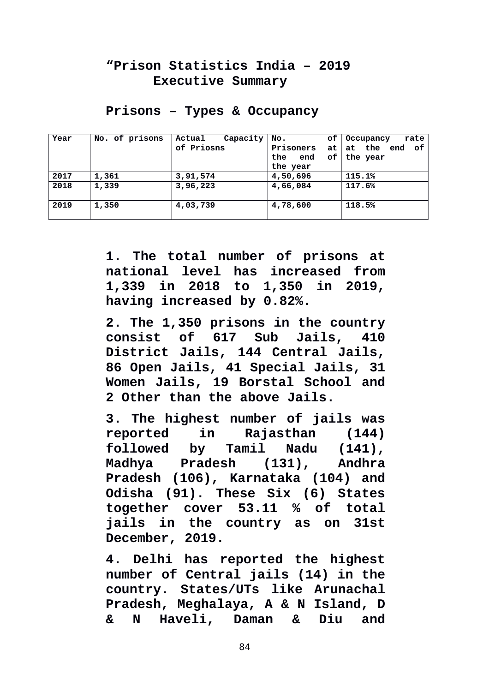## **"Prison Statistics India – 2019 Executive Summary**

| Year | No. of prisons | Capacity<br>Actual | NO.              | of $\vert$ 0 ccupancy<br>rate |
|------|----------------|--------------------|------------------|-------------------------------|
|      |                | of Priosns         | <b>Prisoners</b> | at   at   the end of          |
|      |                |                    | of l<br>the end  | the year                      |
|      |                |                    | the year         |                               |
| 2017 | 1,361          | 3, 91, 574         | 4,50,696         | 115.1%                        |
| 2018 | 1,339          | 3,96,223           | 4,66,084         | 117.6%                        |
| 2019 | 1,350          | 4,03,739           | 4,78,600         | 118.5%                        |

#### **Prisons – Types & Occupancy**

**1. The total number of prisons at national level has increased from 1,339 in 2018 to 1,350 in 2019, having increased by 0.82%.** 

**2. The 1,350 prisons in the country consist of 617 Sub Jails, 410 District Jails, 144 Central Jails, 86 Open Jails, 41 Special Jails, 31 Women Jails, 19 Borstal School and 2 Other than the above Jails.** 

**3. The highest number of jails was reported in Rajasthan (144) followed by Tamil Nadu (141), Madhya Pradesh (131), Andhra Pradesh (106), Karnataka (104) and Odisha (91). These Six (6) States together cover 53.11 % of total jails in the country as on 31st December, 2019.** 

**4. Delhi has reported the highest number of Central jails (14) in the country. States/UTs like Arunachal Pradesh, Meghalaya, A & N Island, D & N Haveli, Daman & Diu and**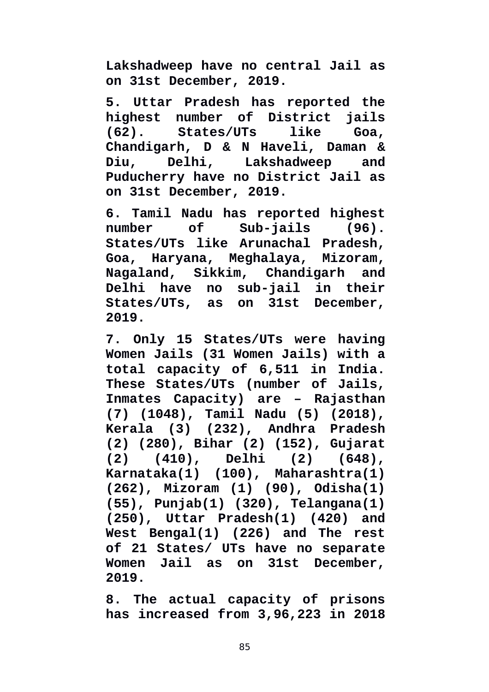**Lakshadweep have no central Jail as on 31st December, 2019.** 

**5. Uttar Pradesh has reported the highest number of District jails (62). States/UTs like Goa, Chandigarh, D & N Haveli, Daman & Diu, Delhi, Lakshadweep and Puducherry have no District Jail as on 31st December, 2019.** 

**6. Tamil Nadu has reported highest number of Sub-jails (96). States/UTs like Arunachal Pradesh, Goa, Haryana, Meghalaya, Mizoram, Nagaland, Sikkim, Chandigarh and Delhi have no sub-jail in their States/UTs, as on 31st December, 2019.**

**7. Only 15 States/UTs were having Women Jails (31 Women Jails) with a total capacity of 6,511 in India. These States/UTs (number of Jails, Inmates Capacity) are – Rajasthan (7) (1048), Tamil Nadu (5) (2018), Kerala (3) (232), Andhra Pradesh (2) (280), Bihar (2) (152), Gujarat (2) (410), Delhi (2) (648), Karnataka(1) (100), Maharashtra(1) (262), Mizoram (1) (90), Odisha(1) (55), Punjab(1) (320), Telangana(1) (250), Uttar Pradesh(1) (420) and West Bengal(1) (226) and The rest of 21 States/ UTs have no separate Women Jail as on 31st December, 2019.** 

**8. The actual capacity of prisons has increased from 3,96,223 in 2018**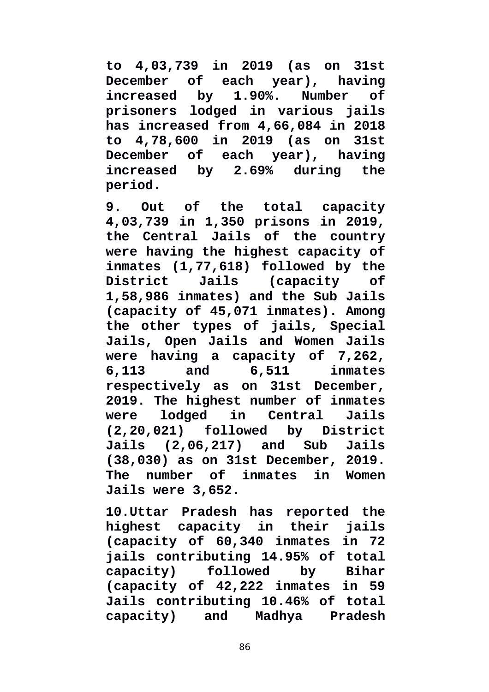**to 4,03,739 in 2019 (as on 31st December of each year), having increased by 1.90%. Number of prisoners lodged in various jails has increased from 4,66,084 in 2018 to 4,78,600 in 2019 (as on 31st December of each year), having increased by 2.69% during the period.** 

**9. Out of the total capacity 4,03,739 in 1,350 prisons in 2019, the Central Jails of the country were having the highest capacity of inmates (1,77,618) followed by the District Jails (capacity of 1,58,986 inmates) and the Sub Jails (capacity of 45,071 inmates). Among the other types of jails, Special Jails, Open Jails and Women Jails were having a capacity of 7,262, 6,113 and 6,511 inmates respectively as on 31st December, 2019. The highest number of inmates were lodged in Central Jails (2,20,021) followed by District Jails (2,06,217) and Sub Jails (38,030) as on 31st December, 2019. The number of inmates in Women Jails were 3,652.** 

**10.Uttar Pradesh has reported the highest capacity in their jails (capacity of 60,340 inmates in 72 jails contributing 14.95% of total capacity) followed by Bihar (capacity of 42,222 inmates in 59 Jails contributing 10.46% of total capacity) and Madhya Pradesh**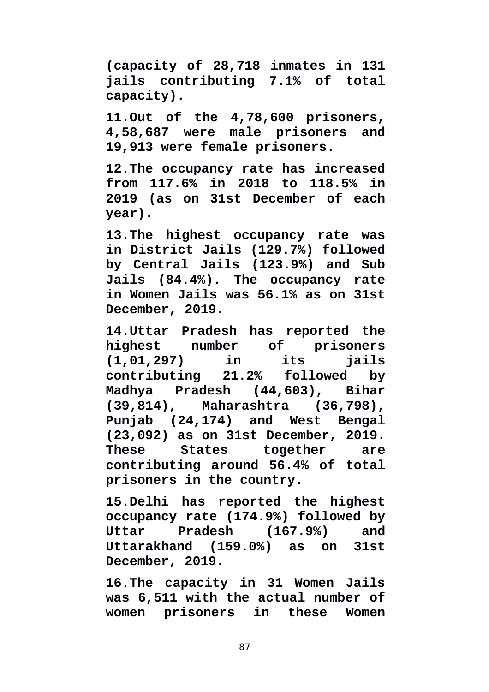**(capacity of 28,718 inmates in 131 jails contributing 7.1% of total capacity).** 

**11.Out of the 4,78,600 prisoners, 4,58,687 were male prisoners and 19,913 were female prisoners.** 

**12.The occupancy rate has increased from 117.6% in 2018 to 118.5% in 2019 (as on 31st December of each year).** 

**13.The highest occupancy rate was in District Jails (129.7%) followed by Central Jails (123.9%) and Sub Jails (84.4%). The occupancy rate in Women Jails was 56.1% as on 31st December, 2019.**

**14.Uttar Pradesh has reported the highest number of prisoners (1,01,297) in its jails contributing 21.2% followed by Madhya Pradesh (44,603), Bihar (39,814), Maharashtra (36,798), Punjab (24,174) and West Bengal (23,092) as on 31st December, 2019. These States together are contributing around 56.4% of total prisoners in the country.** 

**15.Delhi has reported the highest occupancy rate (174.9%) followed by Uttar Pradesh (167.9%) and Uttarakhand (159.0%) as on 31st December, 2019.** 

**16.The capacity in 31 Women Jails was 6,511 with the actual number of women prisoners in these Women**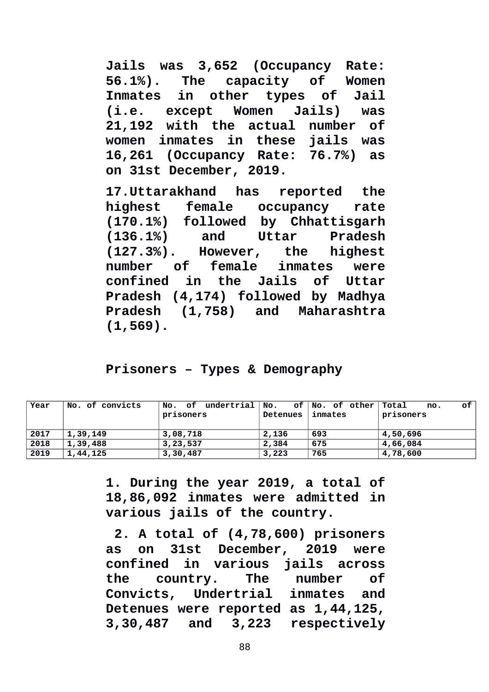**Jails was 3,652 (Occupancy Rate: 56.1%). The capacity of Women Inmates in other types of Jail (i.e. except Women Jails) was 21,192 with the actual number of women inmates in these jails was 16,261 (Occupancy Rate: 76.7%) as on 31st December, 2019.** 

**17.Uttarakhand has reported the highest female occupancy rate (170.1%) followed by Chhattisgarh (136.1%) and Uttar Pradesh (127.3%). However, the highest number of female inmates were confined in the Jails of Uttar Pradesh (4,174) followed by Madhya Pradesh (1,758) and Maharashtra (1,569).**

### **Prisoners – Types & Demography**

| Year | No. of convicts | No. of undertrial $\textsf{No}.$<br>prisoners | Detenues | of No. of other Total<br>inmates | οf<br>no.<br>prisoners |
|------|-----------------|-----------------------------------------------|----------|----------------------------------|------------------------|
| 2017 | 1,39,149        | 3,08,718                                      | 2,136    | 693                              | 4,50,696               |
| 2018 | 1,39,488        | 3, 23, 537                                    | 2,384    | 675                              | 4,66,084               |
| 2019 | 1,44,125        | 3,30,487                                      | 3,223    | 765                              | 4,78,600               |

**1. During the year 2019, a total of 18,86,092 inmates were admitted in various jails of the country.**

 **2. A total of (4,78,600) prisoners as on 31st December, 2019 were confined in various jails across the country. The number of Convicts, Undertrial inmates and Detenues were reported as 1,44,125, 3,30,487 and 3,223 respectively**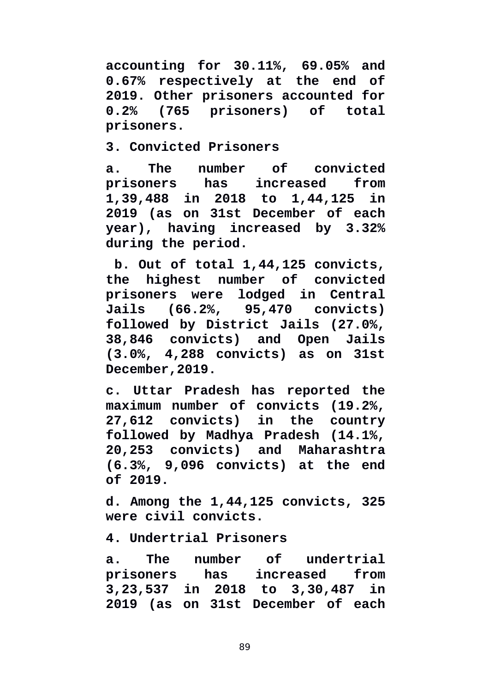**accounting for 30.11%, 69.05% and 0.67% respectively at the end of 2019. Other prisoners accounted for 0.2% (765 prisoners) of total prisoners.**

**3. Convicted Prisoners** 

**a. The number of convicted prisoners has increased from 1,39,488 in 2018 to 1,44,125 in 2019 (as on 31st December of each year), having increased by 3.32% during the period.**

 **b. Out of total 1,44,125 convicts, the highest number of convicted prisoners were lodged in Central Jails (66.2%, 95,470 convicts) followed by District Jails (27.0%, 38,846 convicts) and Open Jails (3.0%, 4,288 convicts) as on 31st December,2019.** 

**c. Uttar Pradesh has reported the maximum number of convicts (19.2%, 27,612 convicts) in the country followed by Madhya Pradesh (14.1%, 20,253 convicts) and Maharashtra (6.3%, 9,096 convicts) at the end of 2019.** 

**d. Among the 1,44,125 convicts, 325 were civil convicts.** 

**4. Undertrial Prisoners** 

**a. The number of undertrial prisoners has increased from 3,23,537 in 2018 to 3,30,487 in 2019 (as on 31st December of each**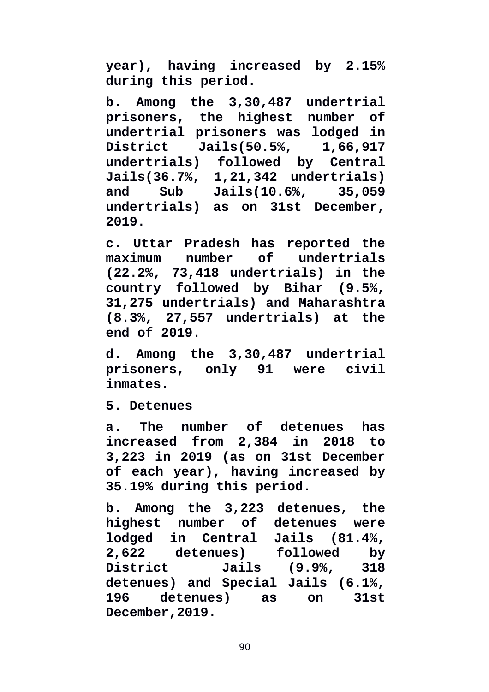**year), having increased by 2.15% during this period.** 

**b. Among the 3,30,487 undertrial prisoners, the highest number of undertrial prisoners was lodged in District Jails(50.5%, 1,66,917 undertrials) followed by Central Jails(36.7%, 1,21,342 undertrials) and Sub Jails(10.6%, 35,059 undertrials) as on 31st December, 2019.** 

**c. Uttar Pradesh has reported the maximum number of undertrials (22.2%, 73,418 undertrials) in the country followed by Bihar (9.5%, 31,275 undertrials) and Maharashtra (8.3%, 27,557 undertrials) at the end of 2019.** 

**d. Among the 3,30,487 undertrial prisoners, only 91 were civil inmates.** 

**5. Detenues** 

**a. The number of detenues has increased from 2,384 in 2018 to 3,223 in 2019 (as on 31st December of each year), having increased by 35.19% during this period.** 

**b. Among the 3,223 detenues, the highest number of detenues were lodged in Central Jails (81.4%, 2,622 detenues) followed by District Jails (9.9%, 318 detenues) and Special Jails (6.1%, 196 detenues) as on 31st December,2019.**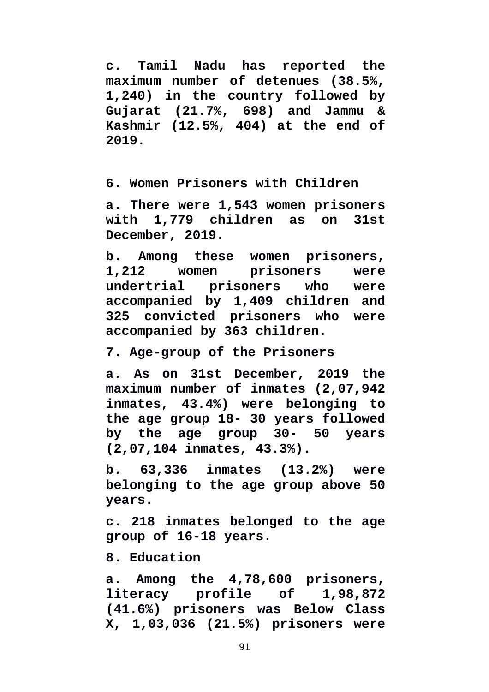**c. Tamil Nadu has reported the maximum number of detenues (38.5%, 1,240) in the country followed by Gujarat (21.7%, 698) and Jammu & Kashmir (12.5%, 404) at the end of 2019.**

**6. Women Prisoners with Children** 

**a. There were 1,543 women prisoners with 1,779 children as on 31st December, 2019.** 

**b. Among these women prisoners, 1,212 women prisoners were undertrial prisoners who were accompanied by 1,409 children and 325 convicted prisoners who were accompanied by 363 children.** 

**7. Age-group of the Prisoners** 

**a. As on 31st December, 2019 the maximum number of inmates (2,07,942 inmates, 43.4%) were belonging to the age group 18- 30 years followed by the age group 30- 50 years (2,07,104 inmates, 43.3%).** 

**b. 63,336 inmates (13.2%) were belonging to the age group above 50 years.** 

**c. 218 inmates belonged to the age group of 16-18 years.** 

**8. Education** 

**a. Among the 4,78,600 prisoners, literacy profile of 1,98,872 (41.6%) prisoners was Below Class X, 1,03,036 (21.5%) prisoners were**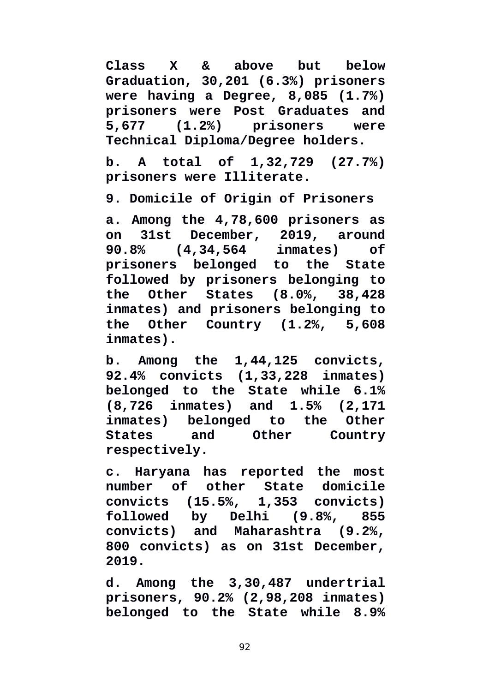**Class X & above but below Graduation, 30,201 (6.3%) prisoners were having a Degree, 8,085 (1.7%) prisoners were Post Graduates and 5,677 (1.2%) prisoners were Technical Diploma/Degree holders.** 

**b. A total of 1,32,729 (27.7%) prisoners were Illiterate.** 

**9. Domicile of Origin of Prisoners** 

**a. Among the 4,78,600 prisoners as on 31st December, 2019, around 90.8% (4,34,564 inmates) of prisoners belonged to the State followed by prisoners belonging to the Other States (8.0%, 38,428 inmates) and prisoners belonging to the Other Country (1.2%, 5,608 inmates).** 

**b. Among the 1,44,125 convicts, 92.4% convicts (1,33,228 inmates) belonged to the State while 6.1% (8,726 inmates) and 1.5% (2,171 inmates) belonged to the Other States and Other Country respectively.** 

**c. Haryana has reported the most number of other State domicile convicts (15.5%, 1,353 convicts) followed by Delhi (9.8%, 855 convicts) and Maharashtra (9.2%, 800 convicts) as on 31st December, 2019.** 

**d. Among the 3,30,487 undertrial prisoners, 90.2% (2,98,208 inmates) belonged to the State while 8.9%**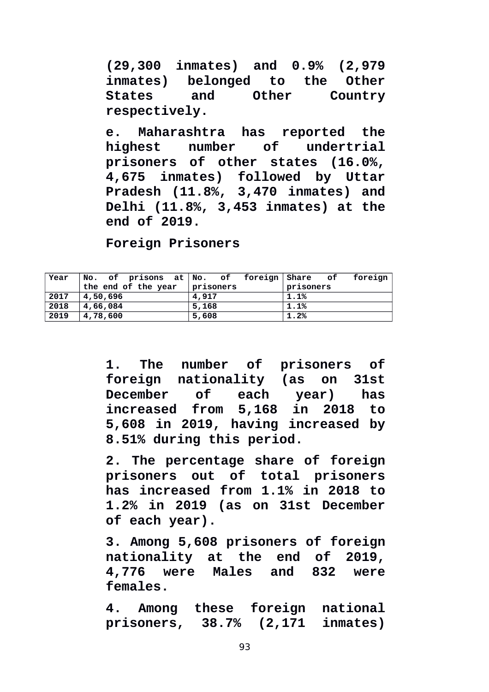**(29,300 inmates) and 0.9% (2,979 inmates) belonged to the Other States and Other Country respectively.** 

**e. Maharashtra has reported the highest number of undertrial prisoners of other states (16.0%, 4,675 inmates) followed by Uttar Pradesh (11.8%, 3,470 inmates) and Delhi (11.8%, 3,453 inmates) at the end of 2019.**

**Foreign Prisoners**

| $\sqrt{2}$ Year | No. of prisons at No. of foreign Share of |           | foreign   |  |
|-----------------|-------------------------------------------|-----------|-----------|--|
|                 | the end of the year                       | prisoners | prisoners |  |
| 2017            | 4,50,696                                  | 4,917     | 1.1%      |  |
| 2018            | 4,66,084                                  | 5,168     | $1.1\%$   |  |
| 2019            | 4,78,600                                  | 5,608     | 1.2%      |  |

**1. The number of prisoners of foreign nationality (as on 31st December of each year) has increased from 5,168 in 2018 to 5,608 in 2019, having increased by 8.51% during this period.** 

**2. The percentage share of foreign prisoners out of total prisoners has increased from 1.1% in 2018 to 1.2% in 2019 (as on 31st December of each year).** 

**3. Among 5,608 prisoners of foreign nationality at the end of 2019, 4,776 were Males and 832 were females.**

**4. Among these foreign national prisoners, 38.7% (2,171 inmates)**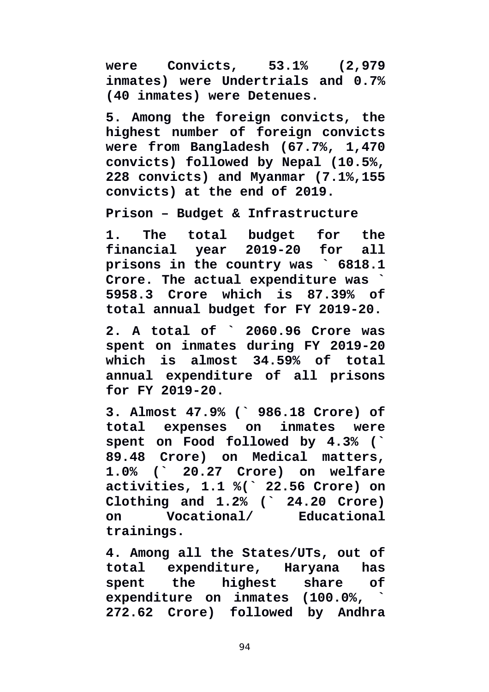**were Convicts, 53.1% (2,979 inmates) were Undertrials and 0.7% (40 inmates) were Detenues.** 

**5. Among the foreign convicts, the highest number of foreign convicts were from Bangladesh (67.7%, 1,470 convicts) followed by Nepal (10.5%, 228 convicts) and Myanmar (7.1%,155 convicts) at the end of 2019.** 

**Prison – Budget & Infrastructure** 

**1. The total budget for the financial year 2019-20 for all prisons in the country was ` 6818.1 Crore. The actual expenditure was ` 5958.3 Crore which is 87.39% of total annual budget for FY 2019-20.**

**2. A total of ` 2060.96 Crore was spent on inmates during FY 2019-20 which is almost 34.59% of total annual expenditure of all prisons for FY 2019-20.** 

**3. Almost 47.9% (` 986.18 Crore) of total expenses on inmates were spent on Food followed by 4.3% (` 89.48 Crore) on Medical matters, 1.0% (` 20.27 Crore) on welfare activities, 1.1 %(` 22.56 Crore) on Clothing and 1.2% (` 24.20 Crore) on Vocational/ Educational trainings.** 

**4. Among all the States/UTs, out of total expenditure, Haryana has spent the highest share of expenditure on inmates (100.0%, ` 272.62 Crore) followed by Andhra**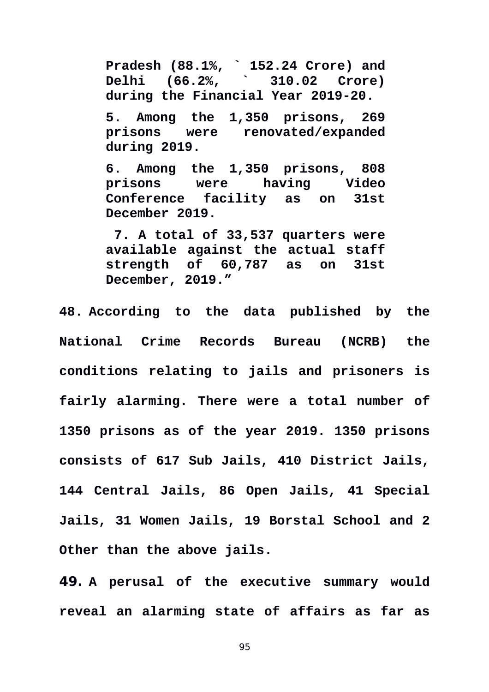**Pradesh (88.1%, ` 152.24 Crore) and Delhi (66.2%, ` 310.02 Crore) during the Financial Year 2019-20.** 

**5. Among the 1,350 prisons, 269 prisons were renovated/expanded during 2019.** 

**6. Among the 1,350 prisons, 808 prisons were having Video Conference facility as on 31st December 2019.**

 **7. A total of 33,537 quarters were available against the actual staff strength of 60,787 as on 31st December, 2019."**

**48. According to the data published by the National Crime Records Bureau (NCRB) the conditions relating to jails and prisoners is fairly alarming. There were a total number of 1350 prisons as of the year 2019. 1350 prisons consists of 617 Sub Jails, 410 District Jails, 144 Central Jails, 86 Open Jails, 41 Special Jails, 31 Women Jails, 19 Borstal School and 2 Other than the above jails.** 

**49. A perusal of the executive summary would reveal an alarming state of affairs as far as**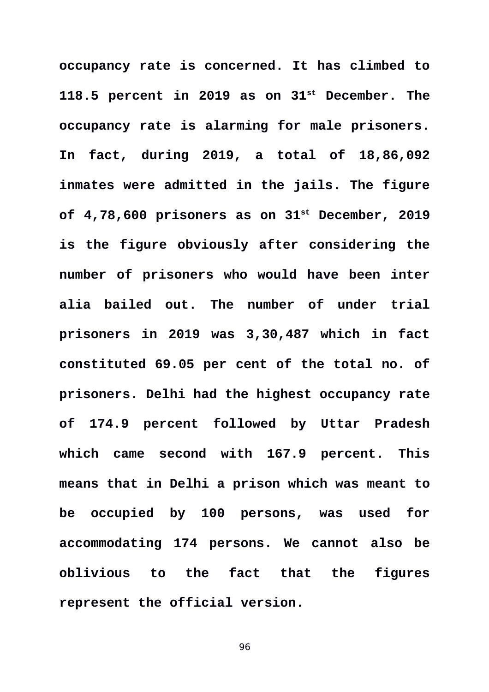**occupancy rate is concerned. It has climbed to 118.5 percent in 2019 as on 31st December. The occupancy rate is alarming for male prisoners. In fact, during 2019, a total of 18,86,092 inmates were admitted in the jails. The figure of 4,78,600 prisoners as on 31st December, 2019 is the figure obviously after considering the number of prisoners who would have been inter alia bailed out. The number of under trial prisoners in 2019 was 3,30,487 which in fact constituted 69.05 per cent of the total no. of prisoners. Delhi had the highest occupancy rate of 174.9 percent followed by Uttar Pradesh which came second with 167.9 percent. This means that in Delhi a prison which was meant to be occupied by 100 persons, was used for accommodating 174 persons. We cannot also be oblivious to the fact that the figures represent the official version.**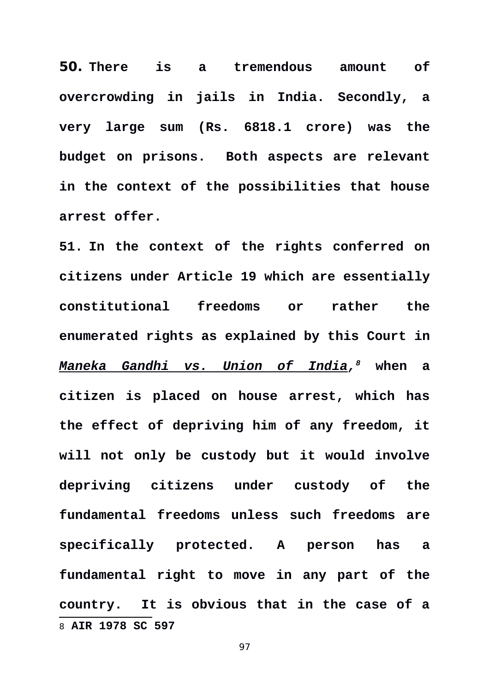**50. There is a tremendous amount of overcrowding in jails in India. Secondly, a very large sum (Rs. 6818.1 crore) was the budget on prisons. Both aspects are relevant in the context of the possibilities that house arrest offer.** 

<span id="page-96-0"></span>**51. In the context of the rights conferred on citizens under Article 19 which are essentially constitutional freedoms or rather the enumerated rights as explained by this Court in** *Maneka Gandhi vs. Union of India, [8](#page-96-0)* **when a citizen is placed on house arrest, which has the effect of depriving him of any freedom, it will not only be custody but it would involve depriving citizens under custody of the fundamental freedoms unless such freedoms are specifically protected. A person has a fundamental right to move in any part of the country. It is obvious that in the case of a** 8 **AIR 1978 SC 597**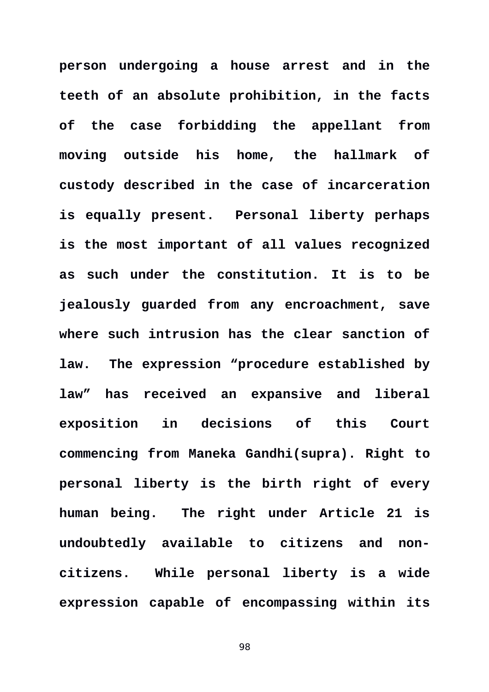**person undergoing a house arrest and in the teeth of an absolute prohibition, in the facts of the case forbidding the appellant from moving outside his home, the hallmark of custody described in the case of incarceration is equally present. Personal liberty perhaps is the most important of all values recognized as such under the constitution. It is to be jealously guarded from any encroachment, save where such intrusion has the clear sanction of law. The expression "procedure established by law" has received an expansive and liberal exposition in decisions of this Court commencing from Maneka Gandhi(supra). Right to personal liberty is the birth right of every human being. The right under Article 21 is undoubtedly available to citizens and noncitizens. While personal liberty is a wide expression capable of encompassing within its**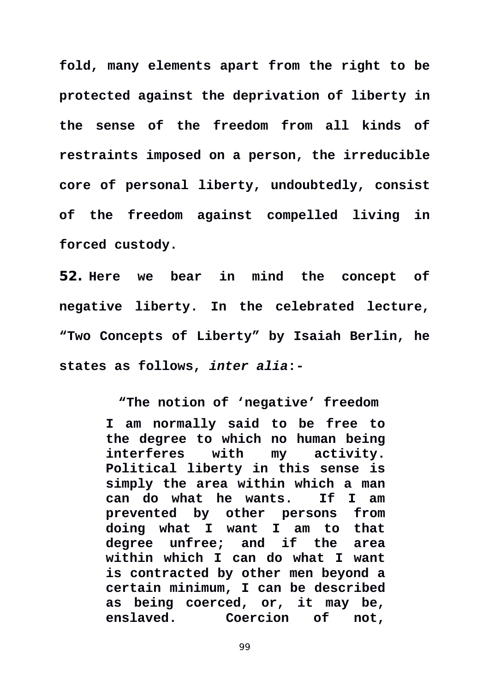**fold, many elements apart from the right to be protected against the deprivation of liberty in the sense of the freedom from all kinds of restraints imposed on a person, the irreducible core of personal liberty, undoubtedly, consist of the freedom against compelled living in forced custody.** 

**52. Here we bear in mind the concept of negative liberty. In the celebrated lecture, "Two Concepts of Liberty" by Isaiah Berlin, he states as follows,** *inter alia***:-** 

> **"The notion of 'negative' freedom I am normally said to be free to the degree to which no human being interferes with my activity. Political liberty in this sense is simply the area within which a man can do what he wants. If I am prevented by other persons from doing what I want I am to that degree unfree; and if the area within which I can do what I want is contracted by other men beyond a certain minimum, I can be described as being coerced, or, it may be, enslaved. Coercion of not,**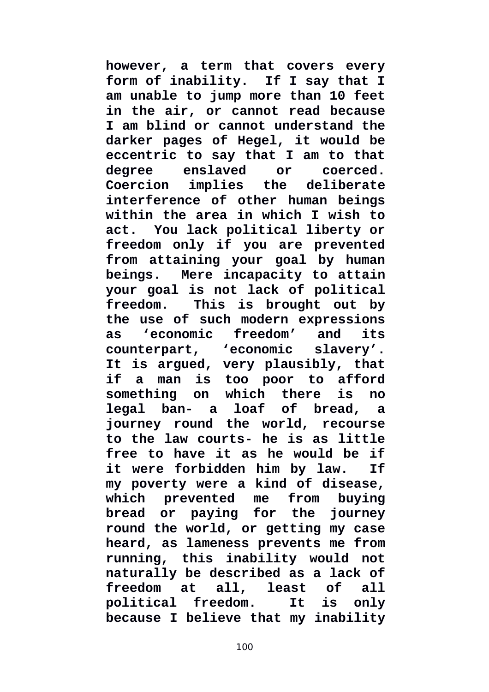**however, a term that covers every form of inability. If I say that I am unable to jump more than 10 feet in the air, or cannot read because I am blind or cannot understand the darker pages of Hegel, it would be eccentric to say that I am to that degree enslaved or coerced. Coercion implies the deliberate interference of other human beings within the area in which I wish to act. You lack political liberty or freedom only if you are prevented from attaining your goal by human beings. Mere incapacity to attain your goal is not lack of political freedom. This is brought out by the use of such modern expressions as 'economic freedom' and its counterpart, 'economic slavery'. It is argued, very plausibly, that if a man is too poor to afford something on which there is no legal ban- a loaf of bread, a journey round the world, recourse to the law courts- he is as little free to have it as he would be if it were forbidden him by law. If my poverty were a kind of disease, which prevented me from buying bread or paying for the journey round the world, or getting my case heard, as lameness prevents me from running, this inability would not naturally be described as a lack of freedom at all, least of all political freedom. It is only because I believe that my inability**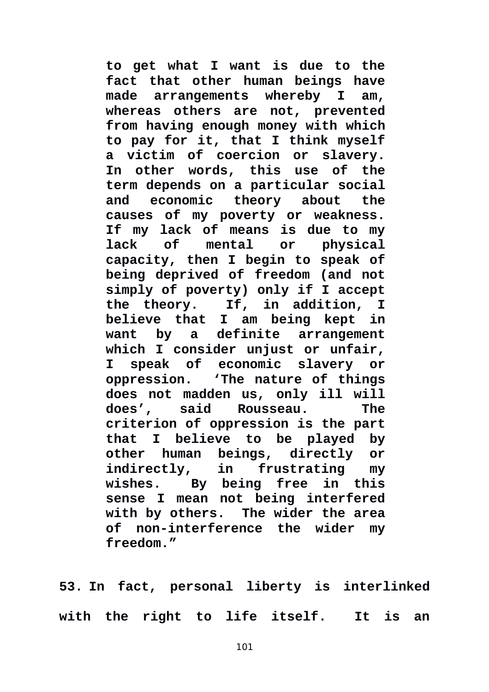**to get what I want is due to the fact that other human beings have made arrangements whereby I am, whereas others are not, prevented from having enough money with which to pay for it, that I think myself a victim of coercion or slavery. In other words, this use of the term depends on a particular social and economic theory about the causes of my poverty or weakness. If my lack of means is due to my lack of mental or physical capacity, then I begin to speak of being deprived of freedom (and not simply of poverty) only if I accept the theory. If, in addition, I believe that I am being kept in want by a definite arrangement which I consider unjust or unfair, I speak of economic slavery or oppression. 'The nature of things does not madden us, only ill will does', said Rousseau. The criterion of oppression is the part that I believe to be played by other human beings, directly or in** frustrating my **wishes. By being free in this sense I mean not being interfered with by others. The wider the area of non-interference the wider my freedom."** 

**53. In fact, personal liberty is interlinked with the right to life itself. It is an**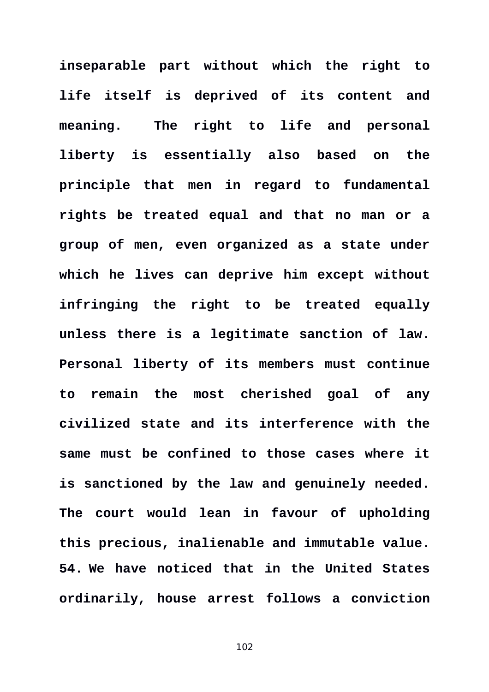**inseparable part without which the right to life itself is deprived of its content and meaning. The right to life and personal liberty is essentially also based on the principle that men in regard to fundamental rights be treated equal and that no man or a group of men, even organized as a state under which he lives can deprive him except without infringing the right to be treated equally unless there is a legitimate sanction of law. Personal liberty of its members must continue to remain the most cherished goal of any civilized state and its interference with the same must be confined to those cases where it is sanctioned by the law and genuinely needed. The court would lean in favour of upholding this precious, inalienable and immutable value. 54. We have noticed that in the United States ordinarily, house arrest follows a conviction**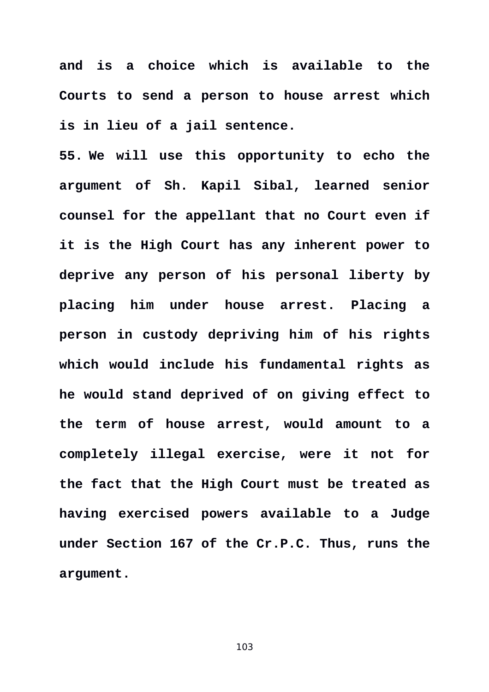**and is a choice which is available to the Courts to send a person to house arrest which is in lieu of a jail sentence.** 

**55. We will use this opportunity to echo the argument of Sh. Kapil Sibal, learned senior counsel for the appellant that no Court even if it is the High Court has any inherent power to deprive any person of his personal liberty by placing him under house arrest. Placing a person in custody depriving him of his rights which would include his fundamental rights as he would stand deprived of on giving effect to the term of house arrest, would amount to a completely illegal exercise, were it not for the fact that the High Court must be treated as having exercised powers available to a Judge under Section 167 of the Cr.P.C. Thus, runs the argument.**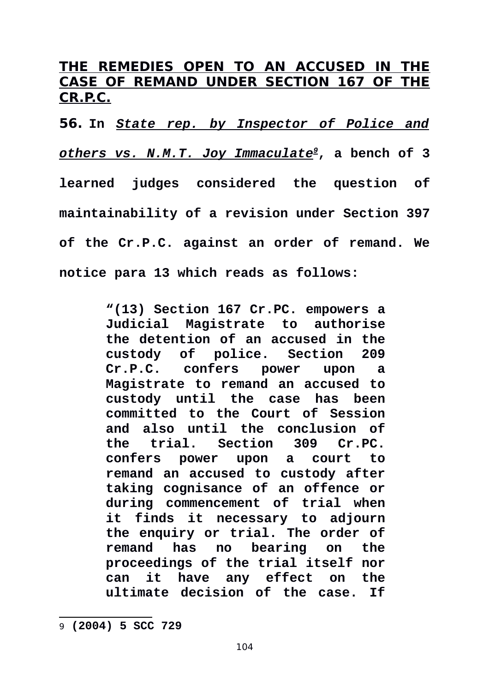# **THE REMEDIES OPEN TO AN ACCUSED IN THE CASE OF REMAND UNDER SECTION 167 OF THE CR.P.C.**

**56. In** *State rep. by Inspector of Police and others vs. N.M.T. Joy Immaculate[9](#page-103-0)***, a bench of 3 learned judges considered the question of maintainability of a revision under Section 397 of the Cr.P.C. against an order of remand. We notice para 13 which reads as follows:** 

> **"(13) Section 167 Cr.PC. empowers a Judicial Magistrate to authorise the detention of an accused in the custody of police. Section 209 Cr.P.C. confers power upon a Magistrate to remand an accused to custody until the case has been committed to the Court of Session and also until the conclusion of the trial. Section 309 Cr.PC. confers power upon a court to remand an accused to custody after taking cognisance of an offence or during commencement of trial when it finds it necessary to adjourn the enquiry or trial. The order of remand has no bearing on the proceedings of the trial itself nor can it have any effect on the ultimate decision of the case. If**

<span id="page-103-0"></span><sup>9</sup> **(2004) 5 SCC 729**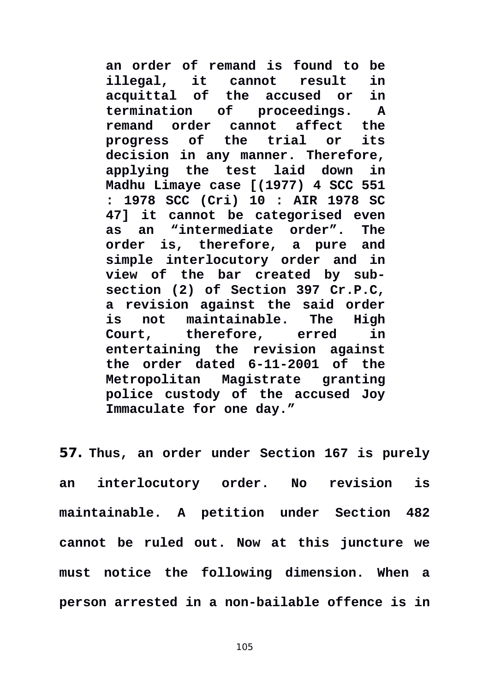**an order of remand is found to be illegal, it cannot result in acquittal of the accused or in termination of proceedings. A remand order cannot affect the progress of the trial or its decision in any manner. Therefore, applying the test laid down in Madhu Limaye case [(1977) 4 SCC 551 : 1978 SCC (Cri) 10 : AIR 1978 SC 47] it cannot be categorised even as an "intermediate order". The order is, therefore, a pure and simple interlocutory order and in view of the bar created by subsection (2) of Section 397 Cr.P.C, a revision against the said order is not maintainable. The High Court, therefore, erred in entertaining the revision against the order dated 6-11-2001 of the Metropolitan Magistrate granting police custody of the accused Joy Immaculate for one day."** 

**57. Thus, an order under Section 167 is purely an interlocutory order. No revision is maintainable. A petition under Section 482 cannot be ruled out. Now at this juncture we must notice the following dimension. When a person arrested in a non-bailable offence is in**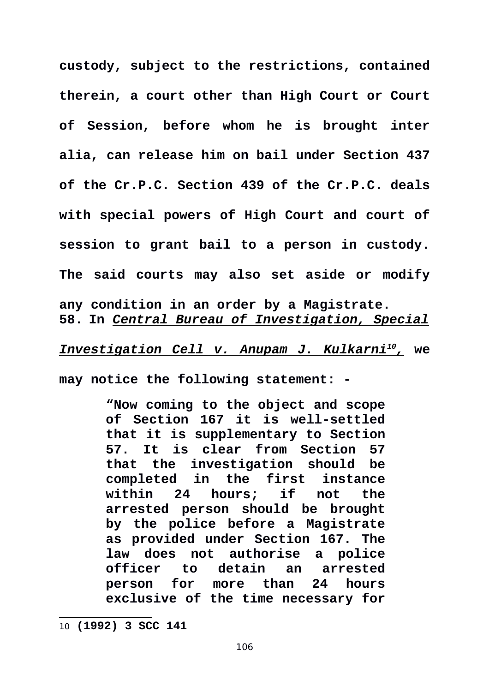**custody, subject to the restrictions, contained therein, a court other than High Court or Court of Session, before whom he is brought inter alia, can release him on bail under Section 437 of the Cr.P.C. Section 439 of the Cr.P.C. deals with special powers of High Court and court of session to grant bail to a person in custody. The said courts may also set aside or modify any condition in an order by a Magistrate. 58. In** *Central Bureau of Investigation, Special*

 *Investigation Cell v. Anupam J. Kulkarni<sup>10</sup> [,](#page-105-0)* **we**

**may notice the following statement: -** 

**"Now coming to the object and scope of Section 167 it is well-settled that it is supplementary to Section 57. It is clear from Section 57 that the investigation should be completed in the first instance within 24 hours; if not the arrested person should be brought by the police before a Magistrate as provided under Section 167. The law does not authorise a police officer to detain an arrested person for more than 24 hours exclusive of the time necessary for**

<span id="page-105-0"></span><sup>10</sup> **(1992) 3 SCC 141**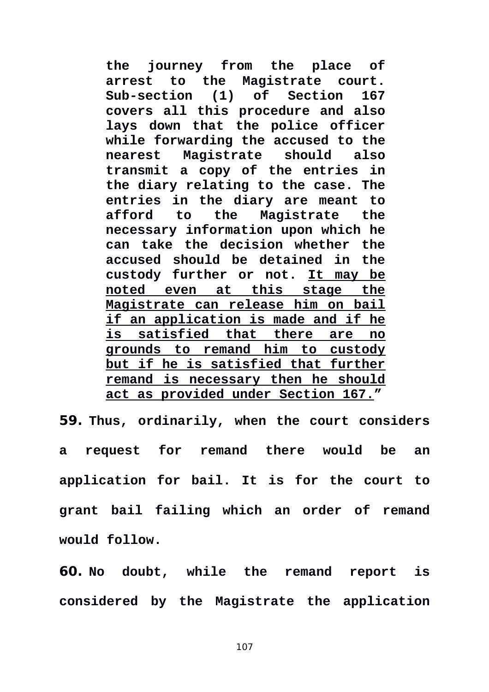**the journey from the place of arrest to the Magistrate court. Sub-section (1) of Section 167 covers all this procedure and also lays down that the police officer while forwarding the accused to the nearest Magistrate should also transmit a copy of the entries in the diary relating to the case. The entries in the diary are meant to afford to the Magistrate the necessary information upon which he can take the decision whether the accused should be detained in the custody further or not. It may be noted even at this stage the Magistrate can release him on bail if an application is made and if he is satisfied that there are no grounds to remand him to custody but if he is satisfied that further remand is necessary then he should act as provided under Section 167."**

**59. Thus, ordinarily, when the court considers a request for remand there would be an application for bail. It is for the court to grant bail failing which an order of remand would follow.** 

**60. No doubt, while the remand report is considered by the Magistrate the application**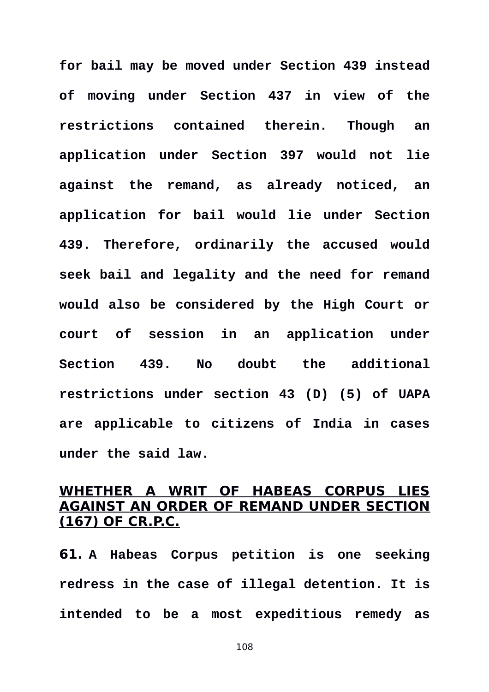**for bail may be moved under Section 439 instead of moving under Section 437 in view of the restrictions contained therein. Though an application under Section 397 would not lie against the remand, as already noticed, an application for bail would lie under Section 439. Therefore, ordinarily the accused would seek bail and legality and the need for remand would also be considered by the High Court or court of session in an application under Section 439. No doubt the additional restrictions under section 43 (D) (5) of UAPA are applicable to citizens of India in cases under the said law.** 

# **WHETHER A WRIT OF HABEAS CORPUS LIES AGAINST AN ORDER OF REMAND UNDER SECTION (167) OF CR.P.C.**

**61. A Habeas Corpus petition is one seeking redress in the case of illegal detention. It is intended to be a most expeditious remedy as**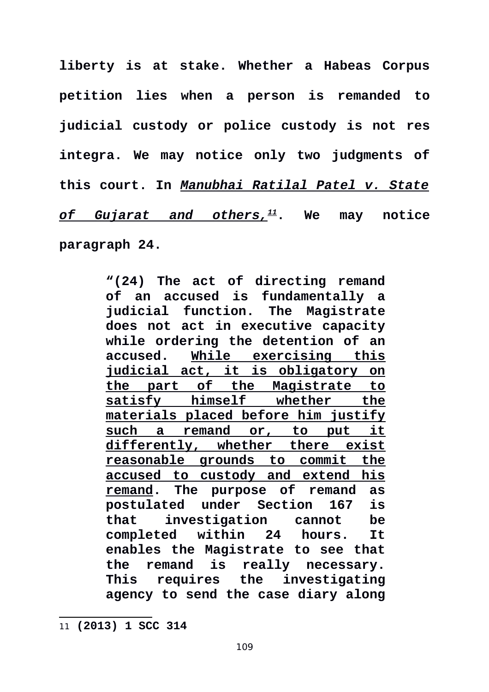**liberty is at stake. Whether a Habeas Corpus petition lies when a person is remanded to judicial custody or police custody is not res integra. We may notice only two judgments of this court. In** *Manubhai Ratilal Patel v. State of Gujarat and others,[11](#page-108-0)***. We may notice paragraph 24.** 

> **"(24) The act of directing remand of an accused is fundamentally a judicial function. The Magistrate does not act in executive capacity while ordering the detention of an accused. While exercising this judicial act, it is obligatory on the part of the Magistrate to satisfy himself whether the materials placed before him justify such a remand or, to put it differently, whether there exist reasonable grounds to commit the accused to custody and extend his remand. The purpose of remand as postulated under Section 167 is that investigation cannot be completed within 24 hours. It enables the Magistrate to see that the remand is really necessary. This requires the investigating agency to send the case diary along**

<span id="page-108-0"></span>11 **(2013) 1 SCC 314**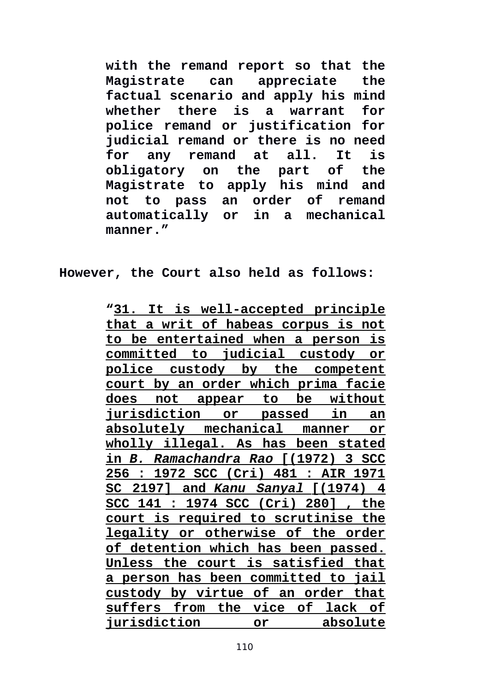**with the remand report so that the Magistrate can appreciate the factual scenario and apply his mind whether there is a warrant for police remand or justification for judicial remand or there is no need for any remand at all. It is obligatory on the part of the Magistrate to apply his mind and not to pass an order of remand automatically or in a mechanical manner."**

**However, the Court also held as follows:**

**"31. It is well-accepted principle that a writ of habeas corpus is not to be entertained when a person is committed to judicial custody or police custody by the competent court by an order which prima facie does not appear to be without jurisdiction or passed in an absolutely mechanical manner or wholly illegal. As has been stated in** *B. Ramachandra Rao* **[(1972) 3 SCC 256 : 1972 SCC (Cri) 481 : AIR 1971 SC 2197] and** *Kanu Sanyal* **[(1974) 4 SCC 141 : 1974 SCC (Cri) 280] , the court is required to scrutinise the legality or otherwise of the order of detention which has been passed. Unless the court is satisfied that a person has been committed to jail custody by virtue of an order that suffers from the vice of lack of jurisdiction or or**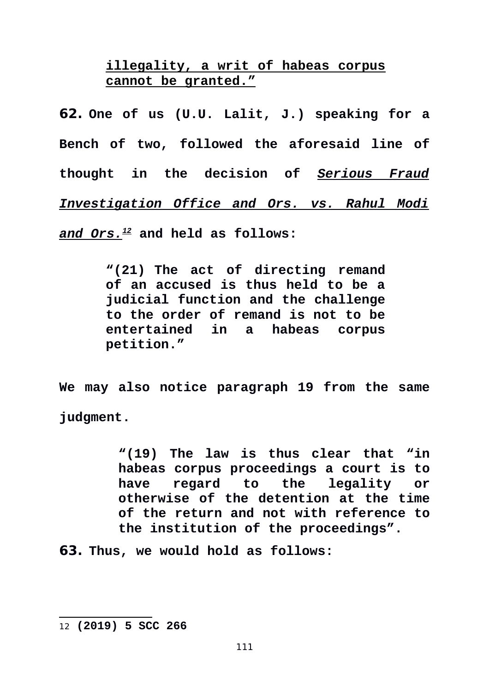**illegality, a writ of habeas corpus cannot be granted."**

**62. One of us (U.U. Lalit, J.) speaking for a Bench of two, followed the aforesaid line of thought in the decision of** *Serious Fraud Investigation Office and Ors. vs. Rahul Modi and Ors.[12](#page-110-0)* **and held as follows:** 

> **"(21) The act of directing remand of an accused is thus held to be a judicial function and the challenge to the order of remand is not to be entertained in a habeas corpus petition."**

**We may also notice paragraph 19 from the same judgment.** 

> **"(19) The law is thus clear that "in habeas corpus proceedings a court is to have regard to the legality or otherwise of the detention at the time of the return and not with reference to the institution of the proceedings".**

**63. Thus, we would hold as follows:** 

<span id="page-110-0"></span><sup>12</sup> **(2019) 5 SCC 266**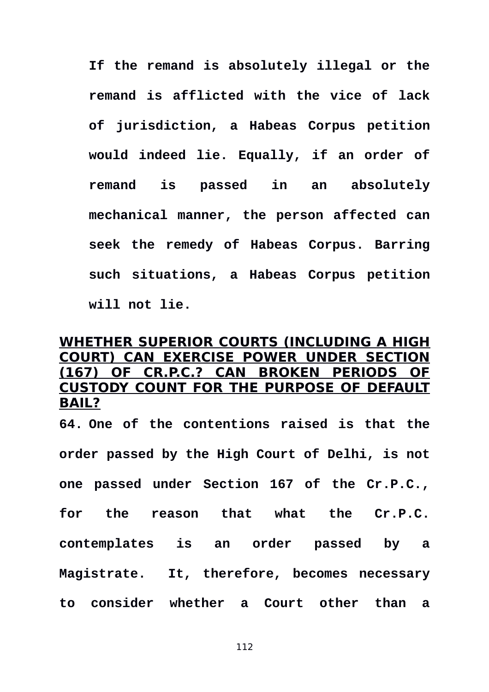**If the remand is absolutely illegal or the remand is afflicted with the vice of lack of jurisdiction, a Habeas Corpus petition would indeed lie. Equally, if an order of remand is passed in an absolutely mechanical manner, the person affected can seek the remedy of Habeas Corpus. Barring such situations, a Habeas Corpus petition will not lie.** 

# **WHETHER SUPERIOR COURTS (INCLUDING A HIGH COURT) CAN EXERCISE POWER UNDER SECTION (167) OF CR.P.C.? CAN BROKEN PERIODS OF CUSTODY COUNT FOR THE PURPOSE OF DEFAULT BAIL?**

**64. One of the contentions raised is that the order passed by the High Court of Delhi, is not one passed under Section 167 of the Cr.P.C., for the reason that what the Cr.P.C. contemplates is an order passed by a Magistrate. It, therefore, becomes necessary to consider whether a Court other than a**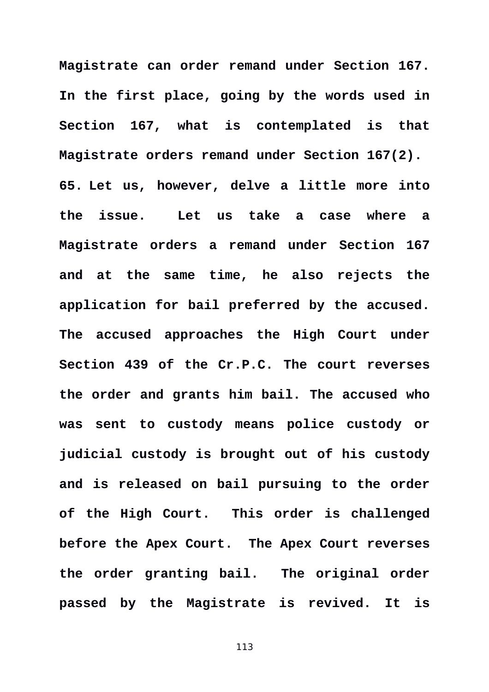**Magistrate can order remand under Section 167. In the first place, going by the words used in Section 167, what is contemplated is that Magistrate orders remand under Section 167(2). 65. Let us, however, delve a little more into the issue. Let us take a case where a Magistrate orders a remand under Section 167 and at the same time, he also rejects the application for bail preferred by the accused. The accused approaches the High Court under Section 439 of the Cr.P.C. The court reverses the order and grants him bail. The accused who was sent to custody means police custody or judicial custody is brought out of his custody and is released on bail pursuing to the order of the High Court. This order is challenged before the Apex Court. The Apex Court reverses the order granting bail. The original order passed by the Magistrate is revived. It is**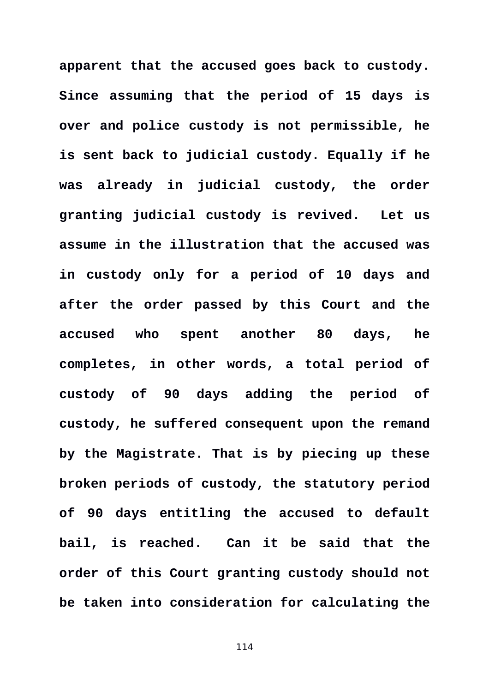**apparent that the accused goes back to custody. Since assuming that the period of 15 days is over and police custody is not permissible, he is sent back to judicial custody. Equally if he was already in judicial custody, the order granting judicial custody is revived. Let us assume in the illustration that the accused was in custody only for a period of 10 days and after the order passed by this Court and the accused who spent another 80 days, he completes, in other words, a total period of custody of 90 days adding the period of custody, he suffered consequent upon the remand by the Magistrate. That is by piecing up these broken periods of custody, the statutory period of 90 days entitling the accused to default bail, is reached. Can it be said that the order of this Court granting custody should not be taken into consideration for calculating the**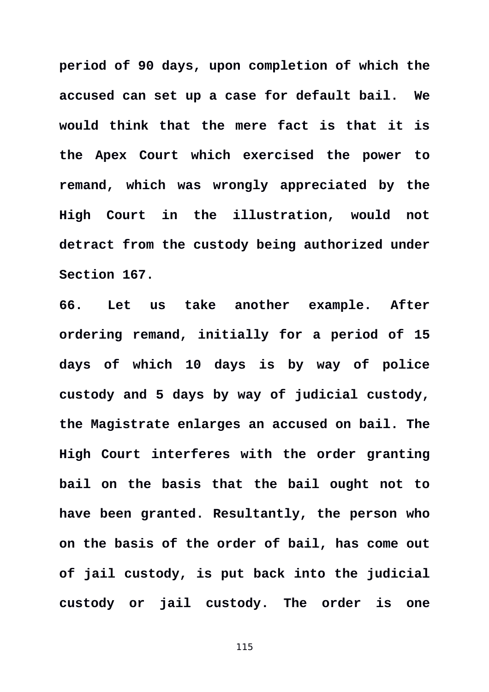**period of 90 days, upon completion of which the accused can set up a case for default bail. We would think that the mere fact is that it is the Apex Court which exercised the power to remand, which was wrongly appreciated by the High Court in the illustration, would not detract from the custody being authorized under Section 167.** 

**66. Let us take another example. After ordering remand, initially for a period of 15 days of which 10 days is by way of police custody and 5 days by way of judicial custody, the Magistrate enlarges an accused on bail. The High Court interferes with the order granting bail on the basis that the bail ought not to have been granted. Resultantly, the person who on the basis of the order of bail, has come out of jail custody, is put back into the judicial custody or jail custody. The order is one**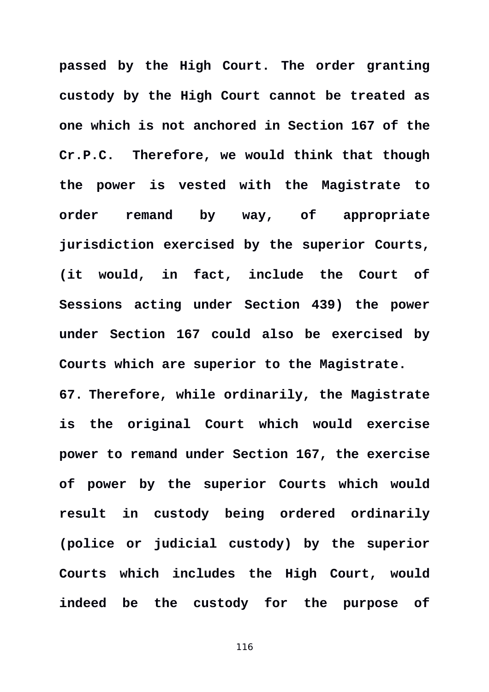**passed by the High Court. The order granting custody by the High Court cannot be treated as one which is not anchored in Section 167 of the Cr.P.C. Therefore, we would think that though the power is vested with the Magistrate to order remand by way, of appropriate jurisdiction exercised by the superior Courts, (it would, in fact, include the Court of Sessions acting under Section 439) the power under Section 167 could also be exercised by Courts which are superior to the Magistrate. 67. Therefore, while ordinarily, the Magistrate is the original Court which would exercise power to remand under Section 167, the exercise of power by the superior Courts which would result in custody being ordered ordinarily (police or judicial custody) by the superior Courts which includes the High Court, would**

**indeed be the custody for the purpose of**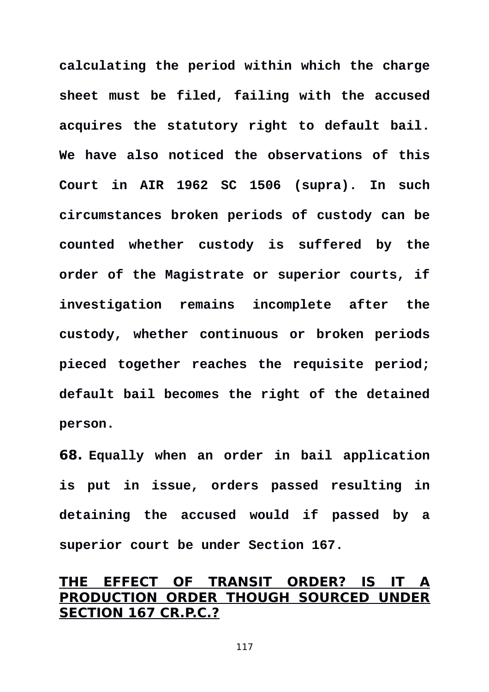**calculating the period within which the charge sheet must be filed, failing with the accused acquires the statutory right to default bail. We have also noticed the observations of this Court in AIR 1962 SC 1506 (supra). In such circumstances broken periods of custody can be counted whether custody is suffered by the order of the Magistrate or superior courts, if investigation remains incomplete after the custody, whether continuous or broken periods pieced together reaches the requisite period; default bail becomes the right of the detained person.** 

**68. Equally when an order in bail application is put in issue, orders passed resulting in detaining the accused would if passed by a superior court be under Section 167.** 

# **THE EFFECT OF TRANSIT ORDER? IS IT A PRODUCTION ORDER THOUGH SOURCED UNDER SECTION 167 CR.P.C.?**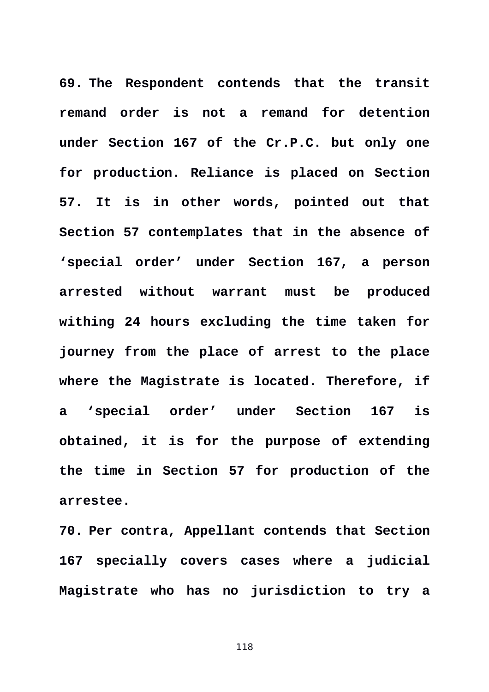**69. The Respondent contends that the transit remand order is not a remand for detention under Section 167 of the Cr.P.C. but only one for production. Reliance is placed on Section 57. It is in other words, pointed out that Section 57 contemplates that in the absence of 'special order' under Section 167, a person arrested without warrant must be produced withing 24 hours excluding the time taken for journey from the place of arrest to the place where the Magistrate is located. Therefore, if a 'special order' under Section 167 is obtained, it is for the purpose of extending the time in Section 57 for production of the arrestee.** 

**70. Per contra, Appellant contends that Section 167 specially covers cases where a judicial Magistrate who has no jurisdiction to try a**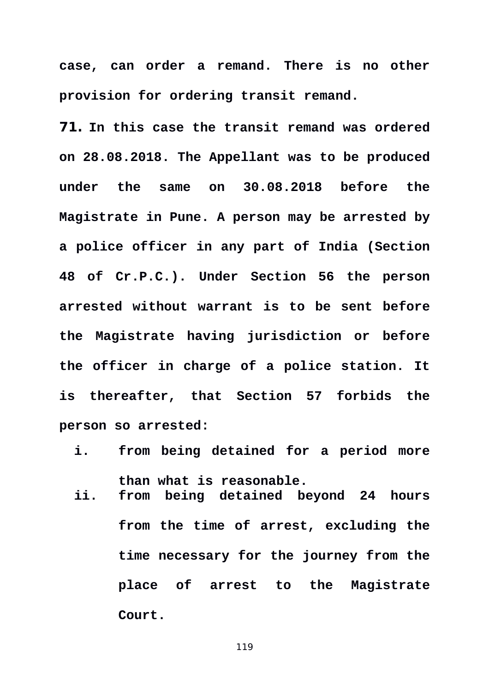**case, can order a remand. There is no other provision for ordering transit remand.** 

**71. In this case the transit remand was ordered on 28.08.2018. The Appellant was to be produced under the same on 30.08.2018 before the Magistrate in Pune. A person may be arrested by a police officer in any part of India (Section 48 of Cr.P.C.). Under Section 56 the person arrested without warrant is to be sent before the Magistrate having jurisdiction or before the officer in charge of a police station. It is thereafter, that Section 57 forbids the person so arrested:** 

- **i. from being detained for a period more than what is reasonable.**
- **ii. from being detained beyond 24 hours from the time of arrest, excluding the time necessary for the journey from the place of arrest to the Magistrate Court.**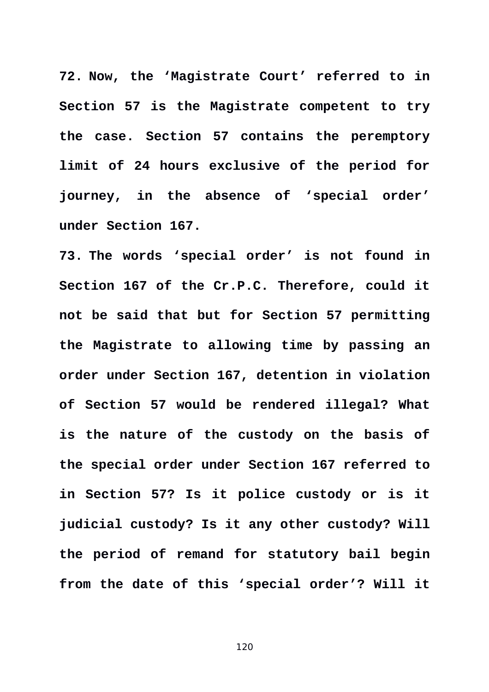**72. Now, the 'Magistrate Court' referred to in Section 57 is the Magistrate competent to try the case. Section 57 contains the peremptory limit of 24 hours exclusive of the period for journey, in the absence of 'special order' under Section 167.** 

**73. The words 'special order' is not found in Section 167 of the Cr.P.C. Therefore, could it not be said that but for Section 57 permitting the Magistrate to allowing time by passing an order under Section 167, detention in violation of Section 57 would be rendered illegal? What is the nature of the custody on the basis of the special order under Section 167 referred to in Section 57? Is it police custody or is it judicial custody? Is it any other custody? Will the period of remand for statutory bail begin from the date of this 'special order'? Will it**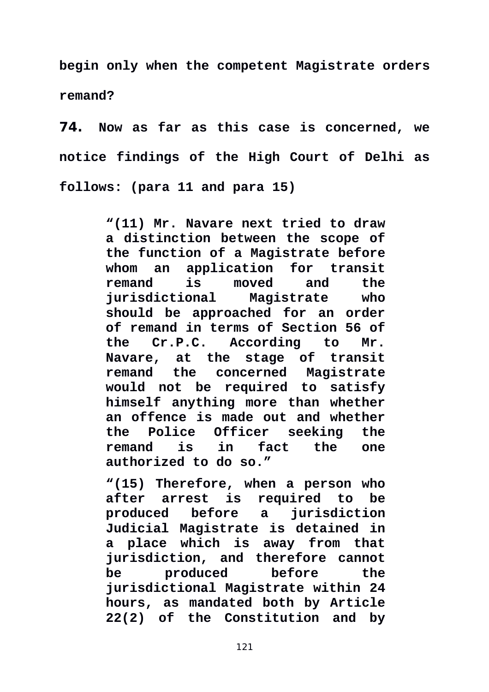**begin only when the competent Magistrate orders remand?** 

**74. Now as far as this case is concerned, we notice findings of the High Court of Delhi as follows: (para 11 and para 15)** 

> **"(11) Mr. Navare next tried to draw a distinction between the scope of the function of a Magistrate before whom an application for transit remand is moved and the jurisdictional Magistrate who should be approached for an order of remand in terms of Section 56 of the Cr.P.C. According to Mr. Navare, at the stage of transit remand the concerned Magistrate would not be required to satisfy himself anything more than whether an offence is made out and whether the Police Officer seeking the remand is in fact the one authorized to do so."**

> **"(15) Therefore, when a person who after arrest is required to be produced before a jurisdiction Judicial Magistrate is detained in a place which is away from that jurisdiction, and therefore cannot be produced before the jurisdictional Magistrate within 24 hours, as mandated both by Article 22(2) of the Constitution and by**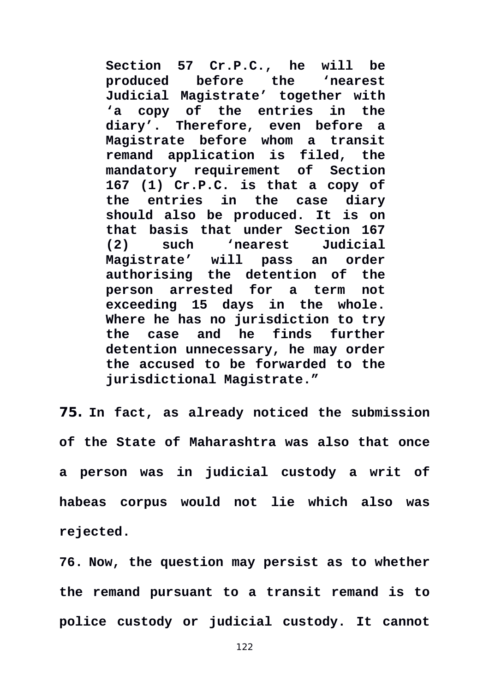**Section 57 Cr.P.C., he will be before** the 'nearest **Judicial Magistrate' together with 'a copy of the entries in the diary'. Therefore, even before a Magistrate before whom a transit remand application is filed, the mandatory requirement of Section 167 (1) Cr.P.C. is that a copy of the entries in the case diary should also be produced. It is on that basis that under Section 167 (2) such 'nearest Judicial Magistrate' will pass an order authorising the detention of the person arrested for a term not exceeding 15 days in the whole. Where he has no jurisdiction to try the case and he finds further detention unnecessary, he may order the accused to be forwarded to the jurisdictional Magistrate."** 

**75. In fact, as already noticed the submission of the State of Maharashtra was also that once a person was in judicial custody a writ of habeas corpus would not lie which also was rejected.** 

**76. Now, the question may persist as to whether the remand pursuant to a transit remand is to police custody or judicial custody. It cannot**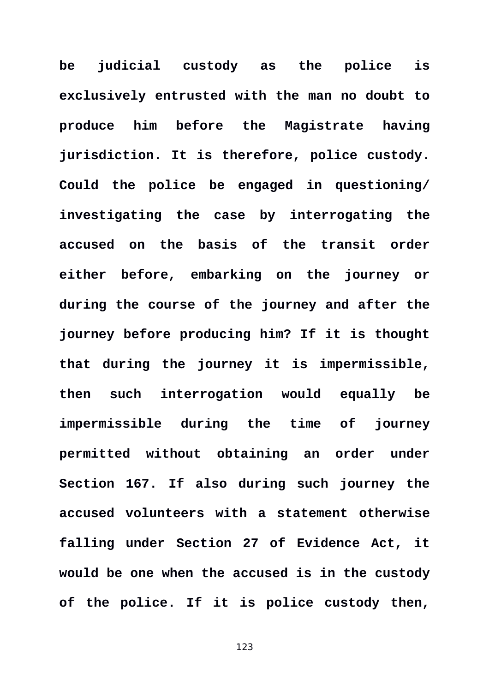**be judicial custody as the police is exclusively entrusted with the man no doubt to produce him before the Magistrate having jurisdiction. It is therefore, police custody. Could the police be engaged in questioning/ investigating the case by interrogating the accused on the basis of the transit order either before, embarking on the journey or during the course of the journey and after the journey before producing him? If it is thought that during the journey it is impermissible, then such interrogation would equally be impermissible during the time of journey permitted without obtaining an order under Section 167. If also during such journey the accused volunteers with a statement otherwise falling under Section 27 of Evidence Act, it would be one when the accused is in the custody of the police. If it is police custody then,**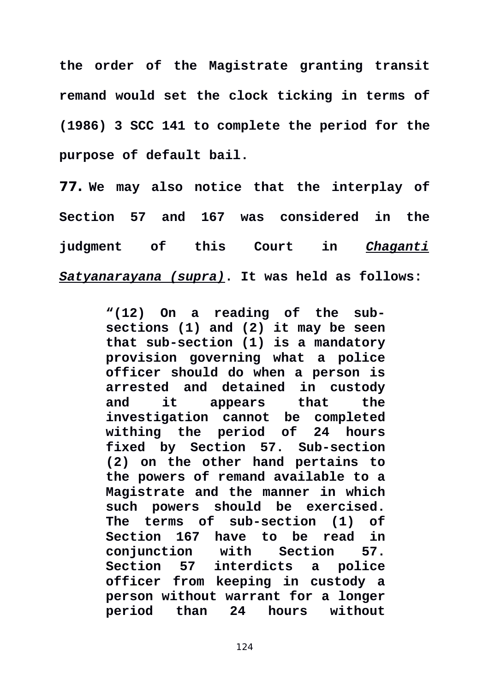**the order of the Magistrate granting transit remand would set the clock ticking in terms of (1986) 3 SCC 141 to complete the period for the purpose of default bail.** 

**77. We may also notice that the interplay of Section 57 and 167 was considered in the judgment of this Court in** *Chaganti Satyanarayana (supra)***. It was held as follows:** 

> **"(12) On a reading of the subsections (1) and (2) it may be seen that sub-section (1) is a mandatory provision governing what a police officer should do when a person is arrested and detained in custody and it appears that the investigation cannot be completed withing the period of 24 hours fixed by Section 57. Sub-section (2) on the other hand pertains to the powers of remand available to a Magistrate and the manner in which such powers should be exercised. The terms of sub-section (1) of Section 167 have to be read in conjunction with Section 57. Section 57 interdicts a police officer from keeping in custody a person without warrant for a longer period than 24 hours without**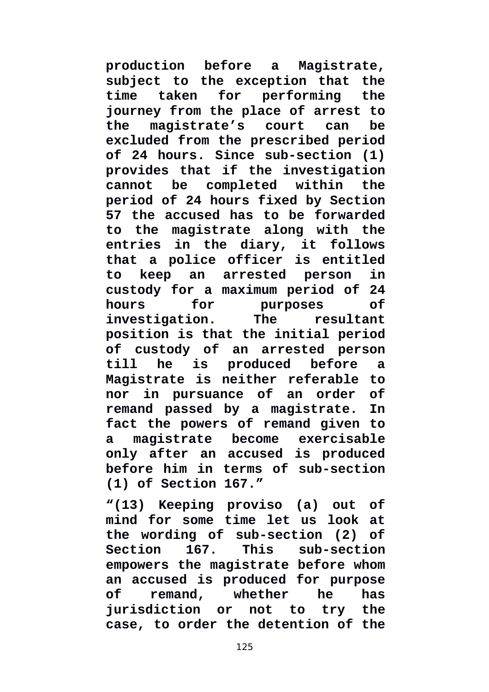**production before a Magistrate, subject to the exception that the time taken for performing the journey from the place of arrest to the magistrate's court can be excluded from the prescribed period of 24 hours. Since sub-section (1) provides that if the investigation cannot be completed within the period of 24 hours fixed by Section 57 the accused has to be forwarded to the magistrate along with the entries in the diary, it follows that a police officer is entitled to keep an arrested person in custody for a maximum period of 24 hours for purposes of investigation. The resultant position is that the initial period of custody of an arrested person till he is produced before a Magistrate is neither referable to nor in pursuance of an order of remand passed by a magistrate. In fact the powers of remand given to a magistrate become exercisable only after an accused is produced before him in terms of sub-section (1) of Section 167."**

**"(13) Keeping proviso (a) out of mind for some time let us look at the wording of sub-section (2) of Section 167. This sub-section empowers the magistrate before whom an accused is produced for purpose of remand, whether he has jurisdiction or not to try the case, to order the detention of the**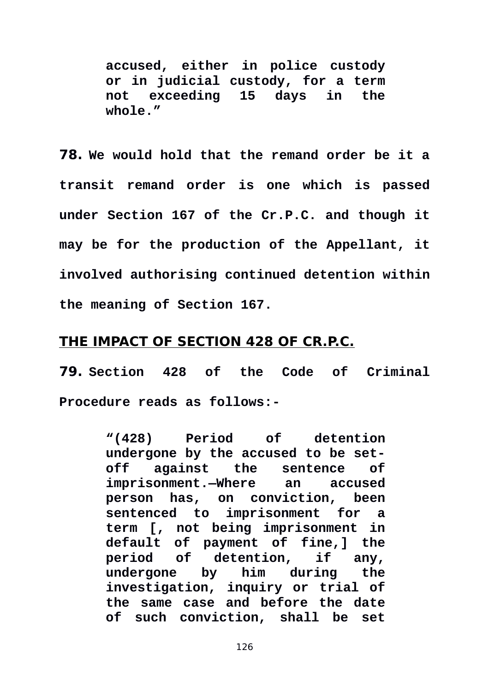**accused, either in police custody or in judicial custody, for a term not exceeding 15 days in the whole."** 

**78. We would hold that the remand order be it a transit remand order is one which is passed under Section 167 of the Cr.P.C. and though it may be for the production of the Appellant, it involved authorising continued detention within the meaning of Section 167.** 

# **THE IMPACT OF SECTION 428 OF CR.P.C.**

**79. Section 428 of the Code of Criminal Procedure reads as follows:-** 

> **"(428) Period of detention undergone by the accused to be setoff against the sentence of imprisonment.—Where an accused person has, on conviction, been sentenced to imprisonment for a term [, not being imprisonment in default of payment of fine,] the period of detention, if any, undergone by him during the investigation, inquiry or trial of the same case and before the date of such conviction, shall be set**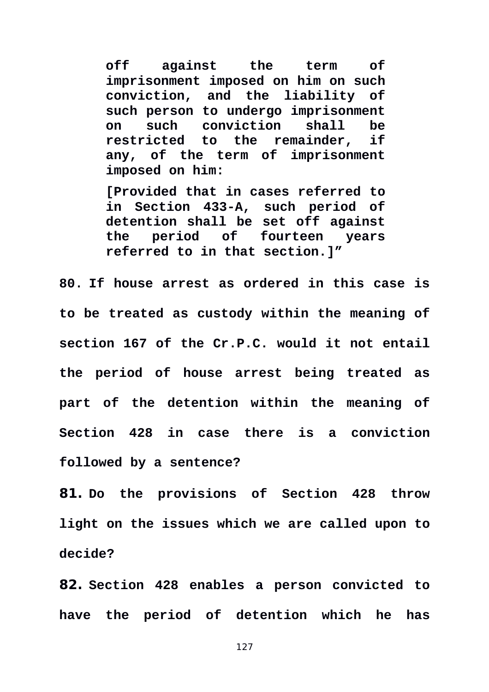**off against the term of imprisonment imposed on him on such conviction, and the liability of such person to undergo imprisonment on such conviction shall be restricted to the remainder, if any, of the term of imprisonment imposed on him:** 

**[Provided that in cases referred to in Section 433-A, such period of detention shall be set off against the period of fourteen years referred to in that section.]"**

**80. If house arrest as ordered in this case is to be treated as custody within the meaning of section 167 of the Cr.P.C. would it not entail the period of house arrest being treated as part of the detention within the meaning of Section 428 in case there is a conviction followed by a sentence?** 

**81. Do the provisions of Section 428 throw light on the issues which we are called upon to decide?** 

**82. Section 428 enables a person convicted to have the period of detention which he has**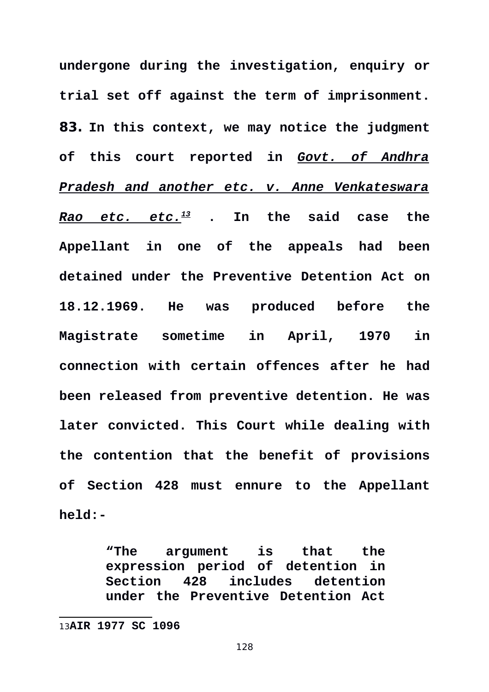**undergone during the investigation, enquiry or trial set off against the term of imprisonment. 83. In this context, we may notice the judgment of this court reported in** *Govt. of Andhra Pradesh and another etc. v. Anne Venkateswara Rao etc. etc.[13](#page-127-0)* **. In the said case the Appellant in one of the appeals had been detained under the Preventive Detention Act on 18.12.1969. He was produced before the Magistrate sometime in April, 1970 in connection with certain offences after he had been released from preventive detention. He was later convicted. This Court while dealing with the contention that the benefit of provisions of Section 428 must ennure to the Appellant held:-** 

> **"The argument is that the expression period of detention in Section 428 includes detention under the Preventive Detention Act**

<span id="page-127-0"></span><sup>13</sup>**AIR 1977 SC 1096**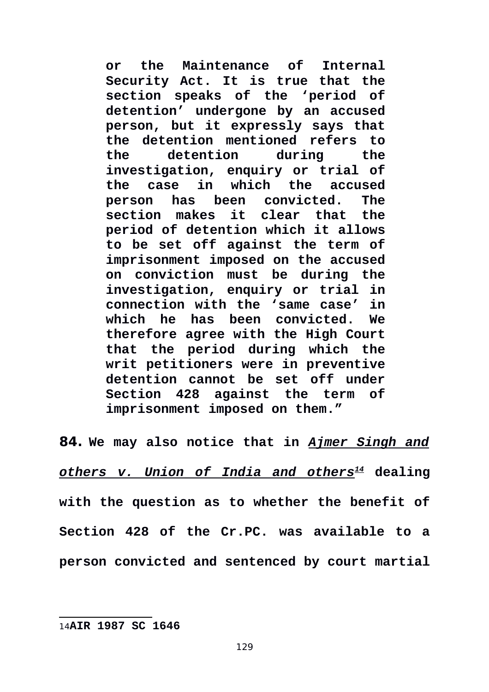**or the Maintenance of Internal Security Act. It is true that the section speaks of the 'period of detention' undergone by an accused person, but it expressly says that the detention mentioned refers to the detention during the investigation, enquiry or trial of the case in which the accused person has been convicted. The section makes it clear that the period of detention which it allows to be set off against the term of imprisonment imposed on the accused on conviction must be during the investigation, enquiry or trial in connection with the 'same case' in which he has been convicted. We therefore agree with the High Court that the period during which the writ petitioners were in preventive detention cannot be set off under Section 428 against the term of imprisonment imposed on them."**

<span id="page-128-0"></span>**84. We may also notice that in** *Ajmer Singh and others v. Union of India and others[14](#page-128-0)* **dealing with the question as to whether the benefit of Section 428 of the Cr.PC. was available to a person convicted and sentenced by court martial**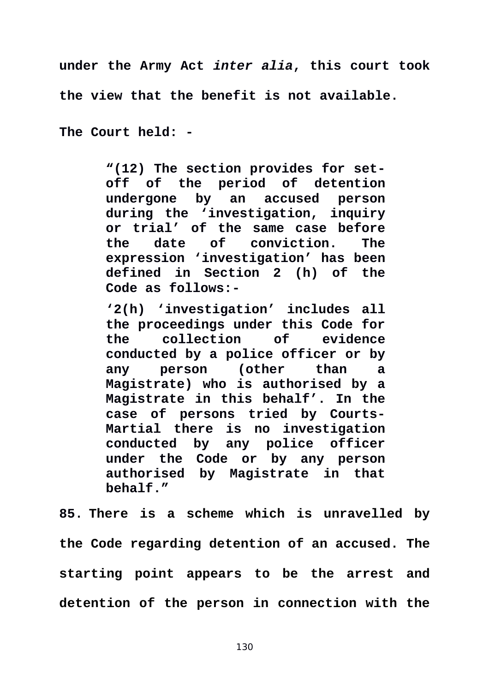**under the Army Act** *inter alia***, this court took**

**the view that the benefit is not available.** 

**The Court held: -** 

**"(12) The section provides for setoff of the period of detention undergone by an accused person during the 'investigation, inquiry or trial' of the same case before the date of conviction. The expression 'investigation' has been defined in Section 2 (h) of the Code as follows:-**

**'2(h) 'investigation' includes all the proceedings under this Code for the collection of evidence conducted by a police officer or by any person (other than a Magistrate) who is authorised by a Magistrate in this behalf'. In the case of persons tried by Courts-Martial there is no investigation conducted by any police officer under the Code or by any person authorised by Magistrate in that behalf."**

**85. There is a scheme which is unravelled by the Code regarding detention of an accused. The starting point appears to be the arrest and detention of the person in connection with the**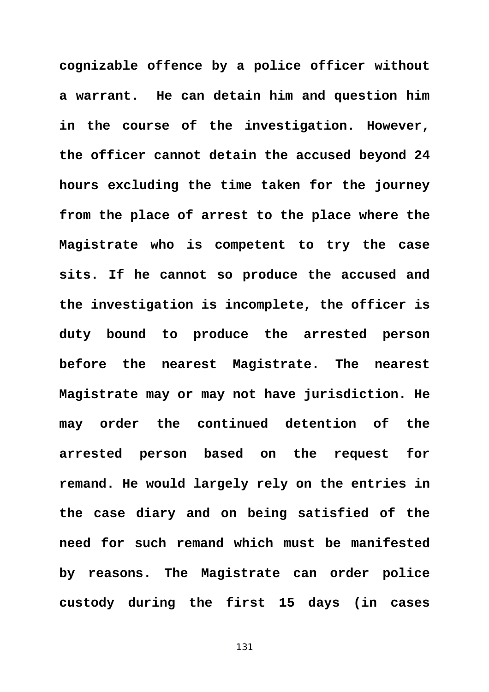**cognizable offence by a police officer without a warrant. He can detain him and question him in the course of the investigation. However, the officer cannot detain the accused beyond 24 hours excluding the time taken for the journey from the place of arrest to the place where the Magistrate who is competent to try the case sits. If he cannot so produce the accused and the investigation is incomplete, the officer is duty bound to produce the arrested person before the nearest Magistrate. The nearest Magistrate may or may not have jurisdiction. He may order the continued detention of the arrested person based on the request for remand. He would largely rely on the entries in the case diary and on being satisfied of the need for such remand which must be manifested by reasons. The Magistrate can order police custody during the first 15 days (in cases**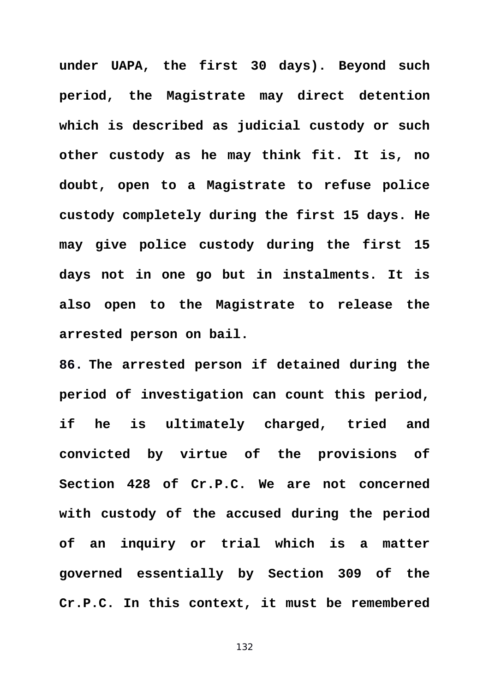**under UAPA, the first 30 days). Beyond such period, the Magistrate may direct detention which is described as judicial custody or such other custody as he may think fit. It is, no doubt, open to a Magistrate to refuse police custody completely during the first 15 days. He may give police custody during the first 15 days not in one go but in instalments. It is also open to the Magistrate to release the arrested person on bail.** 

**86. The arrested person if detained during the period of investigation can count this period, if he is ultimately charged, tried and convicted by virtue of the provisions of Section 428 of Cr.P.C. We are not concerned with custody of the accused during the period of an inquiry or trial which is a matter governed essentially by Section 309 of the Cr.P.C. In this context, it must be remembered**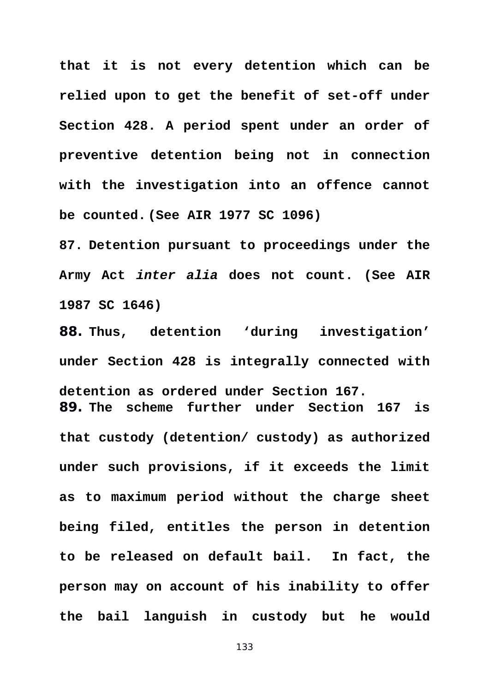**that it is not every detention which can be relied upon to get the benefit of set-off under Section 428. A period spent under an order of preventive detention being not in connection with the investigation into an offence cannot be counted. (See AIR 1977 SC 1096)** 

**87. Detention pursuant to proceedings under the Army Act** *inter alia* **does not count. (See AIR 1987 SC 1646)** 

**88. Thus, detention 'during investigation' under Section 428 is integrally connected with detention as ordered under Section 167. 89. The scheme further under Section 167 is that custody (detention/ custody) as authorized under such provisions, if it exceeds the limit**

**as to maximum period without the charge sheet being filed, entitles the person in detention to be released on default bail. In fact, the person may on account of his inability to offer the bail languish in custody but he would**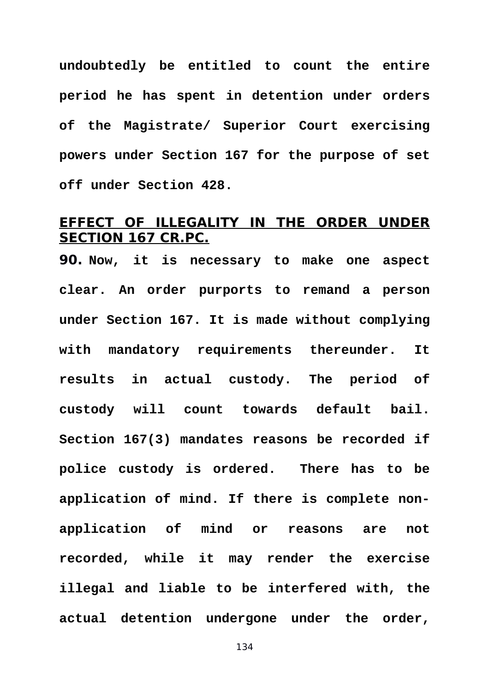**undoubtedly be entitled to count the entire period he has spent in detention under orders of the Magistrate/ Superior Court exercising powers under Section 167 for the purpose of set off under Section 428.** 

### **EFFECT OF ILLEGALITY IN THE ORDER UNDER SECTION 167 CR.PC.**

**90. Now, it is necessary to make one aspect clear. An order purports to remand a person under Section 167. It is made without complying with mandatory requirements thereunder. It results in actual custody. The period of custody will count towards default bail. Section 167(3) mandates reasons be recorded if police custody is ordered. There has to be application of mind. If there is complete nonapplication of mind or reasons are not recorded, while it may render the exercise illegal and liable to be interfered with, the actual detention undergone under the order,**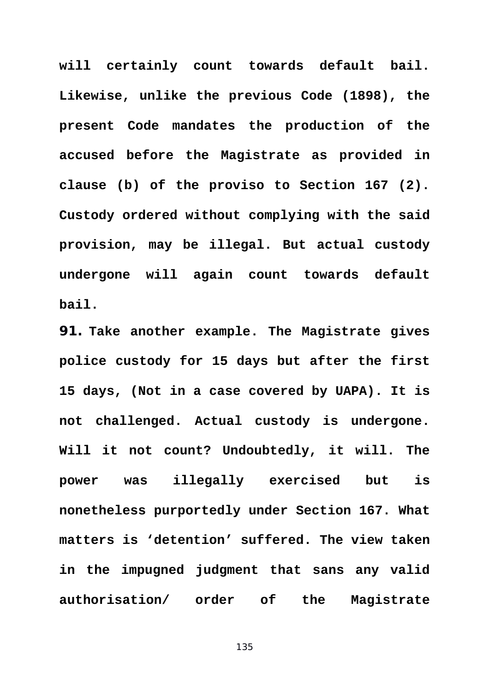**will certainly count towards default bail. Likewise, unlike the previous Code (1898), the present Code mandates the production of the accused before the Magistrate as provided in clause (b) of the proviso to Section 167 (2). Custody ordered without complying with the said provision, may be illegal. But actual custody undergone will again count towards default bail.** 

**91. Take another example. The Magistrate gives police custody for 15 days but after the first 15 days, (Not in a case covered by UAPA). It is not challenged. Actual custody is undergone. Will it not count? Undoubtedly, it will. The power was illegally exercised but is nonetheless purportedly under Section 167. What matters is 'detention' suffered. The view taken in the impugned judgment that sans any valid authorisation/ order of the Magistrate**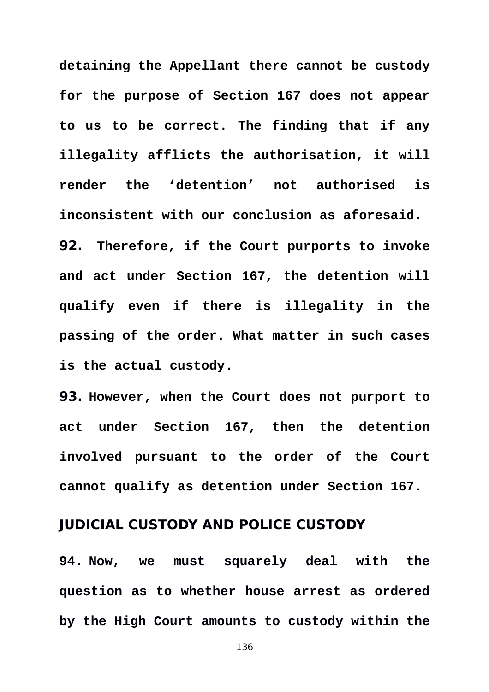**detaining the Appellant there cannot be custody for the purpose of Section 167 does not appear to us to be correct. The finding that if any illegality afflicts the authorisation, it will render the 'detention' not authorised is inconsistent with our conclusion as aforesaid. 92. Therefore, if the Court purports to invoke and act under Section 167, the detention will qualify even if there is illegality in the passing of the order. What matter in such cases is the actual custody.** 

**93. However, when the Court does not purport to act under Section 167, then the detention involved pursuant to the order of the Court cannot qualify as detention under Section 167.**

### **JUDICIAL CUSTODY AND POLICE CUSTODY**

**94. Now, we must squarely deal with the question as to whether house arrest as ordered by the High Court amounts to custody within the**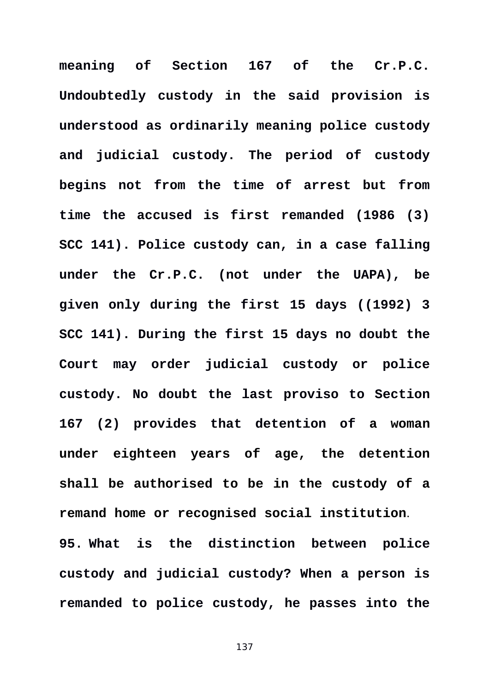**meaning of Section 167 of the Cr.P.C. Undoubtedly custody in the said provision is understood as ordinarily meaning police custody and judicial custody. The period of custody begins not from the time of arrest but from time the accused is first remanded (1986 (3) SCC 141). Police custody can, in a case falling under the Cr.P.C. (not under the UAPA), be given only during the first 15 days ((1992) 3 SCC 141). During the first 15 days no doubt the Court may order judicial custody or police custody. No doubt the last proviso to Section 167 (2) provides that detention of a woman under eighteen years of age, the detention shall be authorised to be in the custody of a remand home or recognised social institution**. **95. What is the distinction between police custody and judicial custody? When a person is remanded to police custody, he passes into the**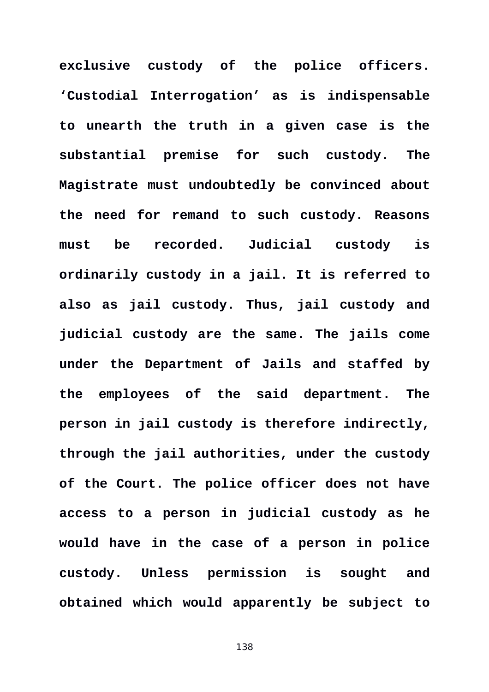**exclusive custody of the police officers. 'Custodial Interrogation' as is indispensable to unearth the truth in a given case is the substantial premise for such custody. The Magistrate must undoubtedly be convinced about the need for remand to such custody. Reasons must be recorded. Judicial custody is ordinarily custody in a jail. It is referred to also as jail custody. Thus, jail custody and judicial custody are the same. The jails come under the Department of Jails and staffed by the employees of the said department. The person in jail custody is therefore indirectly, through the jail authorities, under the custody of the Court. The police officer does not have access to a person in judicial custody as he would have in the case of a person in police custody. Unless permission is sought and obtained which would apparently be subject to**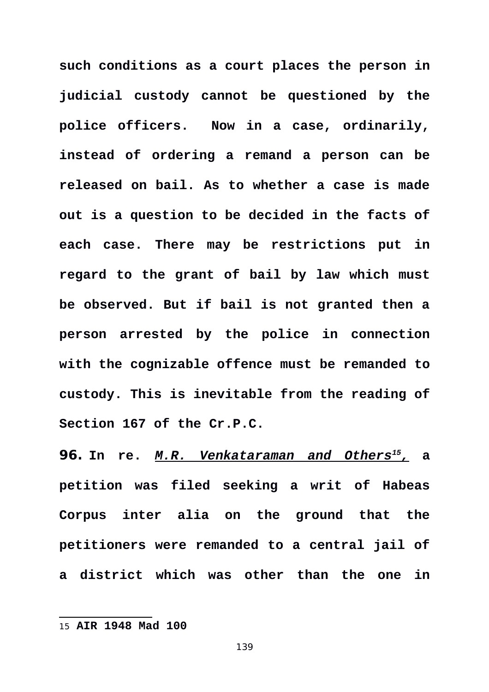**such conditions as a court places the person in judicial custody cannot be questioned by the police officers. Now in a case, ordinarily, instead of ordering a remand a person can be released on bail. As to whether a case is made out is a question to be decided in the facts of each case. There may be restrictions put in regard to the grant of bail by law which must be observed. But if bail is not granted then a person arrested by the police in connection with the cognizable offence must be remanded to custody. This is inevitable from the reading of Section 167 of the Cr.P.C.** 

**96. In re.** *M.R. Venkataraman and Others<sup>15</sup> [,](#page-138-0)* **a petition was filed seeking a writ of Habeas Corpus inter alia on the ground that the petitioners were remanded to a central jail of a district which was other than the one in**

<span id="page-138-0"></span><sup>15</sup> **AIR 1948 Mad 100**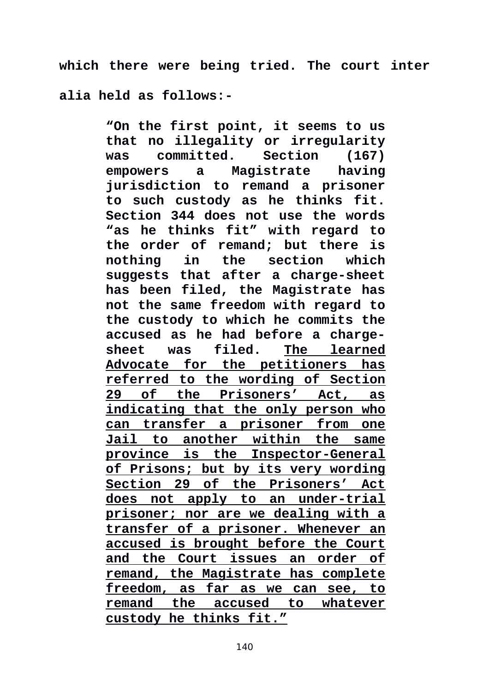**which there were being tried. The court inter alia held as follows:-** 

> **"On the first point, it seems to us that no illegality or irregularity was** committed. **empowers a Magistrate having jurisdiction to remand a prisoner to such custody as he thinks fit. Section 344 does not use the words "as he thinks fit" with regard to the order of remand; but there is nothing in the section which suggests that after a charge-sheet has been filed, the Magistrate has not the same freedom with regard to the custody to which he commits the accused as he had before a chargesheet was filed. The learned Advocate for the petitioners has referred to the wording of Section 29 of the Prisoners' Act, as indicating that the only person who can transfer a prisoner from one Jail to another within the same province is the Inspector-General of Prisons; but by its very wording Section 29 of the Prisoners' Act does not apply to an under-trial prisoner; nor are we dealing with a transfer of a prisoner. Whenever an accused is brought before the Court and the Court issues an order of remand, the Magistrate has complete freedom, as far as we can see, to remand the accused to whatever custody he thinks fit."**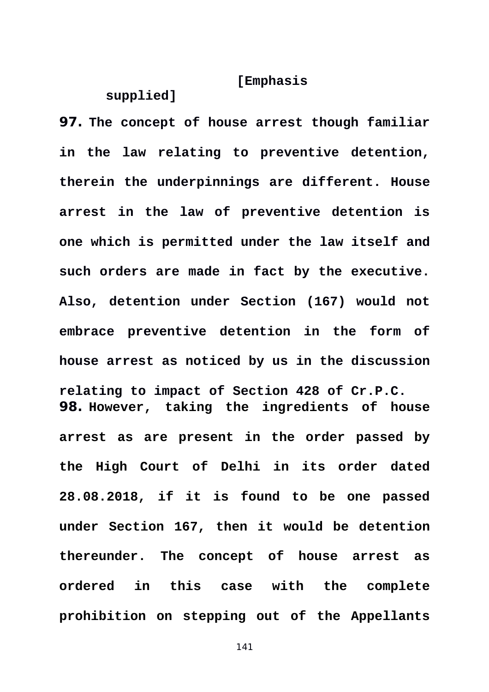### **[Emphasis**

#### **supplied]**

**97. The concept of house arrest though familiar in the law relating to preventive detention, therein the underpinnings are different. House arrest in the law of preventive detention is one which is permitted under the law itself and such orders are made in fact by the executive. Also, detention under Section (167) would not embrace preventive detention in the form of house arrest as noticed by us in the discussion relating to impact of Section 428 of Cr.P.C. 98. However, taking the ingredients of house arrest as are present in the order passed by the High Court of Delhi in its order dated 28.08.2018, if it is found to be one passed under Section 167, then it would be detention thereunder. The concept of house arrest as ordered in this case with the complete prohibition on stepping out of the Appellants**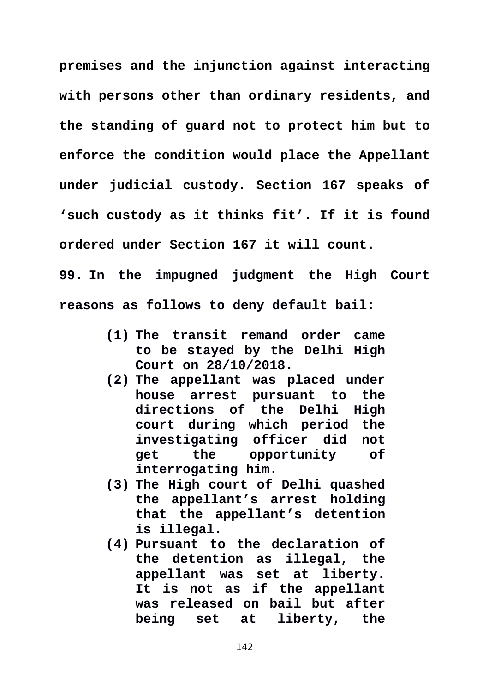**premises and the injunction against interacting with persons other than ordinary residents, and the standing of guard not to protect him but to enforce the condition would place the Appellant under judicial custody. Section 167 speaks of 'such custody as it thinks fit'. If it is found ordered under Section 167 it will count. 99. In the impugned judgment the High Court**

**reasons as follows to deny default bail:** 

- **(1) The transit remand order came to be stayed by the Delhi High Court on 28/10/2018.**
- **(2) The appellant was placed under house arrest pursuant to the directions of the Delhi High court during which period the investigating officer did not get the opportunity of interrogating him.**
- **(3) The High court of Delhi quashed the appellant's arrest holding that the appellant's detention is illegal.**
- **(4) Pursuant to the declaration of the detention as illegal, the appellant was set at liberty. It is not as if the appellant was released on bail but after being set at liberty, the**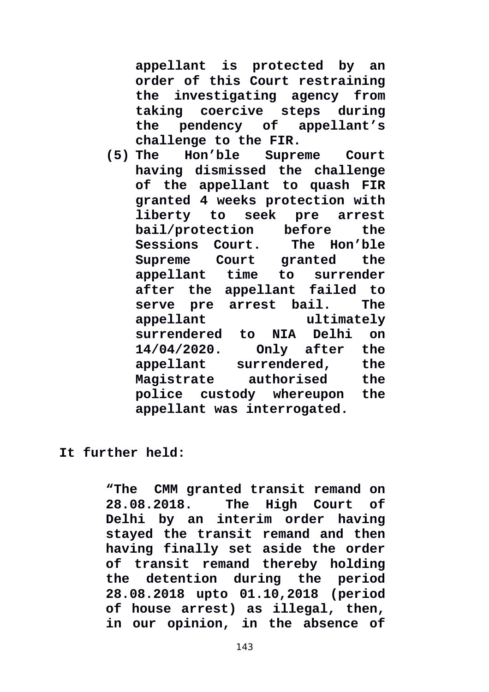**appellant is protected by an order of this Court restraining the investigating agency from taking coercive steps during the pendency of appellant's**

**challenge to the FIR.**<br>5) The Hon'ble Supre **(5) The Hon'ble Supreme Court having dismissed the challenge of the appellant to quash FIR granted 4 weeks protection with liberty to seek pre arrest bail/protection before the Sessions Court. The Hon'ble Supreme Court granted the appellant time to surrender after the appellant failed to serve pre arrest bail. The appellant ultimately surrendered to NIA Delhi on 14/04/2020. Only after the appellant surrendered, the Magistrate authorised the police custody whereupon the appellant was interrogated.**

#### **It further held:**

**"The CMM granted transit remand on 28.08.2018. The High Court of Delhi by an interim order having stayed the transit remand and then having finally set aside the order of transit remand thereby holding the detention during the period 28.08.2018 upto 01.10,2018 (period of house arrest) as illegal, then, in our opinion, in the absence of**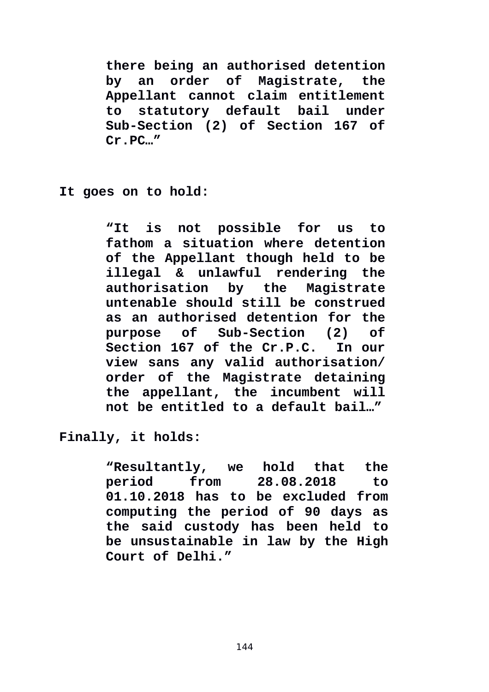**there being an authorised detention by an order of Magistrate, the Appellant cannot claim entitlement to statutory default bail under Sub-Section (2) of Section 167 of Cr.PC…"**

**It goes on to hold:**

**"It is not possible for us to fathom a situation where detention of the Appellant though held to be illegal & unlawful rendering the authorisation by the Magistrate untenable should still be construed as an authorised detention for the purpose of Sub-Section (2) of Section 167 of the Cr.P.C. In our view sans any valid authorisation/ order of the Magistrate detaining the appellant, the incumbent will not be entitled to a default bail…"**

**Finally, it holds:**

**"Resultantly, we hold that the period from 28.08.2018 to 01.10.2018 has to be excluded from computing the period of 90 days as the said custody has been held to be unsustainable in law by the High Court of Delhi."**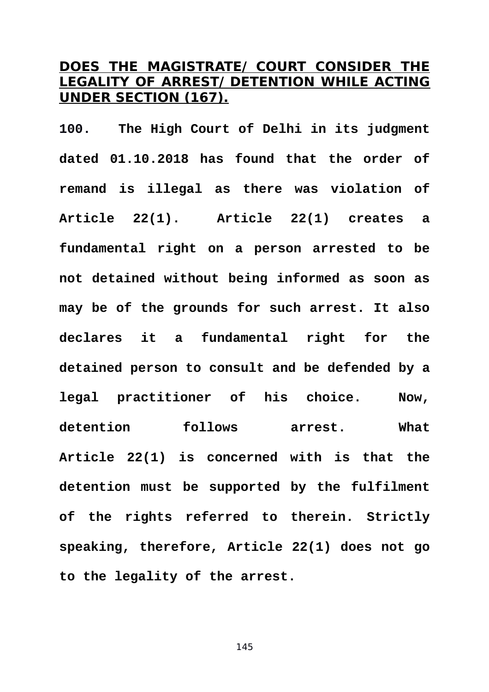## **DOES THE MAGISTRATE/ COURT CONSIDER THE LEGALITY OF ARREST/ DETENTION WHILE ACTING UNDER SECTION (167).**

**100. The High Court of Delhi in its judgment dated 01.10.2018 has found that the order of remand is illegal as there was violation of Article 22(1). Article 22(1) creates a fundamental right on a person arrested to be not detained without being informed as soon as may be of the grounds for such arrest. It also declares it a fundamental right for the detained person to consult and be defended by a legal practitioner of his choice. Now, detention follows arrest. What Article 22(1) is concerned with is that the detention must be supported by the fulfilment of the rights referred to therein. Strictly speaking, therefore, Article 22(1) does not go to the legality of the arrest.**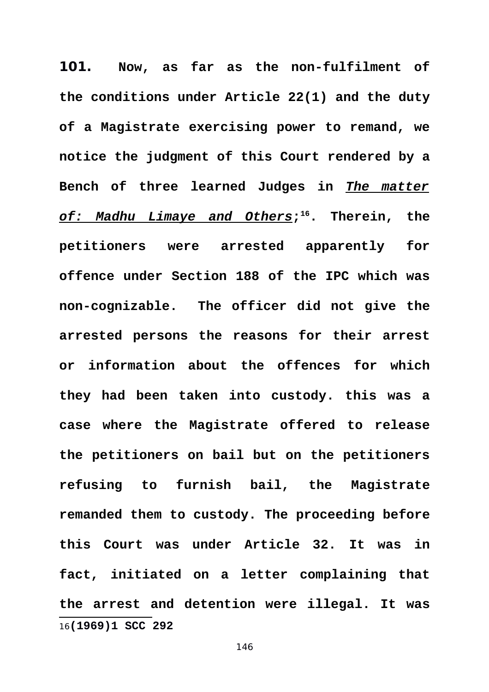<span id="page-145-0"></span>**101. Now, as far as the non-fulfilment of the conditions under Article 22(1) and the duty of a Magistrate exercising power to remand, we notice the judgment of this Court rendered by a Bench of three learned Judges in** *The matter of: Madhu Limaye and Others***; [16](#page-145-0). Therein, the petitioners were arrested apparently for offence under Section 188 of the IPC which was non-cognizable. The officer did not give the arrested persons the reasons for their arrest or information about the offences for which they had been taken into custody. this was a case where the Magistrate offered to release the petitioners on bail but on the petitioners refusing to furnish bail, the Magistrate remanded them to custody. The proceeding before this Court was under Article 32. It was in fact, initiated on a letter complaining that the arrest and detention were illegal. It was** 16**(1969)1 SCC 292**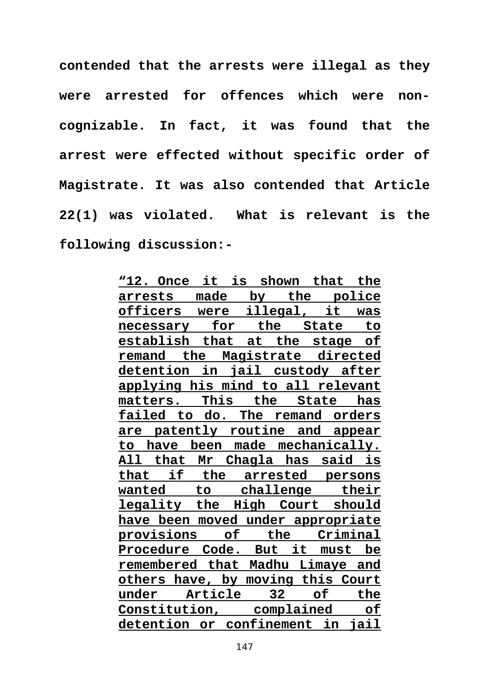**contended that the arrests were illegal as they were arrested for offences which were noncognizable. In fact, it was found that the arrest were effected without specific order of Magistrate. It was also contended that Article 22(1) was violated. What is relevant is the following discussion:-** 

> **"12. Once it is shown that the arrests made by the police officers were illegal, it was necessary for the State to establish that at the stage of remand the Magistrate directed detention in jail custody after applying his mind to all relevant matters. This the State has failed to do. The remand orders are patently routine and appear to have been made mechanically. All that Mr Chagla has said is that if the arrested persons wanted to challenge their legality the High Court should have been moved under appropriate provisions of the Criminal Procedure Code. But it must be remembered that Madhu Limaye and others have, by moving this Court under Article 32 of the Constitution, complained of detention or confinement in jail**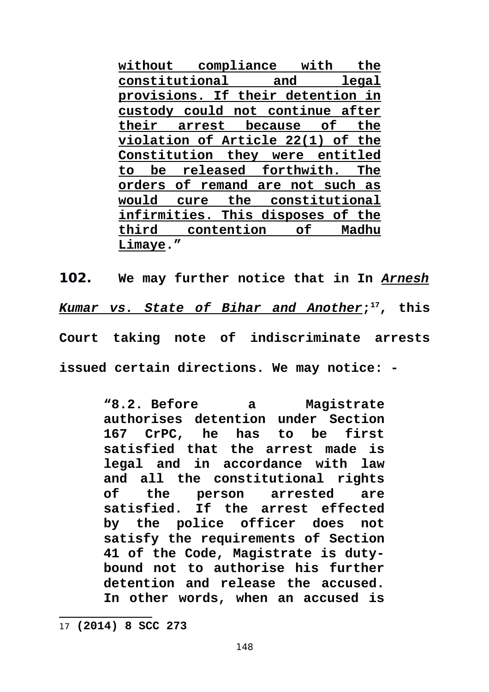**without compliance with the constitutional and legal provisions. If their detention in custody could not continue after their arrest because of the violation of Article 22(1) of the Constitution they were entitled to be released forthwith. The orders of remand are not such as would cure the constitutional infirmities. This disposes of the third contention of Madhu Limaye."**

**102. We may further notice that in In** *Arnesh Kumar vs. State of Bihar and Another***; [17](#page-147-0), this Court taking note of indiscriminate arrests issued certain directions. We may notice: -** 

> **"8.2. Before a Magistrate authorises detention under Section 167 CrPC, he has to be first satisfied that the arrest made is legal and in accordance with law and all the constitutional rights of the person arrested are satisfied. If the arrest effected by the police officer does not satisfy the requirements of Section 41 of the Code, Magistrate is dutybound not to authorise his further detention and release the accused. In other words, when an accused is**

<span id="page-147-0"></span><sup>17</sup> **(2014) 8 SCC 273**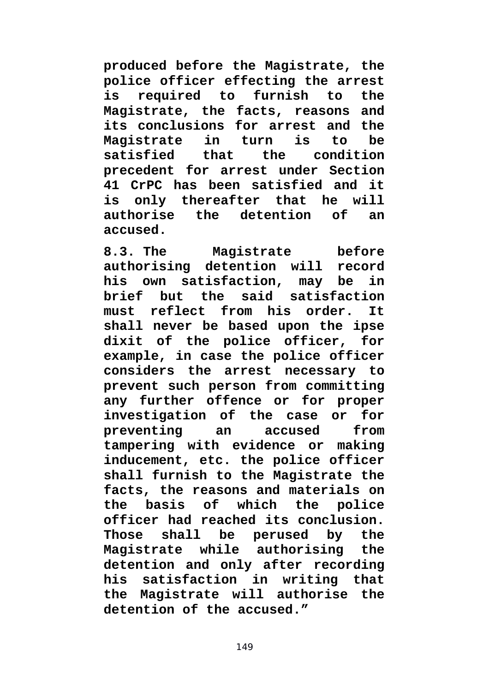**produced before the Magistrate, the police officer effecting the arrest is required to furnish to the Magistrate, the facts, reasons and its conclusions for arrest and the Magistrate in turn is to be satisfied that the condition precedent for arrest under Section 41 CrPC has been satisfied and it is only thereafter that he will authorise the detention of an accused.**

**8.3. The Magistrate before authorising detention will record his own satisfaction, may be in brief but the said satisfaction must reflect from his order. It shall never be based upon the ipse dixit of the police officer, for example, in case the police officer considers the arrest necessary to prevent such person from committing any further offence or for proper investigation of the case or for preventing an accused from tampering with evidence or making inducement, etc. the police officer shall furnish to the Magistrate the facts, the reasons and materials on the basis of which the police officer had reached its conclusion. Those shall be perused by the Magistrate while authorising the detention and only after recording his satisfaction in writing that the Magistrate will authorise the detention of the accused."**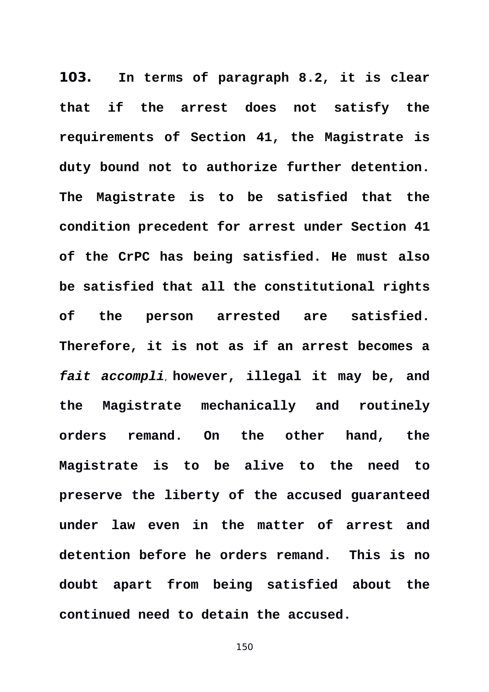**103. In terms of paragraph 8.2, it is clear that if the arrest does not satisfy the requirements of Section 41, the Magistrate is duty bound not to authorize further detention. The Magistrate is to be satisfied that the condition precedent for arrest under Section 41 of the CrPC has being satisfied. He must also be satisfied that all the constitutional rights of the person arrested are satisfied. Therefore, it is not as if an arrest becomes a** *fait accompli*, **however, illegal it may be, and the Magistrate mechanically and routinely orders remand. On the other hand, the Magistrate is to be alive to the need to preserve the liberty of the accused guaranteed under law even in the matter of arrest and detention before he orders remand. This is no doubt apart from being satisfied about the continued need to detain the accused.**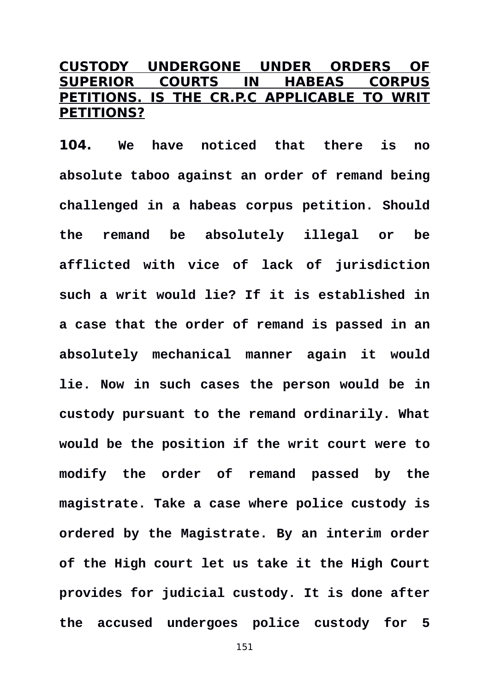## **CUSTODY UNDERGONE UNDER ORDERS OF SUPERIOR COURTS IN HABEAS CORPUS PETITIONS. IS THE CR.P.C APPLICABLE TO WRIT PETITIONS?**

**104. We have noticed that there is no absolute taboo against an order of remand being challenged in a habeas corpus petition. Should the remand be absolutely illegal or be afflicted with vice of lack of jurisdiction such a writ would lie? If it is established in a case that the order of remand is passed in an absolutely mechanical manner again it would lie. Now in such cases the person would be in custody pursuant to the remand ordinarily. What would be the position if the writ court were to modify the order of remand passed by the magistrate. Take a case where police custody is ordered by the Magistrate. By an interim order of the High court let us take it the High Court provides for judicial custody. It is done after the accused undergoes police custody for 5**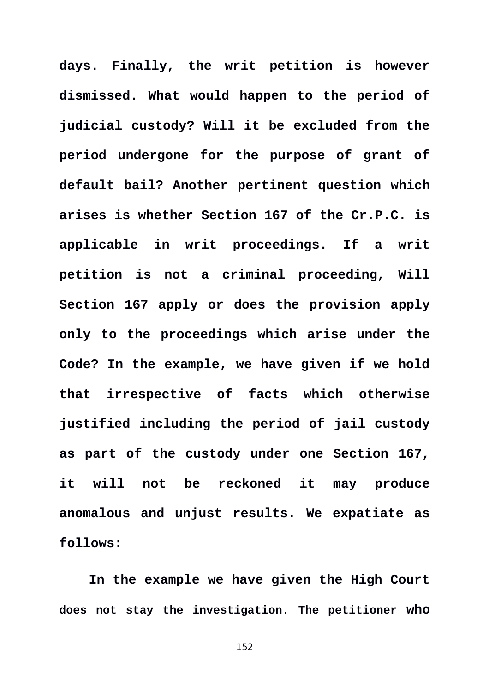**days. Finally, the writ petition is however dismissed. What would happen to the period of judicial custody? Will it be excluded from the period undergone for the purpose of grant of default bail? Another pertinent question which arises is whether Section 167 of the Cr.P.C. is applicable in writ proceedings. If a writ petition is not a criminal proceeding, Will Section 167 apply or does the provision apply only to the proceedings which arise under the Code? In the example, we have given if we hold that irrespective of facts which otherwise justified including the period of jail custody as part of the custody under one Section 167, it will not be reckoned it may produce anomalous and unjust results. We expatiate as follows:** 

**In the example we have given the High Court does not stay the investigation. The petitioner who**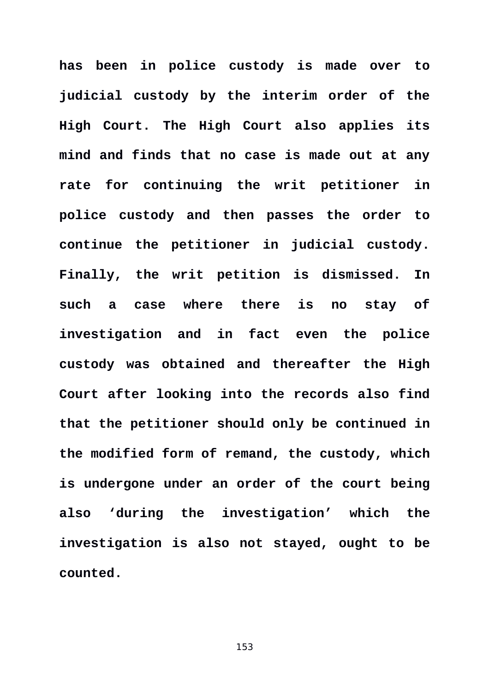**has been in police custody is made over to judicial custody by the interim order of the High Court. The High Court also applies its mind and finds that no case is made out at any rate for continuing the writ petitioner in police custody and then passes the order to continue the petitioner in judicial custody. Finally, the writ petition is dismissed. In such a case where there is no stay of investigation and in fact even the police custody was obtained and thereafter the High Court after looking into the records also find that the petitioner should only be continued in the modified form of remand, the custody, which is undergone under an order of the court being also 'during the investigation' which the investigation is also not stayed, ought to be counted.**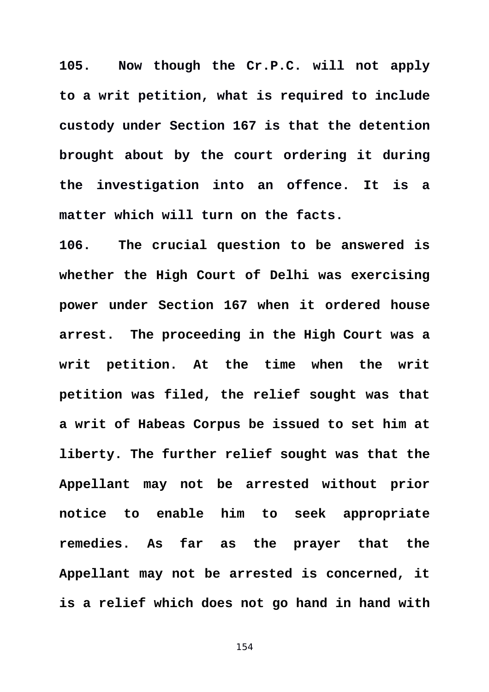**105. Now though the Cr.P.C. will not apply to a writ petition, what is required to include custody under Section 167 is that the detention brought about by the court ordering it during the investigation into an offence. It is a matter which will turn on the facts.** 

**106. The crucial question to be answered is whether the High Court of Delhi was exercising power under Section 167 when it ordered house arrest. The proceeding in the High Court was a writ petition. At the time when the writ petition was filed, the relief sought was that a writ of Habeas Corpus be issued to set him at liberty. The further relief sought was that the Appellant may not be arrested without prior notice to enable him to seek appropriate remedies. As far as the prayer that the Appellant may not be arrested is concerned, it is a relief which does not go hand in hand with**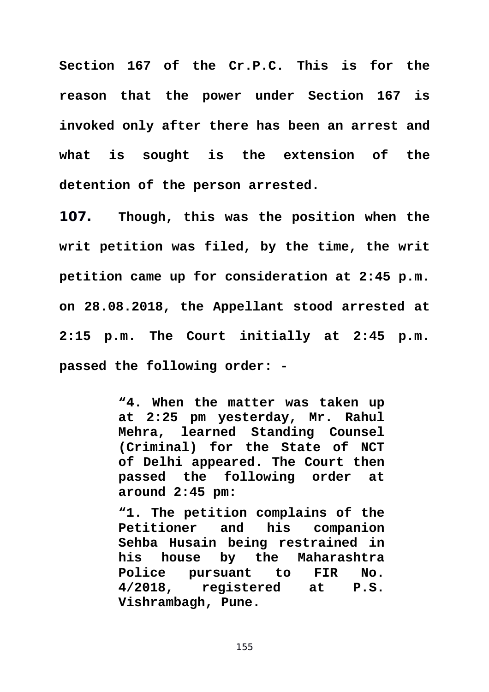**Section 167 of the Cr.P.C. This is for the reason that the power under Section 167 is invoked only after there has been an arrest and what is sought is the extension of the detention of the person arrested.** 

**107. Though, this was the position when the writ petition was filed, by the time, the writ petition came up for consideration at 2:45 p.m. on 28.08.2018, the Appellant stood arrested at 2:15 p.m. The Court initially at 2:45 p.m. passed the following order: -** 

> **"4. When the matter was taken up at 2:25 pm yesterday, Mr. Rahul Mehra, learned Standing Counsel (Criminal) for the State of NCT of Delhi appeared. The Court then passed the following order at around 2:45 pm:**

> **"1. The petition complains of the Petitioner and his companion Sehba Husain being restrained in his house by the Maharashtra Police pursuant to FIR No. 4/2018, registered at P.S. Vishrambagh, Pune.**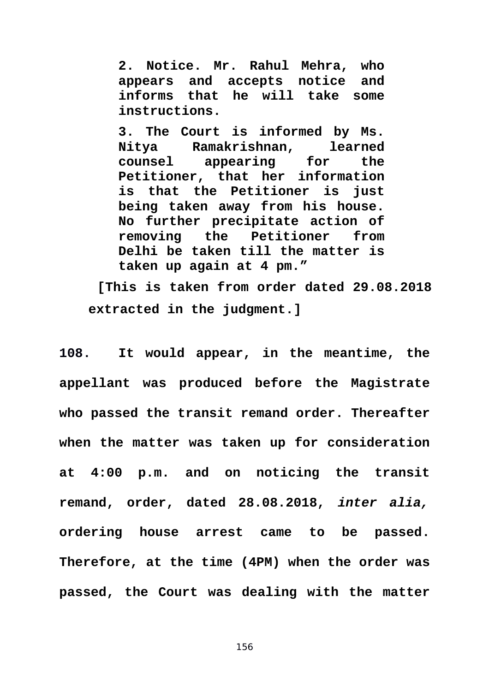**2. Notice. Mr. Rahul Mehra, who appears and accepts notice and informs that he will take some instructions.**

**3. The Court is informed by Ms. Nitya Ramakrishnan, learned counsel appearing for the Petitioner, that her information is that the Petitioner is just being taken away from his house. No further precipitate action of removing the Petitioner from Delhi be taken till the matter is taken up again at 4 pm."**

**[This is taken from order dated 29.08.2018 extracted in the judgment.]** 

**108. It would appear, in the meantime, the appellant was produced before the Magistrate who passed the transit remand order. Thereafter when the matter was taken up for consideration at 4:00 p.m. and on noticing the transit remand, order, dated 28.08.2018,** *inter alia,* **ordering house arrest came to be passed. Therefore, at the time (4PM) when the order was passed, the Court was dealing with the matter**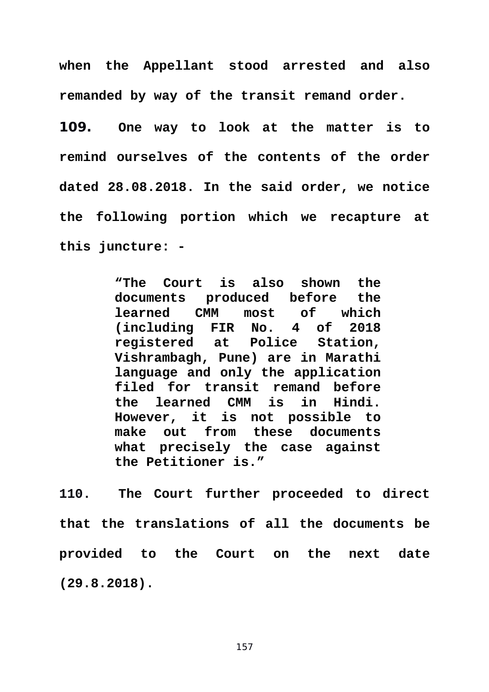**when the Appellant stood arrested and also remanded by way of the transit remand order.** 

**109. One way to look at the matter is to remind ourselves of the contents of the order dated 28.08.2018. In the said order, we notice the following portion which we recapture at this juncture: -** 

> **"The Court is also shown the documents produced before the learned CMM most of which (including FIR No. 4 of 2018 registered at Police Station, Vishrambagh, Pune) are in Marathi language and only the application filed for transit remand before the learned CMM is in Hindi. However, it is not possible to make out from these documents what precisely the case against the Petitioner is."**

**110. The Court further proceeded to direct that the translations of all the documents be provided to the Court on the next date (29.8.2018).**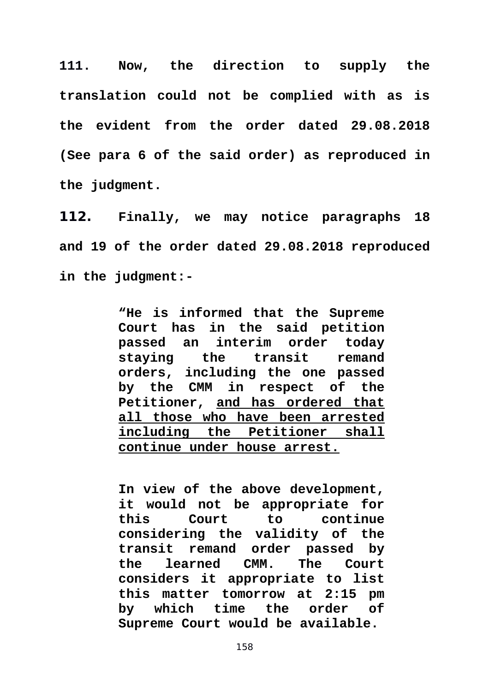**111. Now, the direction to supply the translation could not be complied with as is the evident from the order dated 29.08.2018 (See para 6 of the said order) as reproduced in the judgment.** 

**112. Finally, we may notice paragraphs 18 and 19 of the order dated 29.08.2018 reproduced in the judgment:-** 

> **"He is informed that the Supreme Court has in the said petition passed an interim order today staying the transit remand orders, including the one passed by the CMM in respect of the Petitioner, and has ordered that all those who have been arrested including the Petitioner shall continue under house arrest.**

> **In view of the above development, it would not be appropriate for this Court to continue considering the validity of the transit remand order passed by the learned CMM. The Court considers it appropriate to list this matter tomorrow at 2:15 pm by which time the order of Supreme Court would be available.**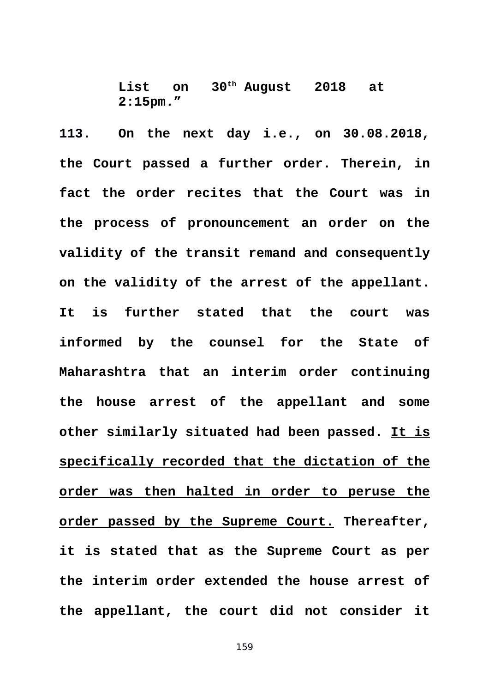**List on 30th August 2018 at 2:15pm."**

**113. On the next day i.e., on 30.08.2018, the Court passed a further order. Therein, in fact the order recites that the Court was in the process of pronouncement an order on the validity of the transit remand and consequently on the validity of the arrest of the appellant. It is further stated that the court was informed by the counsel for the State of Maharashtra that an interim order continuing the house arrest of the appellant and some other similarly situated had been passed. It is specifically recorded that the dictation of the order was then halted in order to peruse the order passed by the Supreme Court. Thereafter, it is stated that as the Supreme Court as per the interim order extended the house arrest of the appellant, the court did not consider it**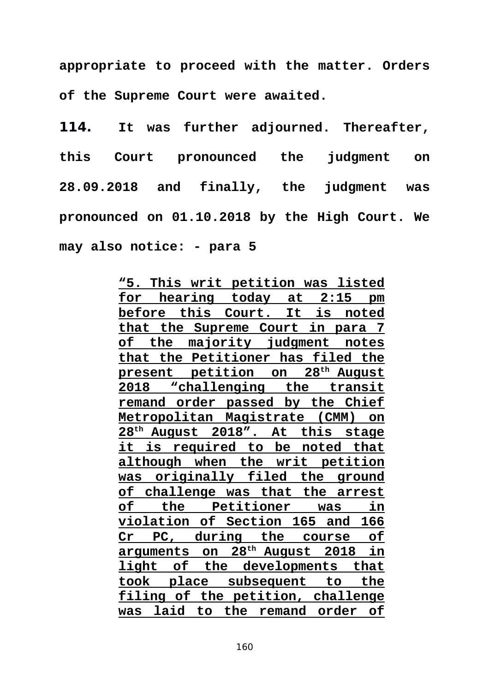**appropriate to proceed with the matter. Orders of the Supreme Court were awaited.** 

**114. It was further adjourned. Thereafter, this Court pronounced the judgment on 28.09.2018 and finally, the judgment was pronounced on 01.10.2018 by the High Court. We may also notice: - para 5** 

> **"5. This writ petition was listed for hearing today at 2:15 pm before this Court. It is noted that the Supreme Court in para 7 of the majority judgment notes that the Petitioner has filed the present petition on 28th August 2018 "challenging the transit remand order passed by the Chief Metropolitan Magistrate (CMM) on 28th August 2018". At this stage it is required to be noted that although when the writ petition was originally filed the ground of challenge was that the arrest of the Petitioner was in violation of Section 165 and 166 Cr PC, during the course of arguments on 28th August 2018 in light of the developments that took place subsequent to the filing of the petition, challenge was laid to the remand order of**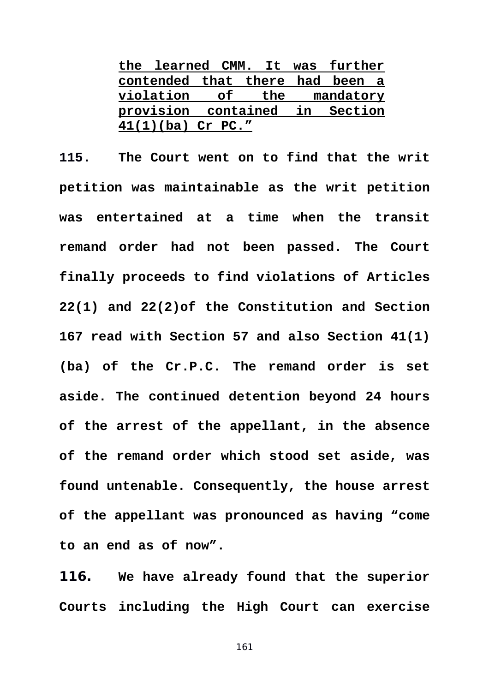| the learned CMM. It was further |                                |  |  |  |
|---------------------------------|--------------------------------|--|--|--|
| contended that there had been a |                                |  |  |  |
| violation of the mandatory      |                                |  |  |  |
|                                 | provision contained in Section |  |  |  |
| $41(1)(ba)$ Cr PC."             |                                |  |  |  |

**115. The Court went on to find that the writ petition was maintainable as the writ petition was entertained at a time when the transit remand order had not been passed. The Court finally proceeds to find violations of Articles 22(1) and 22(2)of the Constitution and Section 167 read with Section 57 and also Section 41(1) (ba) of the Cr.P.C. The remand order is set aside. The continued detention beyond 24 hours of the arrest of the appellant, in the absence of the remand order which stood set aside, was found untenable. Consequently, the house arrest of the appellant was pronounced as having "come to an end as of now".** 

**116. We have already found that the superior Courts including the High Court can exercise**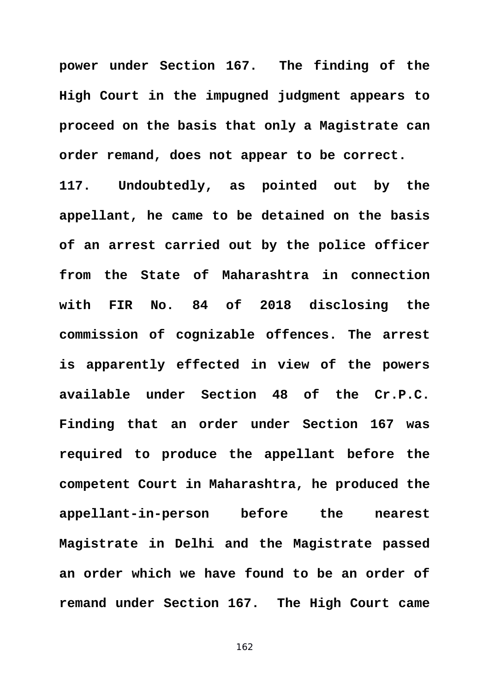**power under Section 167. The finding of the High Court in the impugned judgment appears to proceed on the basis that only a Magistrate can order remand, does not appear to be correct.** 

**117. Undoubtedly, as pointed out by the appellant, he came to be detained on the basis of an arrest carried out by the police officer from the State of Maharashtra in connection with FIR No. 84 of 2018 disclosing the commission of cognizable offences. The arrest is apparently effected in view of the powers available under Section 48 of the Cr.P.C. Finding that an order under Section 167 was required to produce the appellant before the competent Court in Maharashtra, he produced the appellant-in-person before the nearest Magistrate in Delhi and the Magistrate passed an order which we have found to be an order of remand under Section 167. The High Court came**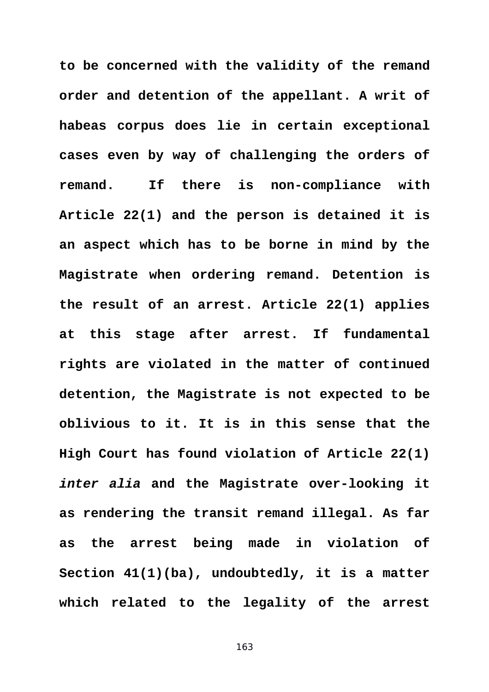**to be concerned with the validity of the remand order and detention of the appellant. A writ of habeas corpus does lie in certain exceptional cases even by way of challenging the orders of remand. If there is non-compliance with Article 22(1) and the person is detained it is an aspect which has to be borne in mind by the Magistrate when ordering remand. Detention is the result of an arrest. Article 22(1) applies at this stage after arrest. If fundamental rights are violated in the matter of continued detention, the Magistrate is not expected to be oblivious to it. It is in this sense that the High Court has found violation of Article 22(1)** *inter alia* **and the Magistrate over-looking it as rendering the transit remand illegal. As far as the arrest being made in violation of Section 41(1)(ba), undoubtedly, it is a matter which related to the legality of the arrest**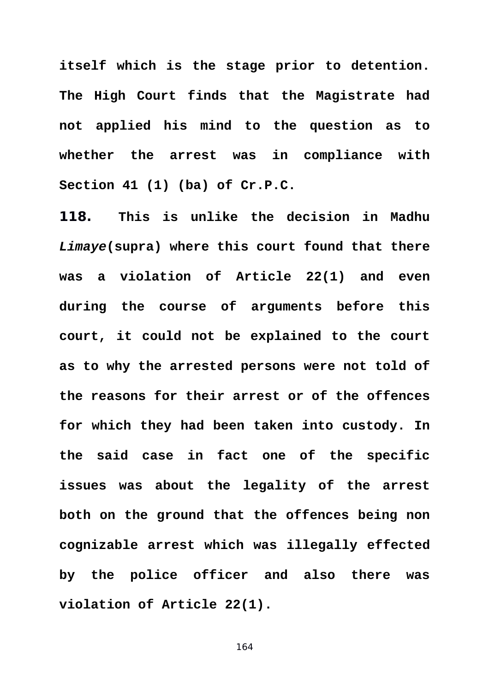**itself which is the stage prior to detention. The High Court finds that the Magistrate had not applied his mind to the question as to whether the arrest was in compliance with Section 41 (1) (ba) of Cr.P.C.** 

**118. This is unlike the decision in Madhu** *Limaye***(supra) where this court found that there was a violation of Article 22(1) and even during the course of arguments before this court, it could not be explained to the court as to why the arrested persons were not told of the reasons for their arrest or of the offences for which they had been taken into custody. In the said case in fact one of the specific issues was about the legality of the arrest both on the ground that the offences being non cognizable arrest which was illegally effected by the police officer and also there was violation of Article 22(1).**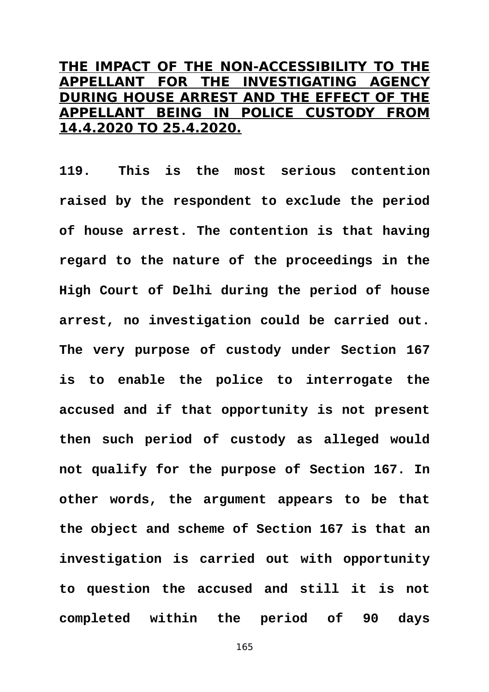## **THE IMPACT OF THE NON-ACCESSIBILITY TO THE APPELLANT FOR THE INVESTIGATING AGENCY DURING HOUSE ARREST AND THE EFFECT OF THE APPELLANT BEING IN POLICE CUSTODY FROM 14.4.2020 TO 25.4.2020.**

**119. This is the most serious contention raised by the respondent to exclude the period of house arrest. The contention is that having regard to the nature of the proceedings in the High Court of Delhi during the period of house arrest, no investigation could be carried out. The very purpose of custody under Section 167 is to enable the police to interrogate the accused and if that opportunity is not present then such period of custody as alleged would not qualify for the purpose of Section 167. In other words, the argument appears to be that the object and scheme of Section 167 is that an investigation is carried out with opportunity to question the accused and still it is not completed within the period of 90 days**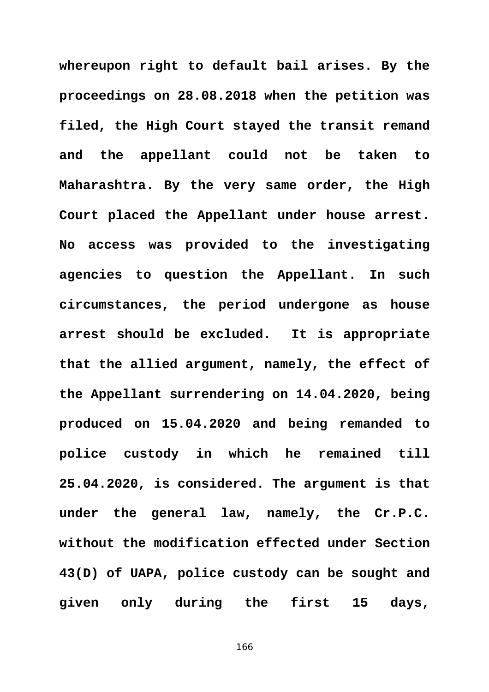**whereupon right to default bail arises. By the proceedings on 28.08.2018 when the petition was filed, the High Court stayed the transit remand and the appellant could not be taken to Maharashtra. By the very same order, the High Court placed the Appellant under house arrest. No access was provided to the investigating agencies to question the Appellant. In such circumstances, the period undergone as house arrest should be excluded. It is appropriate that the allied argument, namely, the effect of the Appellant surrendering on 14.04.2020, being produced on 15.04.2020 and being remanded to police custody in which he remained till 25.04.2020, is considered. The argument is that under the general law, namely, the Cr.P.C. without the modification effected under Section 43(D) of UAPA, police custody can be sought and given only during the first 15 days,**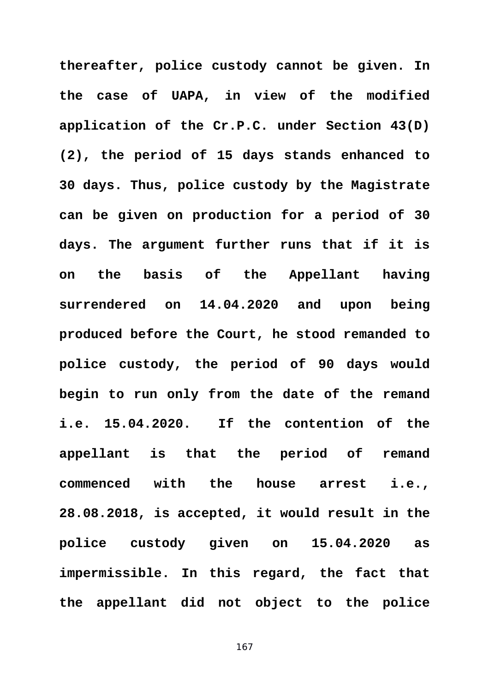**thereafter, police custody cannot be given. In the case of UAPA, in view of the modified application of the Cr.P.C. under Section 43(D) (2), the period of 15 days stands enhanced to 30 days. Thus, police custody by the Magistrate can be given on production for a period of 30 days. The argument further runs that if it is on the basis of the Appellant having surrendered on 14.04.2020 and upon being produced before the Court, he stood remanded to police custody, the period of 90 days would begin to run only from the date of the remand i.e. 15.04.2020. If the contention of the appellant is that the period of remand commenced with the house arrest i.e., 28.08.2018, is accepted, it would result in the police custody given on 15.04.2020 as impermissible. In this regard, the fact that the appellant did not object to the police**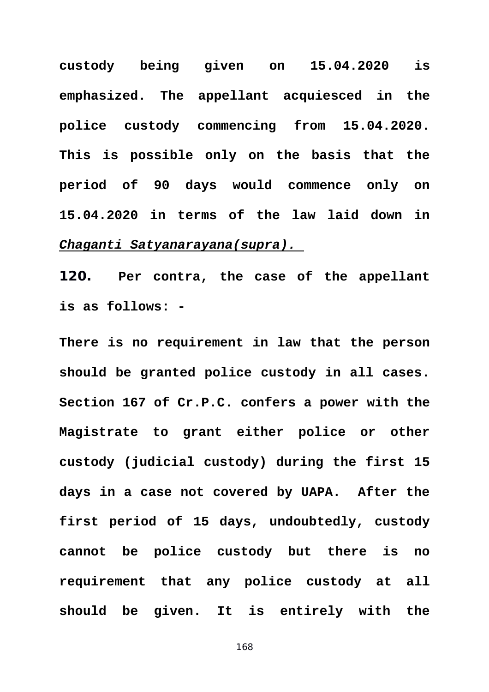**custody being given on 15.04.2020 is emphasized. The appellant acquiesced in the police custody commencing from 15.04.2020. This is possible only on the basis that the period of 90 days would commence only on 15.04.2020 in terms of the law laid down in** *Chaganti Satyanarayana(supra).* 

**120. Per contra, the case of the appellant is as follows: -** 

**There is no requirement in law that the person should be granted police custody in all cases. Section 167 of Cr.P.C. confers a power with the Magistrate to grant either police or other custody (judicial custody) during the first 15 days in a case not covered by UAPA. After the first period of 15 days, undoubtedly, custody cannot be police custody but there is no requirement that any police custody at all should be given. It is entirely with the**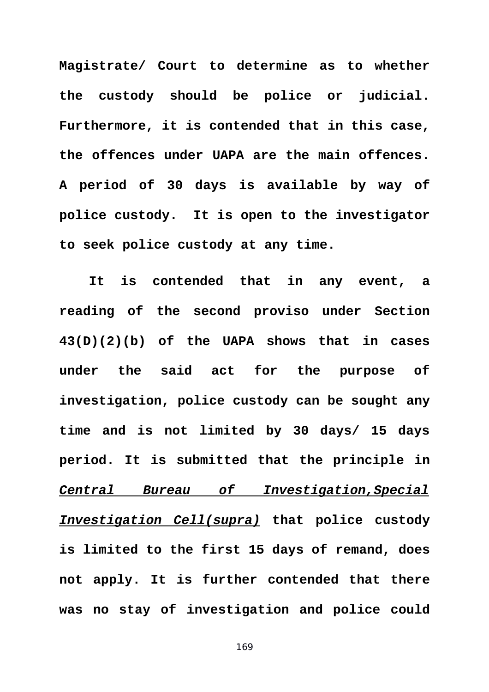**Magistrate/ Court to determine as to whether the custody should be police or judicial. Furthermore, it is contended that in this case, the offences under UAPA are the main offences. A period of 30 days is available by way of police custody. It is open to the investigator to seek police custody at any time.** 

**It is contended that in any event, a reading of the second proviso under Section 43(D)(2)(b) of the UAPA shows that in cases under the said act for the purpose of investigation, police custody can be sought any time and is not limited by 30 days/ 15 days period. It is submitted that the principle in** *Central Bureau of Investigation,Special Investigation Cell(supra)* **that police custody is limited to the first 15 days of remand, does not apply. It is further contended that there was no stay of investigation and police could**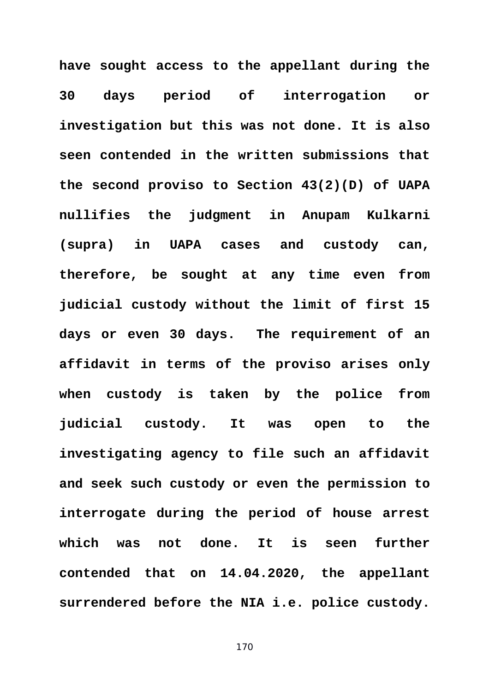**have sought access to the appellant during the 30 days period of interrogation or investigation but this was not done. It is also seen contended in the written submissions that the second proviso to Section 43(2)(D) of UAPA nullifies the judgment in Anupam Kulkarni (supra) in UAPA cases and custody can, therefore, be sought at any time even from judicial custody without the limit of first 15 days or even 30 days. The requirement of an affidavit in terms of the proviso arises only when custody is taken by the police from judicial custody. It was open to the investigating agency to file such an affidavit and seek such custody or even the permission to interrogate during the period of house arrest which was not done. It is seen further contended that on 14.04.2020, the appellant surrendered before the NIA i.e. police custody.**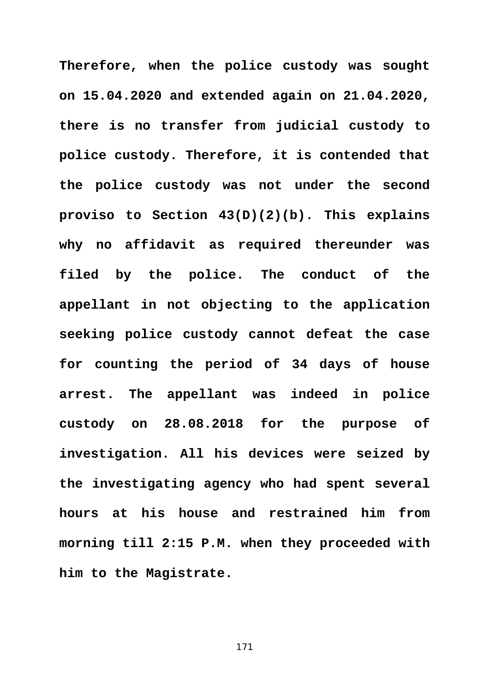**Therefore, when the police custody was sought on 15.04.2020 and extended again on 21.04.2020, there is no transfer from judicial custody to police custody. Therefore, it is contended that the police custody was not under the second proviso to Section 43(D)(2)(b). This explains why no affidavit as required thereunder was filed by the police. The conduct of the appellant in not objecting to the application seeking police custody cannot defeat the case for counting the period of 34 days of house arrest. The appellant was indeed in police custody on 28.08.2018 for the purpose of investigation. All his devices were seized by the investigating agency who had spent several hours at his house and restrained him from morning till 2:15 P.M. when they proceeded with him to the Magistrate.**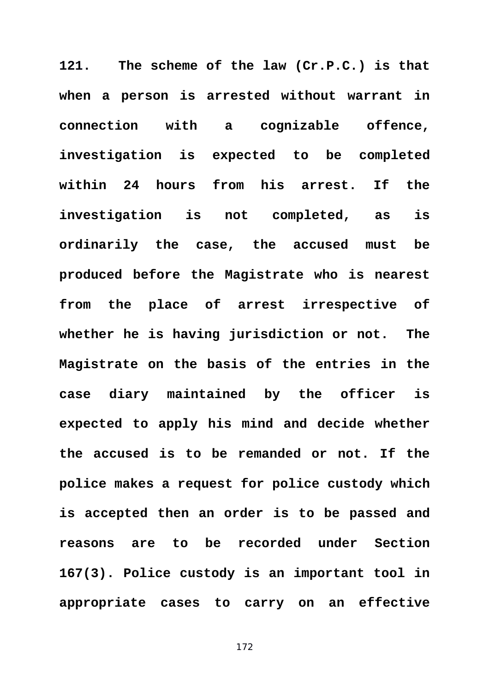**121. The scheme of the law (Cr.P.C.) is that when a person is arrested without warrant in connection with a cognizable offence, investigation is expected to be completed within 24 hours from his arrest. If the investigation is not completed, as is ordinarily the case, the accused must be produced before the Magistrate who is nearest from the place of arrest irrespective of whether he is having jurisdiction or not. The Magistrate on the basis of the entries in the case diary maintained by the officer is expected to apply his mind and decide whether the accused is to be remanded or not. If the police makes a request for police custody which is accepted then an order is to be passed and reasons are to be recorded under Section 167(3). Police custody is an important tool in appropriate cases to carry on an effective**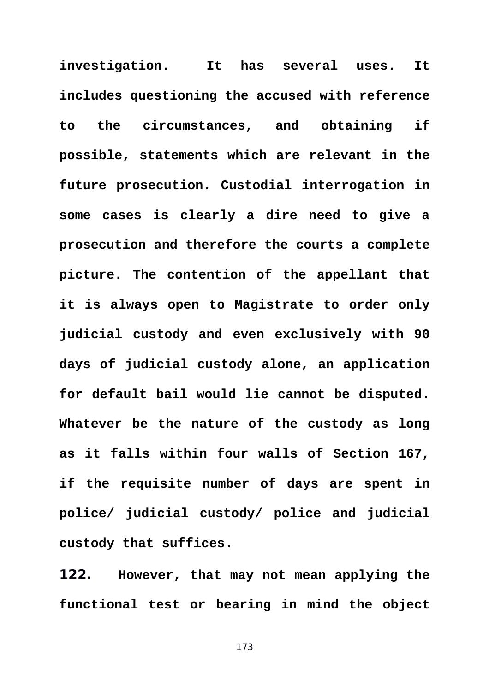**investigation. It has several uses. It includes questioning the accused with reference to the circumstances, and obtaining if possible, statements which are relevant in the future prosecution. Custodial interrogation in some cases is clearly a dire need to give a prosecution and therefore the courts a complete picture. The contention of the appellant that it is always open to Magistrate to order only judicial custody and even exclusively with 90 days of judicial custody alone, an application for default bail would lie cannot be disputed. Whatever be the nature of the custody as long as it falls within four walls of Section 167, if the requisite number of days are spent in police/ judicial custody/ police and judicial custody that suffices.** 

**122. However, that may not mean applying the functional test or bearing in mind the object**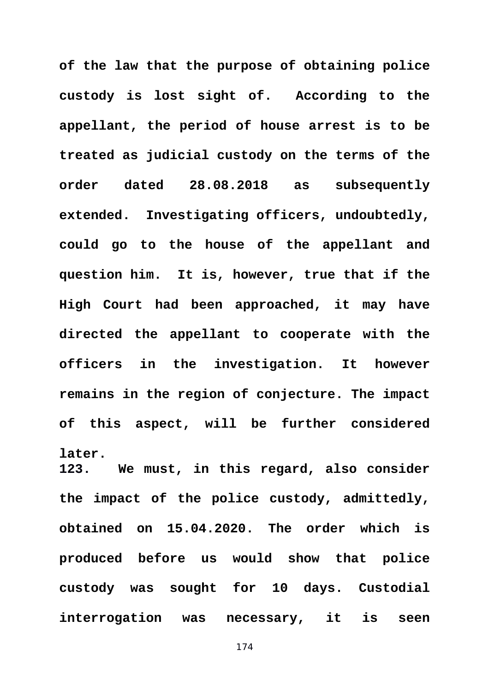**of the law that the purpose of obtaining police custody is lost sight of. According to the appellant, the period of house arrest is to be treated as judicial custody on the terms of the order dated 28.08.2018 as subsequently extended. Investigating officers, undoubtedly, could go to the house of the appellant and question him. It is, however, true that if the High Court had been approached, it may have directed the appellant to cooperate with the officers in the investigation. It however remains in the region of conjecture. The impact of this aspect, will be further considered later. 123. We must, in this regard, also consider**

**the impact of the police custody, admittedly, obtained on 15.04.2020. The order which is produced before us would show that police custody was sought for 10 days. Custodial interrogation was necessary, it is seen**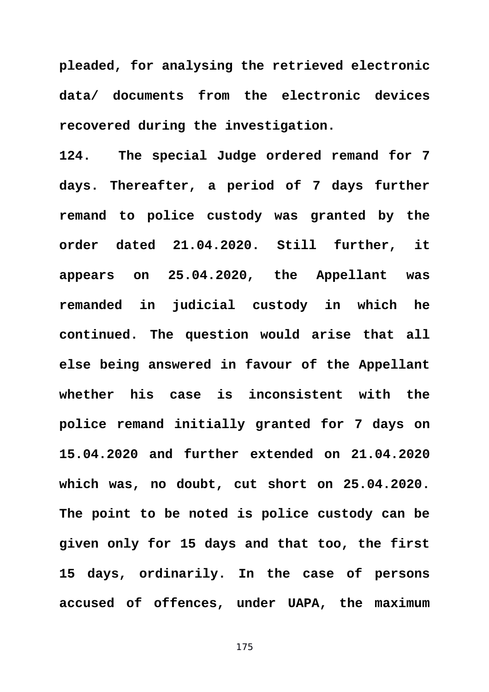**pleaded, for analysing the retrieved electronic data/ documents from the electronic devices recovered during the investigation.** 

**124. The special Judge ordered remand for 7 days. Thereafter, a period of 7 days further remand to police custody was granted by the order dated 21.04.2020. Still further, it appears on 25.04.2020, the Appellant was remanded in judicial custody in which he continued. The question would arise that all else being answered in favour of the Appellant whether his case is inconsistent with the police remand initially granted for 7 days on 15.04.2020 and further extended on 21.04.2020 which was, no doubt, cut short on 25.04.2020. The point to be noted is police custody can be given only for 15 days and that too, the first 15 days, ordinarily. In the case of persons accused of offences, under UAPA, the maximum**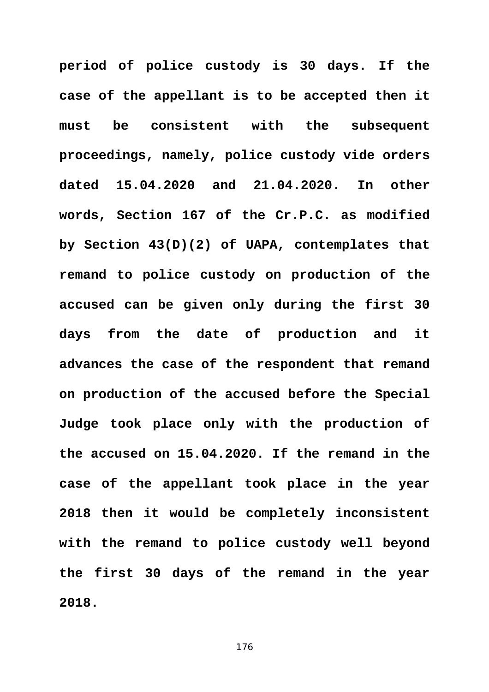**period of police custody is 30 days. If the case of the appellant is to be accepted then it must be consistent with the subsequent proceedings, namely, police custody vide orders dated 15.04.2020 and 21.04.2020. In other words, Section 167 of the Cr.P.C. as modified by Section 43(D)(2) of UAPA, contemplates that remand to police custody on production of the accused can be given only during the first 30 days from the date of production and it advances the case of the respondent that remand on production of the accused before the Special Judge took place only with the production of the accused on 15.04.2020. If the remand in the case of the appellant took place in the year 2018 then it would be completely inconsistent with the remand to police custody well beyond the first 30 days of the remand in the year 2018.**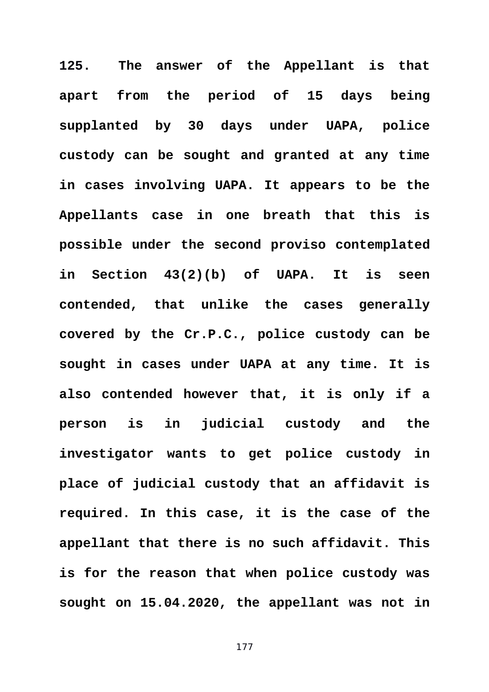**125. The answer of the Appellant is that apart from the period of 15 days being supplanted by 30 days under UAPA, police custody can be sought and granted at any time in cases involving UAPA. It appears to be the Appellants case in one breath that this is possible under the second proviso contemplated in Section 43(2)(b) of UAPA. It is seen contended, that unlike the cases generally covered by the Cr.P.C., police custody can be sought in cases under UAPA at any time. It is also contended however that, it is only if a person is in judicial custody and the investigator wants to get police custody in place of judicial custody that an affidavit is required. In this case, it is the case of the appellant that there is no such affidavit. This is for the reason that when police custody was sought on 15.04.2020, the appellant was not in**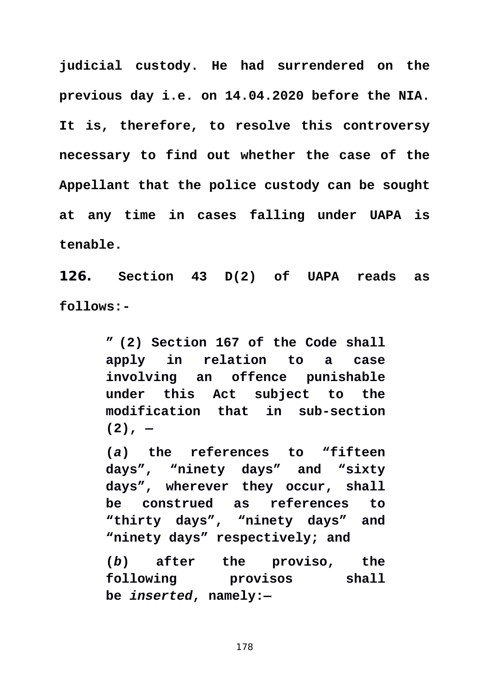**judicial custody. He had surrendered on the previous day i.e. on 14.04.2020 before the NIA. It is, therefore, to resolve this controversy necessary to find out whether the case of the Appellant that the police custody can be sought at any time in cases falling under UAPA is tenable.** 

**126. Section 43 D(2) of UAPA reads as follows:-** 

> **" (2) Section 167 of the Code shall apply in relation to a case involving an offence punishable under this Act subject to the modification that in sub-section (2), —**

> **(***a***) the references to "fifteen days", "ninety days" and "sixty days", wherever they occur, shall be construed as references to "thirty days", "ninety days" and "ninety days" respectively; and**

> **(***b***) after the proviso, the following provisos shall be** *inserted***, namely:—**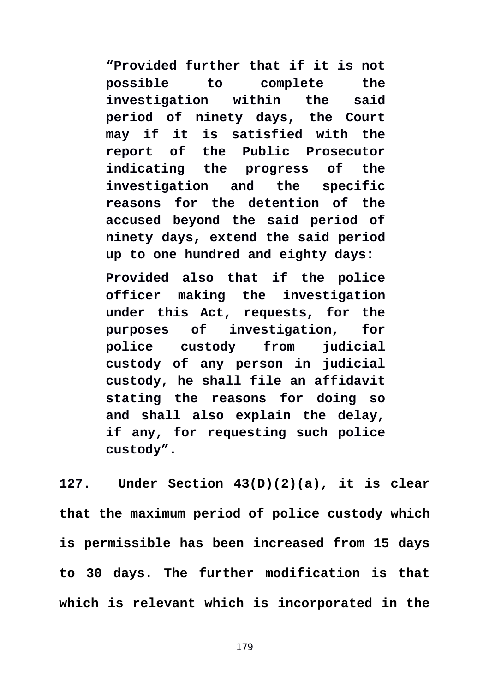**"Provided further that if it is not possible to complete the investigation within the said period of ninety days, the Court may if it is satisfied with the report of the Public Prosecutor indicating the progress of the investigation and the specific reasons for the detention of the accused beyond the said period of ninety days, extend the said period up to one hundred and eighty days:**

**Provided also that if the police officer making the investigation under this Act, requests, for the purposes of investigation, for police custody from judicial custody of any person in judicial custody, he shall file an affidavit stating the reasons for doing so and shall also explain the delay, if any, for requesting such police custody".** 

**127. Under Section 43(D)(2)(a), it is clear that the maximum period of police custody which is permissible has been increased from 15 days to 30 days. The further modification is that which is relevant which is incorporated in the**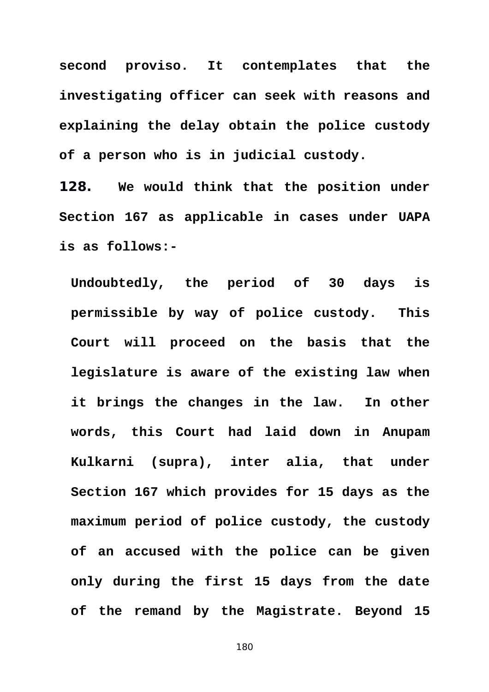**second proviso. It contemplates that the investigating officer can seek with reasons and explaining the delay obtain the police custody of a person who is in judicial custody.** 

**128. We would think that the position under Section 167 as applicable in cases under UAPA is as follows:-** 

**Undoubtedly, the period of 30 days is permissible by way of police custody. This Court will proceed on the basis that the legislature is aware of the existing law when it brings the changes in the law. In other words, this Court had laid down in Anupam Kulkarni (supra), inter alia, that under Section 167 which provides for 15 days as the maximum period of police custody, the custody of an accused with the police can be given only during the first 15 days from the date of the remand by the Magistrate. Beyond 15**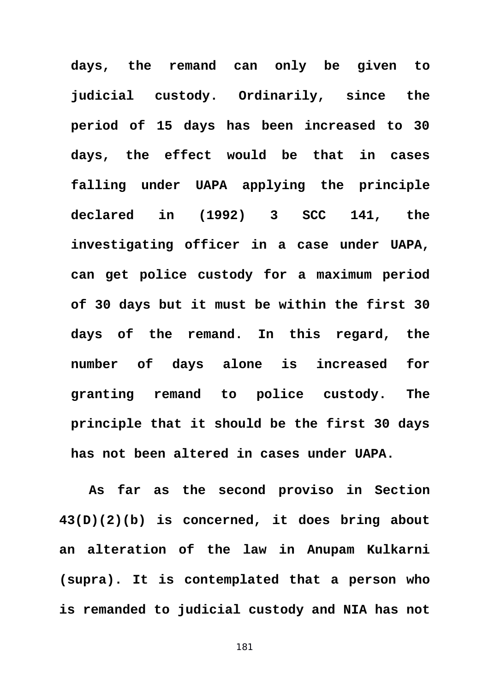**days, the remand can only be given to judicial custody. Ordinarily, since the period of 15 days has been increased to 30 days, the effect would be that in cases falling under UAPA applying the principle declared in (1992) 3 SCC 141, the investigating officer in a case under UAPA, can get police custody for a maximum period of 30 days but it must be within the first 30 days of the remand. In this regard, the number of days alone is increased for granting remand to police custody. The principle that it should be the first 30 days has not been altered in cases under UAPA.** 

**As far as the second proviso in Section 43(D)(2)(b) is concerned, it does bring about an alteration of the law in Anupam Kulkarni (supra). It is contemplated that a person who is remanded to judicial custody and NIA has not**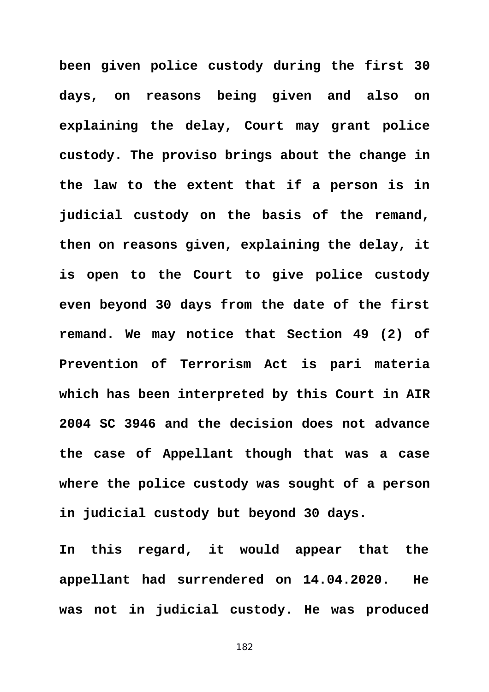**been given police custody during the first 30 days, on reasons being given and also on explaining the delay, Court may grant police custody. The proviso brings about the change in the law to the extent that if a person is in judicial custody on the basis of the remand, then on reasons given, explaining the delay, it is open to the Court to give police custody even beyond 30 days from the date of the first remand. We may notice that Section 49 (2) of Prevention of Terrorism Act is pari materia which has been interpreted by this Court in AIR 2004 SC 3946 and the decision does not advance the case of Appellant though that was a case where the police custody was sought of a person in judicial custody but beyond 30 days.** 

**In this regard, it would appear that the appellant had surrendered on 14.04.2020. He was not in judicial custody. He was produced**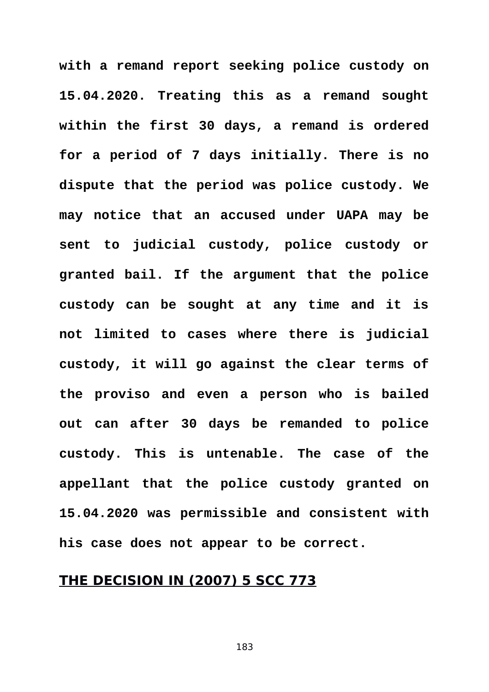**with a remand report seeking police custody on 15.04.2020. Treating this as a remand sought within the first 30 days, a remand is ordered for a period of 7 days initially. There is no dispute that the period was police custody. We may notice that an accused under UAPA may be sent to judicial custody, police custody or granted bail. If the argument that the police custody can be sought at any time and it is not limited to cases where there is judicial custody, it will go against the clear terms of the proviso and even a person who is bailed out can after 30 days be remanded to police custody. This is untenable. The case of the appellant that the police custody granted on 15.04.2020 was permissible and consistent with his case does not appear to be correct.**

## **THE DECISION IN (2007) 5 SCC 773**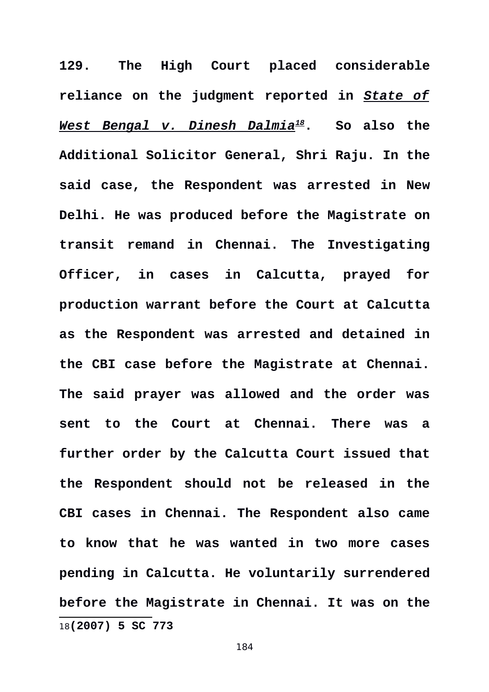<span id="page-183-0"></span>**129. The High Court placed considerable reliance on the judgment reported in** *State of West Bengal v. Dinesh Dalmia[18](#page-183-0)***. So also the Additional Solicitor General, Shri Raju. In the said case, the Respondent was arrested in New Delhi. He was produced before the Magistrate on transit remand in Chennai. The Investigating Officer, in cases in Calcutta, prayed for production warrant before the Court at Calcutta as the Respondent was arrested and detained in the CBI case before the Magistrate at Chennai. The said prayer was allowed and the order was sent to the Court at Chennai. There was a further order by the Calcutta Court issued that the Respondent should not be released in the CBI cases in Chennai. The Respondent also came to know that he was wanted in two more cases pending in Calcutta. He voluntarily surrendered before the Magistrate in Chennai. It was on the** 18**(2007) 5 SC 773**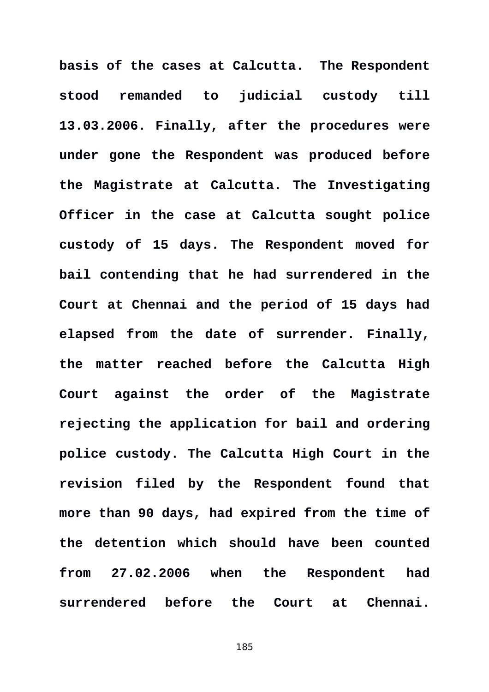**basis of the cases at Calcutta. The Respondent stood remanded to judicial custody till 13.03.2006. Finally, after the procedures were under gone the Respondent was produced before the Magistrate at Calcutta. The Investigating Officer in the case at Calcutta sought police custody of 15 days. The Respondent moved for bail contending that he had surrendered in the Court at Chennai and the period of 15 days had elapsed from the date of surrender. Finally, the matter reached before the Calcutta High Court against the order of the Magistrate rejecting the application for bail and ordering police custody. The Calcutta High Court in the revision filed by the Respondent found that more than 90 days, had expired from the time of the detention which should have been counted from 27.02.2006 when the Respondent had surrendered before the Court at Chennai.**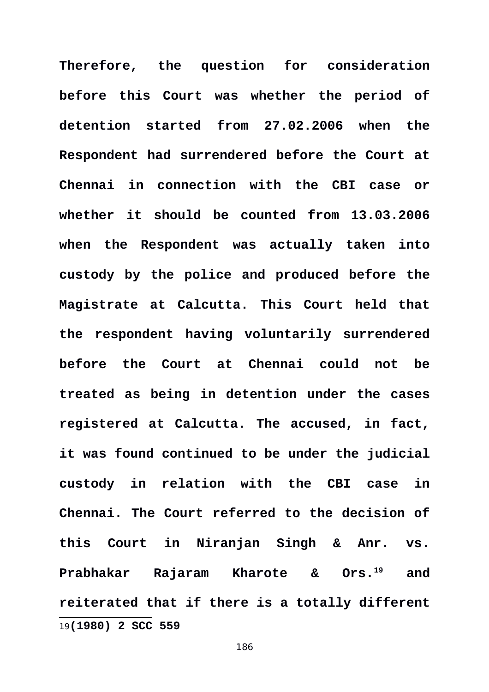<span id="page-185-0"></span>**Therefore, the question for consideration before this Court was whether the period of detention started from 27.02.2006 when the Respondent had surrendered before the Court at Chennai in connection with the CBI case or whether it should be counted from 13.03.2006 when the Respondent was actually taken into custody by the police and produced before the Magistrate at Calcutta. This Court held that the respondent having voluntarily surrendered before the Court at Chennai could not be treated as being in detention under the cases registered at Calcutta. The accused, in fact, it was found continued to be under the judicial custody in relation with the CBI case in Chennai. The Court referred to the decision of this Court in Niranjan Singh & Anr. vs. Prabhakar Rajaram Kharote & Ors.[19](#page-185-0) and reiterated that if there is a totally different** 19**(1980) 2 SCC 559**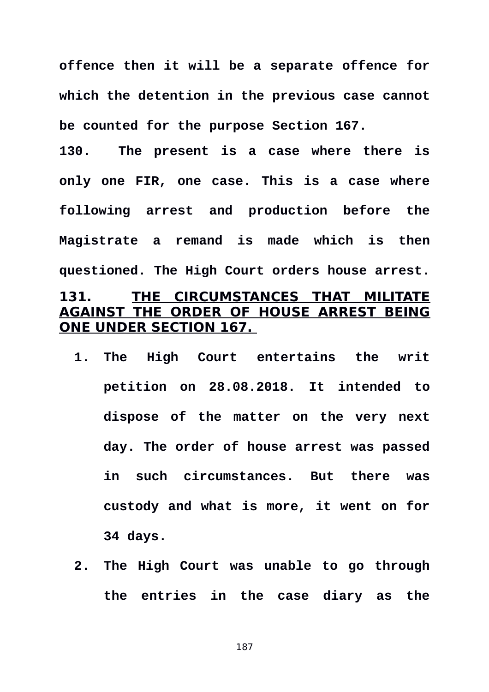**offence then it will be a separate offence for which the detention in the previous case cannot be counted for the purpose Section 167.** 

**130. The present is a case where there is only one FIR, one case. This is a case where following arrest and production before the Magistrate a remand is made which is then questioned. The High Court orders house arrest. 131. THE CIRCUMSTANCES THAT MILITATE AGAINST THE ORDER OF HOUSE ARREST BEING ONE UNDER SECTION 167.** 

- **1. The High Court entertains the writ petition on 28.08.2018. It intended to dispose of the matter on the very next day. The order of house arrest was passed in such circumstances. But there was custody and what is more, it went on for 34 days.**
- **2. The High Court was unable to go through the entries in the case diary as the**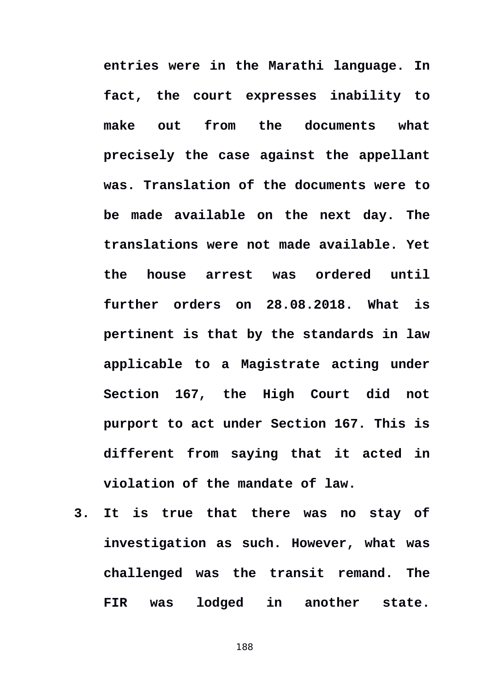**entries were in the Marathi language. In fact, the court expresses inability to make out from the documents what precisely the case against the appellant was. Translation of the documents were to be made available on the next day. The translations were not made available. Yet the house arrest was ordered until further orders on 28.08.2018. What is pertinent is that by the standards in law applicable to a Magistrate acting under Section 167, the High Court did not purport to act under Section 167. This is different from saying that it acted in violation of the mandate of law.** 

**3. It is true that there was no stay of investigation as such. However, what was challenged was the transit remand. The FIR was lodged in another state.**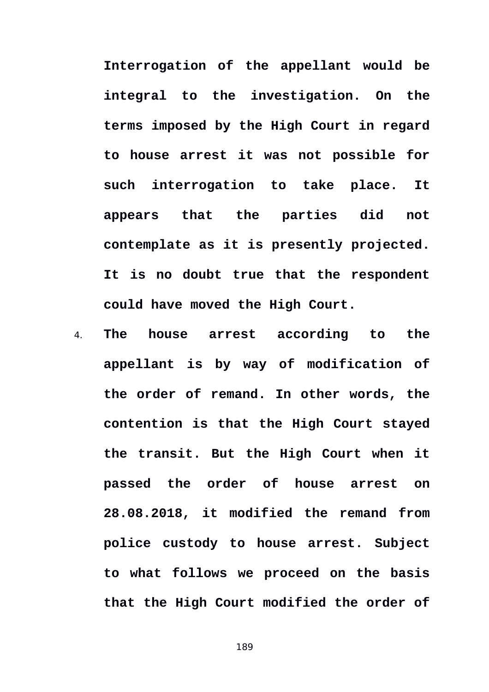**Interrogation of the appellant would be integral to the investigation. On the terms imposed by the High Court in regard to house arrest it was not possible for such interrogation to take place. It appears that the parties did not contemplate as it is presently projected. It is no doubt true that the respondent could have moved the High Court.**

4. **The house arrest according to the appellant is by way of modification of the order of remand. In other words, the contention is that the High Court stayed the transit. But the High Court when it passed the order of house arrest on 28.08.2018, it modified the remand from police custody to house arrest. Subject to what follows we proceed on the basis that the High Court modified the order of**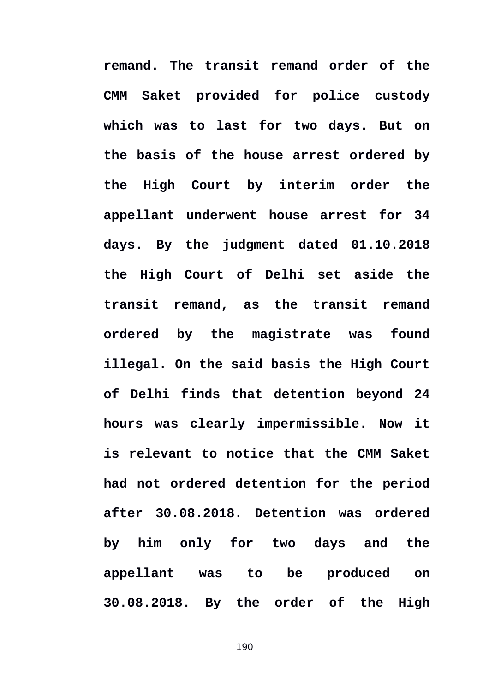**remand. The transit remand order of the CMM Saket provided for police custody which was to last for two days. But on the basis of the house arrest ordered by the High Court by interim order the appellant underwent house arrest for 34 days. By the judgment dated 01.10.2018 the High Court of Delhi set aside the transit remand, as the transit remand ordered by the magistrate was found illegal. On the said basis the High Court of Delhi finds that detention beyond 24 hours was clearly impermissible. Now it is relevant to notice that the CMM Saket had not ordered detention for the period after 30.08.2018. Detention was ordered by him only for two days and the appellant was to be produced on 30.08.2018. By the order of the High**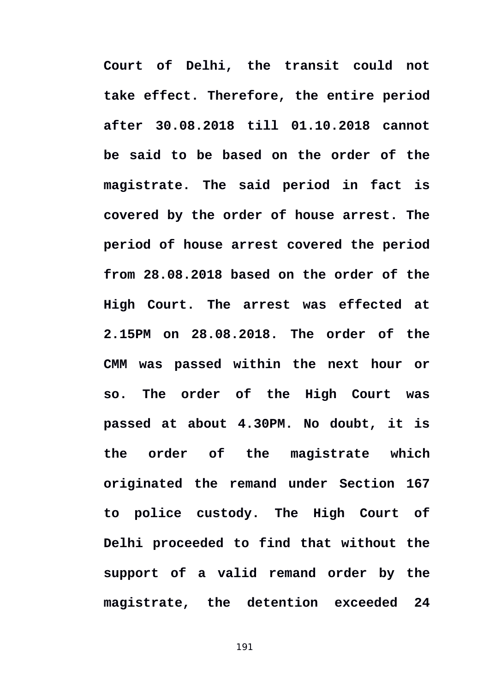**Court of Delhi, the transit could not take effect. Therefore, the entire period after 30.08.2018 till 01.10.2018 cannot be said to be based on the order of the magistrate. The said period in fact is covered by the order of house arrest. The period of house arrest covered the period from 28.08.2018 based on the order of the High Court. The arrest was effected at 2.15PM on 28.08.2018. The order of the CMM was passed within the next hour or so. The order of the High Court was passed at about 4.30PM. No doubt, it is the order of the magistrate which originated the remand under Section 167 to police custody. The High Court of Delhi proceeded to find that without the support of a valid remand order by the magistrate, the detention exceeded 24**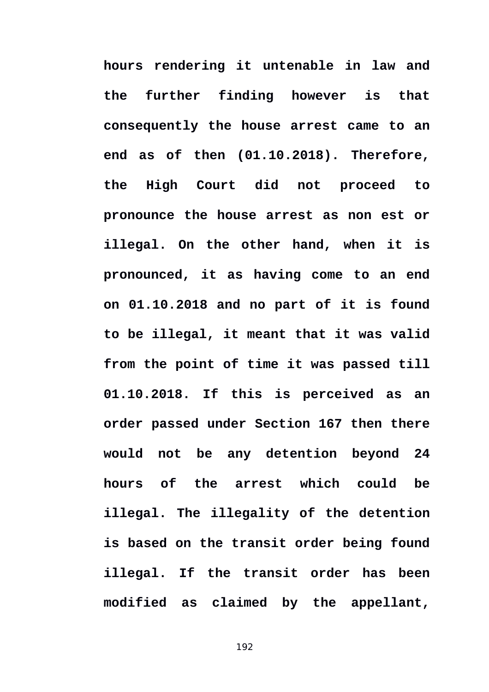**hours rendering it untenable in law and the further finding however is that consequently the house arrest came to an end as of then (01.10.2018). Therefore, the High Court did not proceed to pronounce the house arrest as non est or illegal. On the other hand, when it is pronounced, it as having come to an end on 01.10.2018 and no part of it is found to be illegal, it meant that it was valid from the point of time it was passed till 01.10.2018. If this is perceived as an order passed under Section 167 then there would not be any detention beyond 24 hours of the arrest which could be illegal. The illegality of the detention is based on the transit order being found illegal. If the transit order has been modified as claimed by the appellant,**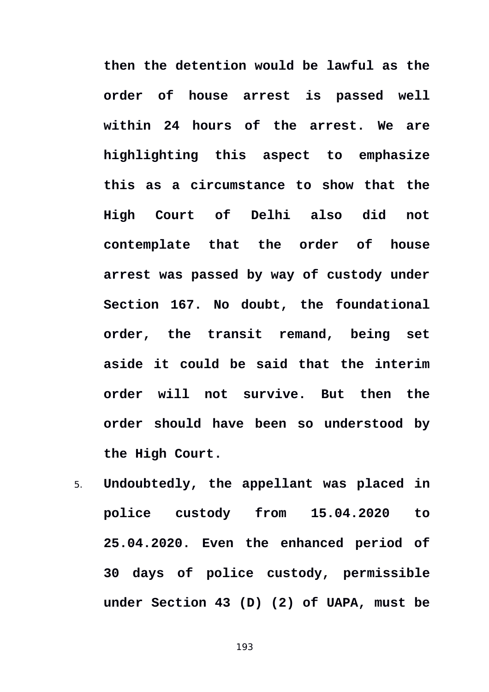**then the detention would be lawful as the order of house arrest is passed well within 24 hours of the arrest. We are highlighting this aspect to emphasize this as a circumstance to show that the High Court of Delhi also did not contemplate that the order of house arrest was passed by way of custody under Section 167. No doubt, the foundational order, the transit remand, being set aside it could be said that the interim order will not survive. But then the order should have been so understood by the High Court.** 

5. **Undoubtedly, the appellant was placed in police custody from 15.04.2020 to 25.04.2020. Even the enhanced period of 30 days of police custody, permissible under Section 43 (D) (2) of UAPA, must be**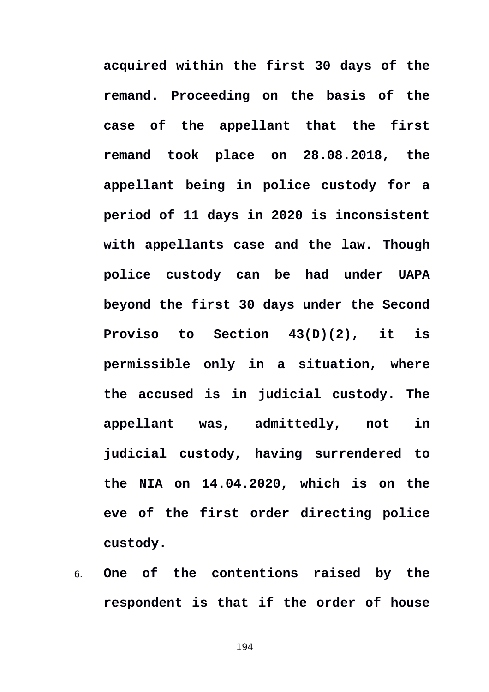**acquired within the first 30 days of the remand. Proceeding on the basis of the case of the appellant that the first remand took place on 28.08.2018, the appellant being in police custody for a period of 11 days in 2020 is inconsistent with appellants case and the law. Though police custody can be had under UAPA beyond the first 30 days under the Second Proviso to Section 43(D)(2), it is permissible only in a situation, where the accused is in judicial custody. The appellant was, admittedly, not in judicial custody, having surrendered to the NIA on 14.04.2020, which is on the eve of the first order directing police custody.** 

6. **One of the contentions raised by the respondent is that if the order of house**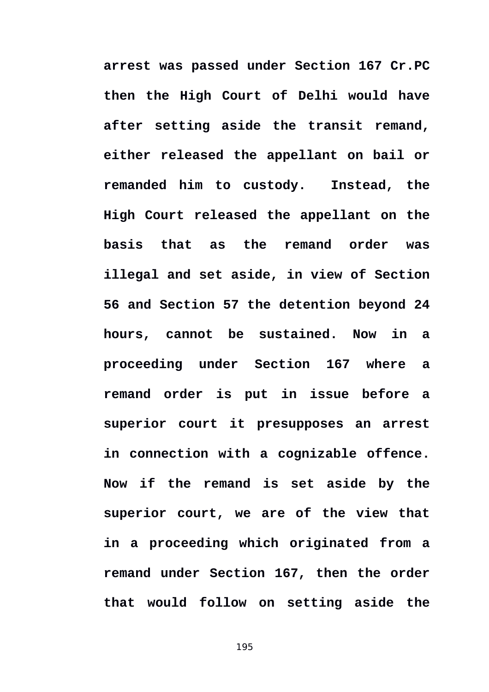**arrest was passed under Section 167 Cr.PC then the High Court of Delhi would have after setting aside the transit remand, either released the appellant on bail or remanded him to custody. Instead, the High Court released the appellant on the basis that as the remand order was illegal and set aside, in view of Section 56 and Section 57 the detention beyond 24 hours, cannot be sustained. Now in a proceeding under Section 167 where a remand order is put in issue before a superior court it presupposes an arrest in connection with a cognizable offence. Now if the remand is set aside by the superior court, we are of the view that in a proceeding which originated from a remand under Section 167, then the order that would follow on setting aside the**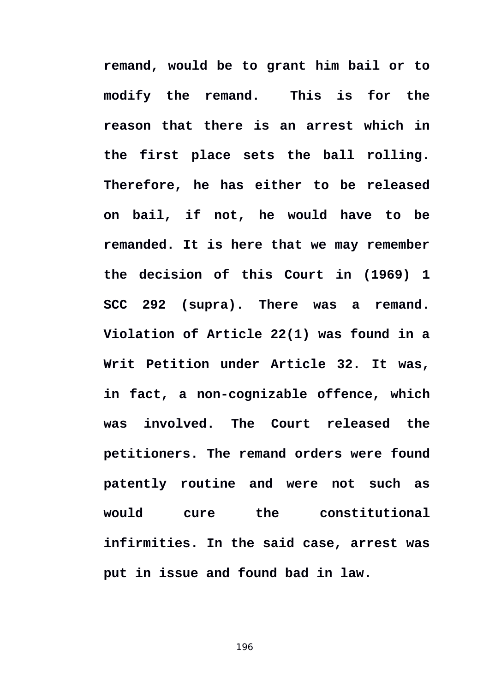**remand, would be to grant him bail or to modify the remand. This is for the reason that there is an arrest which in the first place sets the ball rolling. Therefore, he has either to be released on bail, if not, he would have to be remanded. It is here that we may remember the decision of this Court in (1969) 1 SCC 292 (supra). There was a remand. Violation of Article 22(1) was found in a Writ Petition under Article 32. It was, in fact, a non-cognizable offence, which was involved. The Court released the petitioners. The remand orders were found patently routine and were not such as would cure the constitutional infirmities. In the said case, arrest was put in issue and found bad in law.**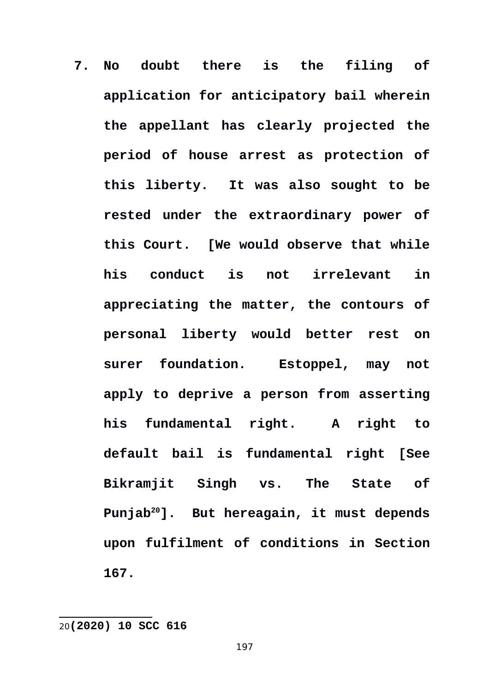**7. No doubt there is the filing of application for anticipatory bail wherein the appellant has clearly projected the period of house arrest as protection of this liberty. It was also sought to be rested under the extraordinary power of this Court. [We would observe that while his conduct is not irrelevant in appreciating the matter, the contours of personal liberty would better rest on surer foundation. Estoppel, may not apply to deprive a person from asserting his fundamental right. A right to default bail is fundamental right [See Bikramjit Singh vs. The State of Punjab[20](#page-196-0)]. But hereagain, it must depends upon fulfilment of conditions in Section 167.**

<span id="page-196-0"></span>20**(2020) 10 SCC 616**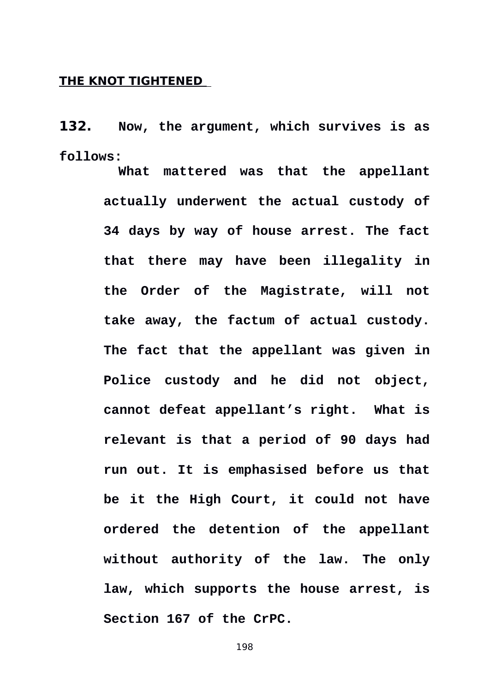## **THE KNOT TIGHTENED**

**132. Now, the argument, which survives is as follows:** 

> **What mattered was that the appellant actually underwent the actual custody of 34 days by way of house arrest. The fact that there may have been illegality in the Order of the Magistrate, will not take away, the factum of actual custody. The fact that the appellant was given in Police custody and he did not object, cannot defeat appellant's right. What is relevant is that a period of 90 days had run out. It is emphasised before us that be it the High Court, it could not have ordered the detention of the appellant without authority of the law. The only law, which supports the house arrest, is Section 167 of the CrPC.**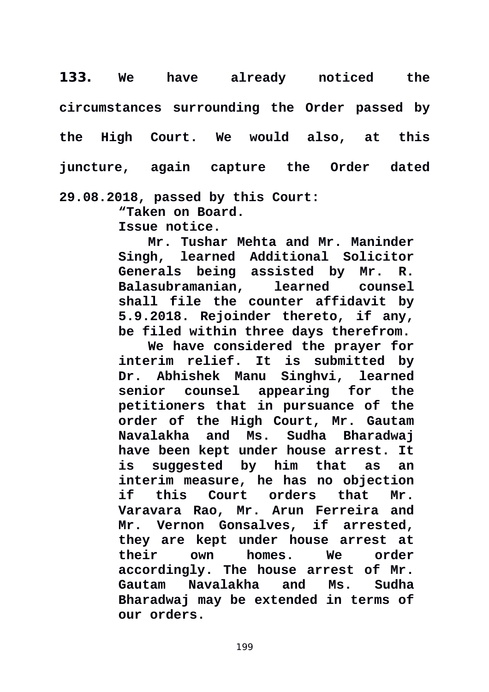**133. We have already noticed the circumstances surrounding the Order passed by the High Court. We would also, at this juncture, again capture the Order dated 29.08.2018, passed by this Court:** 

**"Taken on Board.**

**Issue notice.**

**Mr. Tushar Mehta and Mr. Maninder Singh, learned Additional Solicitor Generals being assisted by Mr. R. Balasubramanian, learned counsel shall file the counter affidavit by 5.9.2018. Rejoinder thereto, if any, be filed within three days therefrom.**

**We have considered the prayer for interim relief. It is submitted by Dr. Abhishek Manu Singhvi, learned senior counsel appearing for the petitioners that in pursuance of the order of the High Court, Mr. Gautam Navalakha and Ms. Sudha Bharadwaj have been kept under house arrest. It is suggested by him that as an interim measure, he has no objection if this Court orders that Mr. Varavara Rao, Mr. Arun Ferreira and Mr. Vernon Gonsalves, if arrested, they are kept under house arrest at their own homes. We order accordingly. The house arrest of Mr. Gautam Navalakha and Ms. Sudha Bharadwaj may be extended in terms of our orders.**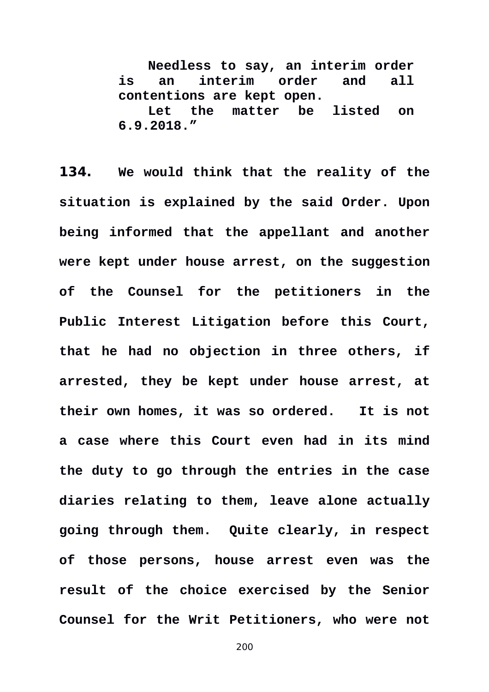**Needless to say, an interim order is an interim order and all contentions are kept open. Let the matter be listed on 6.9.2018."**

**134. We would think that the reality of the situation is explained by the said Order. Upon being informed that the appellant and another were kept under house arrest, on the suggestion of the Counsel for the petitioners in the Public Interest Litigation before this Court, that he had no objection in three others, if arrested, they be kept under house arrest, at their own homes, it was so ordered. It is not a case where this Court even had in its mind the duty to go through the entries in the case diaries relating to them, leave alone actually going through them. Quite clearly, in respect of those persons, house arrest even was the result of the choice exercised by the Senior Counsel for the Writ Petitioners, who were not**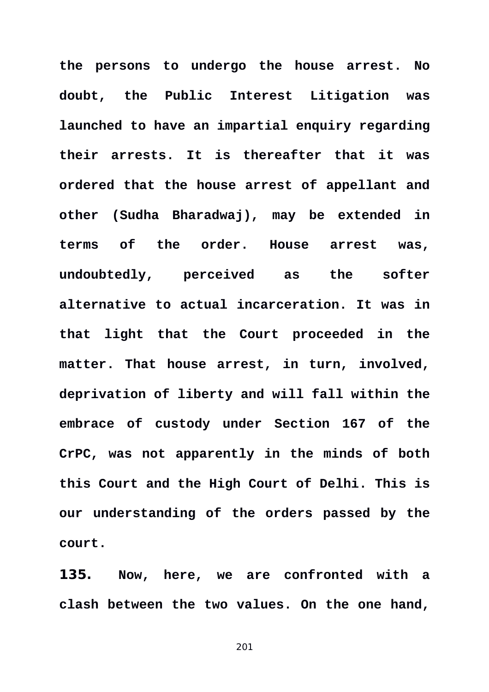**the persons to undergo the house arrest. No doubt, the Public Interest Litigation was launched to have an impartial enquiry regarding their arrests. It is thereafter that it was ordered that the house arrest of appellant and other (Sudha Bharadwaj), may be extended in terms of the order. House arrest was, undoubtedly, perceived as the softer alternative to actual incarceration. It was in that light that the Court proceeded in the matter. That house arrest, in turn, involved, deprivation of liberty and will fall within the embrace of custody under Section 167 of the CrPC, was not apparently in the minds of both this Court and the High Court of Delhi. This is our understanding of the orders passed by the court.** 

**135. Now, here, we are confronted with a clash between the two values. On the one hand,**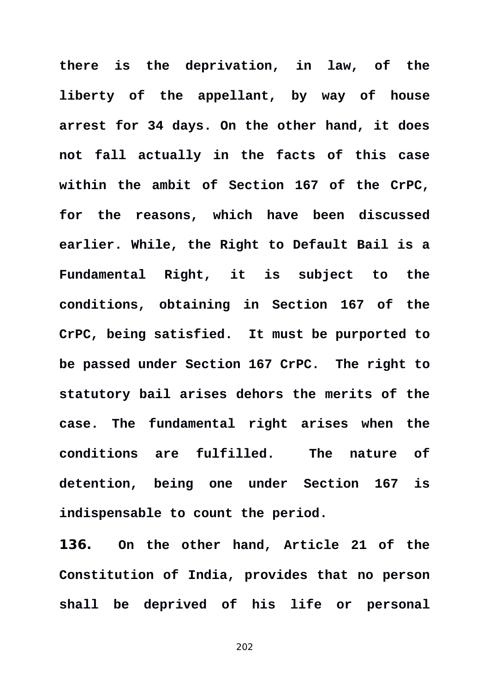**there is the deprivation, in law, of the liberty of the appellant, by way of house arrest for 34 days. On the other hand, it does not fall actually in the facts of this case within the ambit of Section 167 of the CrPC, for the reasons, which have been discussed earlier. While, the Right to Default Bail is a Fundamental Right, it is subject to the conditions, obtaining in Section 167 of the CrPC, being satisfied. It must be purported to be passed under Section 167 CrPC. The right to statutory bail arises dehors the merits of the case. The fundamental right arises when the conditions are fulfilled. The nature of detention, being one under Section 167 is indispensable to count the period.** 

**136. On the other hand, Article 21 of the Constitution of India, provides that no person shall be deprived of his life or personal**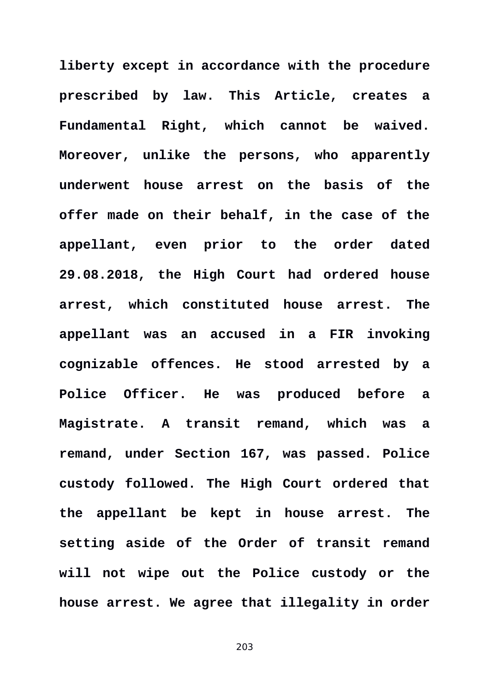**liberty except in accordance with the procedure prescribed by law. This Article, creates a Fundamental Right, which cannot be waived. Moreover, unlike the persons, who apparently underwent house arrest on the basis of the offer made on their behalf, in the case of the appellant, even prior to the order dated 29.08.2018, the High Court had ordered house arrest, which constituted house arrest. The appellant was an accused in a FIR invoking cognizable offences. He stood arrested by a Police Officer. He was produced before a Magistrate. A transit remand, which was a remand, under Section 167, was passed. Police custody followed. The High Court ordered that the appellant be kept in house arrest. The setting aside of the Order of transit remand will not wipe out the Police custody or the house arrest. We agree that illegality in order**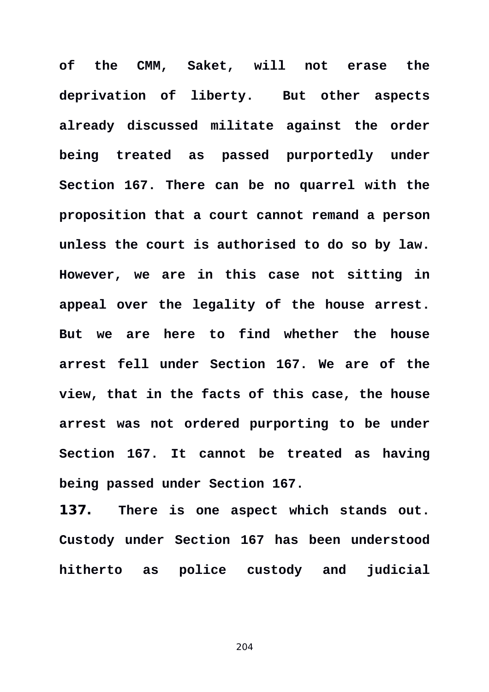**of the CMM, Saket, will not erase the deprivation of liberty. But other aspects already discussed militate against the order being treated as passed purportedly under Section 167. There can be no quarrel with the proposition that a court cannot remand a person unless the court is authorised to do so by law. However, we are in this case not sitting in appeal over the legality of the house arrest. But we are here to find whether the house arrest fell under Section 167. We are of the view, that in the facts of this case, the house arrest was not ordered purporting to be under Section 167. It cannot be treated as having being passed under Section 167.** 

**137. There is one aspect which stands out. Custody under Section 167 has been understood hitherto as police custody and judicial**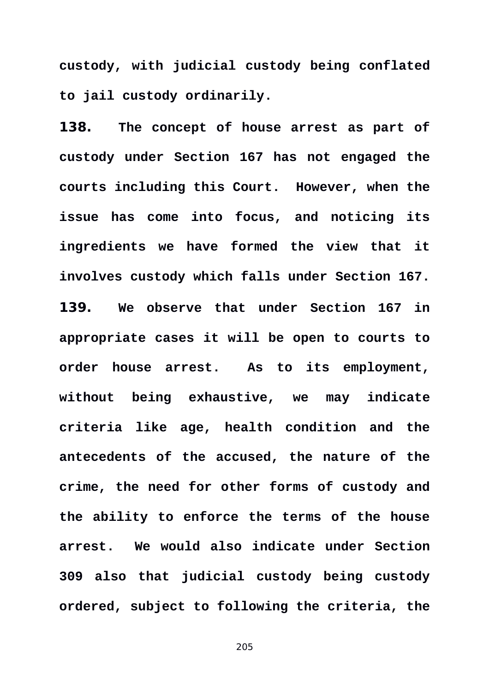**custody, with judicial custody being conflated to jail custody ordinarily.** 

**138. The concept of house arrest as part of custody under Section 167 has not engaged the courts including this Court. However, when the issue has come into focus, and noticing its ingredients we have formed the view that it involves custody which falls under Section 167. 139. We observe that under Section 167 in appropriate cases it will be open to courts to order house arrest. As to its employment, without being exhaustive, we may indicate criteria like age, health condition and the antecedents of the accused, the nature of the crime, the need for other forms of custody and the ability to enforce the terms of the house arrest. We would also indicate under Section 309 also that judicial custody being custody ordered, subject to following the criteria, the**